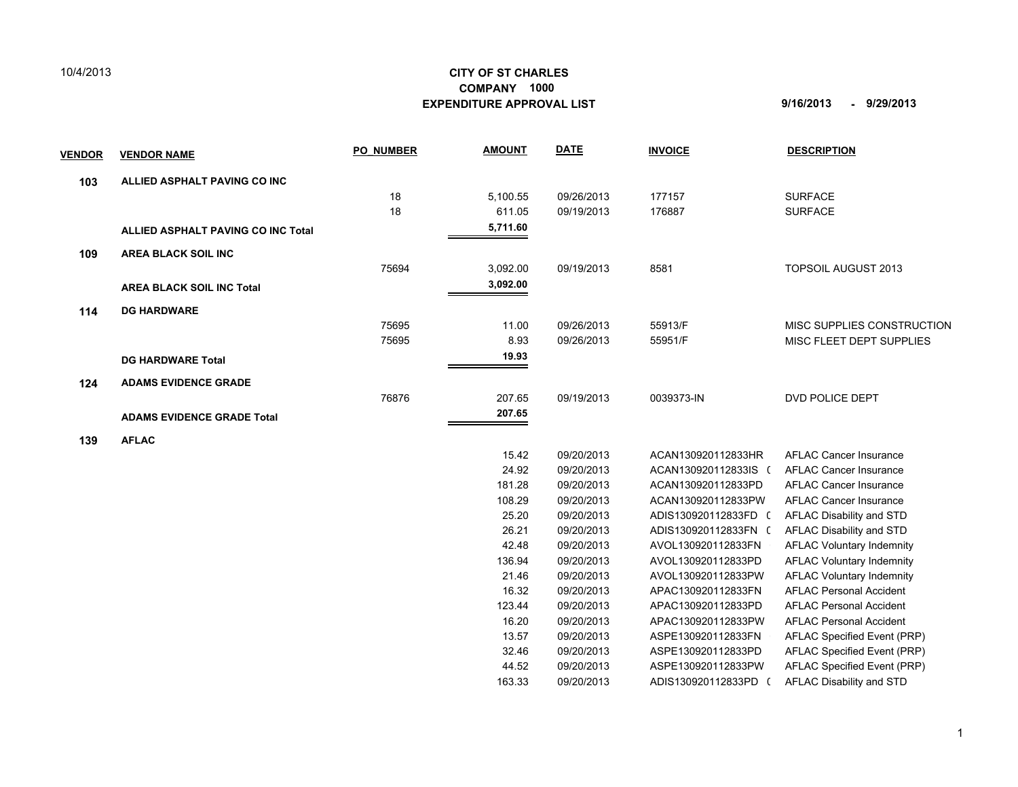## 10/4/2013

## **CITY OF ST CHARLES EXPENDITURE APPROVAL LIST 9/16/2013 - 9/29/2013 COMPANY 1000**

136.94 09/20/2013 AVOL130920112833PD AFLAC Voluntary Indemnity 21.46 09/20/2013 AVOL130920112833PW 0 AFLAC Voluntary Indemnity 16.32 09/20/2013 APAC130920112833FN 0 AFLAC Personal Accident 123.44 09/20/2013 APAC130920112833PD AFLAC Personal Accident 16.20 09/20/2013 APAC130920112833PW 0 AFLAC Personal Accident 13.57 09/20/2013 ASPE130920112833FN 0 AFLAC Specified Event (PRP) 32.46 09/20/2013 ASPE130920112833PD 0 AFLAC Specified Event (PRP) 44.52 09/20/2013 ASPE130920112833PW 0 AFLAC Specified Event (PRP) 163.33 09/20/2013 ADIS130920112833PD ( AFLAC Disability and STD

| <b>VENDOR</b> | <b>VENDOR NAME</b>                 | <b>PO NUMBER</b> | <b>AMOUNT</b> | <b>DATE</b> | <b>INVOICE</b>       | <b>DESCRIPTION</b>               |
|---------------|------------------------------------|------------------|---------------|-------------|----------------------|----------------------------------|
| 103           | ALLIED ASPHALT PAVING CO INC       |                  |               |             |                      |                                  |
|               |                                    | 18               | 5,100.55      | 09/26/2013  | 177157               | <b>SURFACE</b>                   |
|               |                                    | 18               | 611.05        | 09/19/2013  | 176887               | <b>SURFACE</b>                   |
|               | ALLIED ASPHALT PAVING CO INC Total |                  | 5,711.60      |             |                      |                                  |
| 109           | <b>AREA BLACK SOIL INC</b>         |                  |               |             |                      |                                  |
|               |                                    | 75694            | 3,092.00      | 09/19/2013  | 8581                 | <b>TOPSOIL AUGUST 2013</b>       |
|               | <b>AREA BLACK SOIL INC Total</b>   |                  | 3,092.00      |             |                      |                                  |
| 114           | <b>DG HARDWARE</b>                 |                  |               |             |                      |                                  |
|               |                                    | 75695            | 11.00         | 09/26/2013  | 55913/F              | MISC SUPPLIES CONSTRUCTION       |
|               |                                    | 75695            | 8.93          | 09/26/2013  | 55951/F              | MISC FLEET DEPT SUPPLIES         |
|               | <b>DG HARDWARE Total</b>           |                  | 19.93         |             |                      |                                  |
| 124           | <b>ADAMS EVIDENCE GRADE</b>        |                  |               |             |                      |                                  |
|               |                                    | 76876            | 207.65        | 09/19/2013  | 0039373-IN           | DVD POLICE DEPT                  |
|               | <b>ADAMS EVIDENCE GRADE Total</b>  |                  | 207.65        |             |                      |                                  |
| 139           | <b>AFLAC</b>                       |                  |               |             |                      |                                  |
|               |                                    |                  | 15.42         | 09/20/2013  | ACAN130920112833HR   | <b>AFLAC Cancer Insurance</b>    |
|               |                                    |                  | 24.92         | 09/20/2013  | ACAN130920112833IS ( | <b>AFLAC Cancer Insurance</b>    |
|               |                                    |                  | 181.28        | 09/20/2013  | ACAN130920112833PD   | <b>AFLAC Cancer Insurance</b>    |
|               |                                    |                  | 108.29        | 09/20/2013  | ACAN130920112833PW   | <b>AFLAC Cancer Insurance</b>    |
|               |                                    |                  | 25.20         | 09/20/2013  | ADIS130920112833FD ( | AFLAC Disability and STD         |
|               |                                    |                  | 26.21         | 09/20/2013  | ADIS130920112833FN ( | AFLAC Disability and STD         |
|               |                                    |                  | 42.48         | 09/20/2013  | AVOL130920112833FN   | <b>AFLAC Voluntary Indemnity</b> |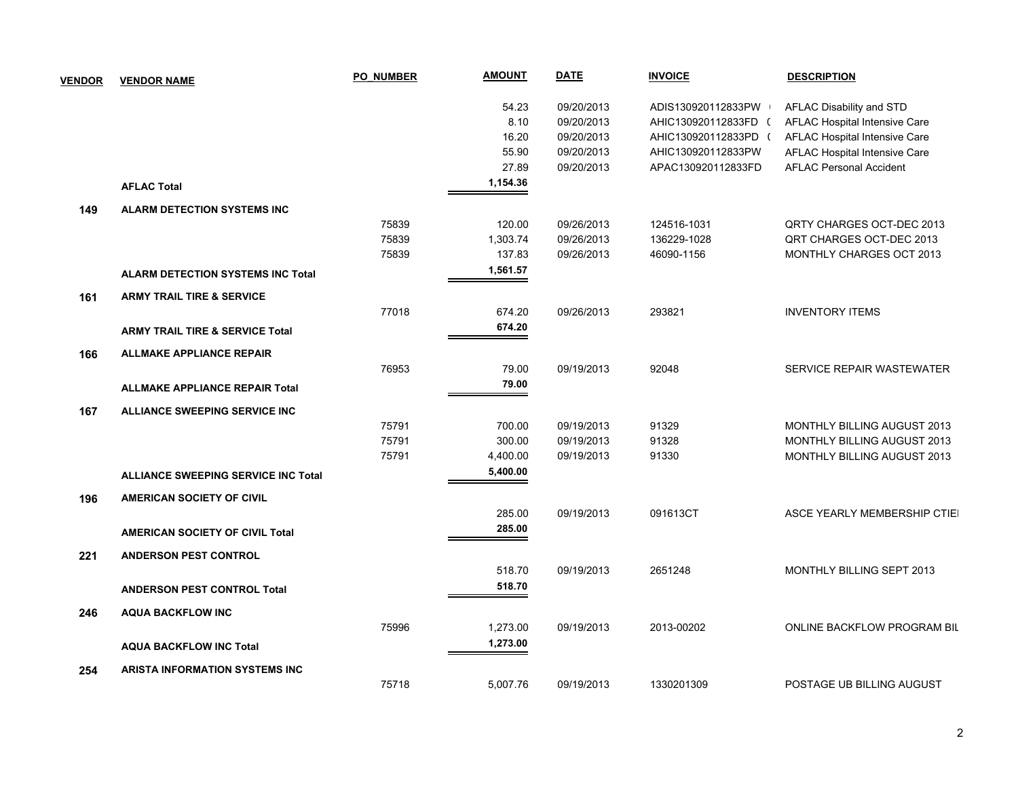| <b>VENDOR</b> | <b>VENDOR NAME</b>                         | <b>PO NUMBER</b> | <b>AMOUNT</b> | <b>DATE</b> | <b>INVOICE</b>       | <b>DESCRIPTION</b>                 |
|---------------|--------------------------------------------|------------------|---------------|-------------|----------------------|------------------------------------|
|               |                                            |                  | 54.23         | 09/20/2013  | ADIS130920112833PW   | AFLAC Disability and STD           |
|               |                                            |                  | 8.10          | 09/20/2013  | AHIC130920112833FD ( | AFLAC Hospital Intensive Care      |
|               |                                            |                  | 16.20         | 09/20/2013  | AHIC130920112833PD ( | AFLAC Hospital Intensive Care      |
|               |                                            |                  | 55.90         | 09/20/2013  | AHIC130920112833PW   | AFLAC Hospital Intensive Care      |
|               |                                            |                  | 27.89         | 09/20/2013  | APAC130920112833FD   | <b>AFLAC Personal Accident</b>     |
|               | <b>AFLAC Total</b>                         |                  | 1,154.36      |             |                      |                                    |
| 149           | <b>ALARM DETECTION SYSTEMS INC</b>         |                  |               |             |                      |                                    |
|               |                                            | 75839            | 120.00        | 09/26/2013  | 124516-1031          | QRTY CHARGES OCT-DEC 2013          |
|               |                                            | 75839            | 1,303.74      | 09/26/2013  | 136229-1028          | QRT CHARGES OCT-DEC 2013           |
|               |                                            | 75839            | 137.83        | 09/26/2013  | 46090-1156           | MONTHLY CHARGES OCT 2013           |
|               | <b>ALARM DETECTION SYSTEMS INC Total</b>   |                  | 1,561.57      |             |                      |                                    |
| 161           | <b>ARMY TRAIL TIRE &amp; SERVICE</b>       |                  |               |             |                      |                                    |
|               |                                            | 77018            | 674.20        | 09/26/2013  | 293821               | <b>INVENTORY ITEMS</b>             |
|               | <b>ARMY TRAIL TIRE &amp; SERVICE Total</b> |                  | 674.20        |             |                      |                                    |
| 166           | <b>ALLMAKE APPLIANCE REPAIR</b>            |                  |               |             |                      |                                    |
|               |                                            | 76953            | 79.00         | 09/19/2013  | 92048                | SERVICE REPAIR WASTEWATER          |
|               | <b>ALLMAKE APPLIANCE REPAIR Total</b>      |                  | 79.00         |             |                      |                                    |
| 167           | ALLIANCE SWEEPING SERVICE INC              |                  |               |             |                      |                                    |
|               |                                            | 75791            | 700.00        | 09/19/2013  | 91329                | MONTHLY BILLING AUGUST 2013        |
|               |                                            | 75791            | 300.00        | 09/19/2013  | 91328                | <b>MONTHLY BILLING AUGUST 2013</b> |
|               |                                            | 75791            | 4,400.00      | 09/19/2013  | 91330                | <b>MONTHLY BILLING AUGUST 2013</b> |
|               | <b>ALLIANCE SWEEPING SERVICE INC Total</b> |                  | 5,400.00      |             |                      |                                    |
| 196           | <b>AMERICAN SOCIETY OF CIVIL</b>           |                  |               |             |                      |                                    |
|               |                                            |                  | 285.00        | 09/19/2013  | 091613CT             | ASCE YEARLY MEMBERSHIP CTIEI       |
|               | <b>AMERICAN SOCIETY OF CIVIL Total</b>     |                  | 285.00        |             |                      |                                    |
| 221           | <b>ANDERSON PEST CONTROL</b>               |                  |               |             |                      |                                    |
|               |                                            |                  | 518.70        | 09/19/2013  | 2651248              | MONTHLY BILLING SEPT 2013          |
|               | <b>ANDERSON PEST CONTROL Total</b>         |                  | 518.70        |             |                      |                                    |
| 246           | <b>AQUA BACKFLOW INC</b>                   |                  |               |             |                      |                                    |
|               |                                            | 75996            | 1,273.00      | 09/19/2013  | 2013-00202           | ONLINE BACKFLOW PROGRAM BIL        |
|               | <b>AQUA BACKFLOW INC Total</b>             |                  | 1,273.00      |             |                      |                                    |
| 254           | <b>ARISTA INFORMATION SYSTEMS INC</b>      |                  |               |             |                      |                                    |
|               |                                            | 75718            | 5,007.76      | 09/19/2013  | 1330201309           | POSTAGE UB BILLING AUGUST          |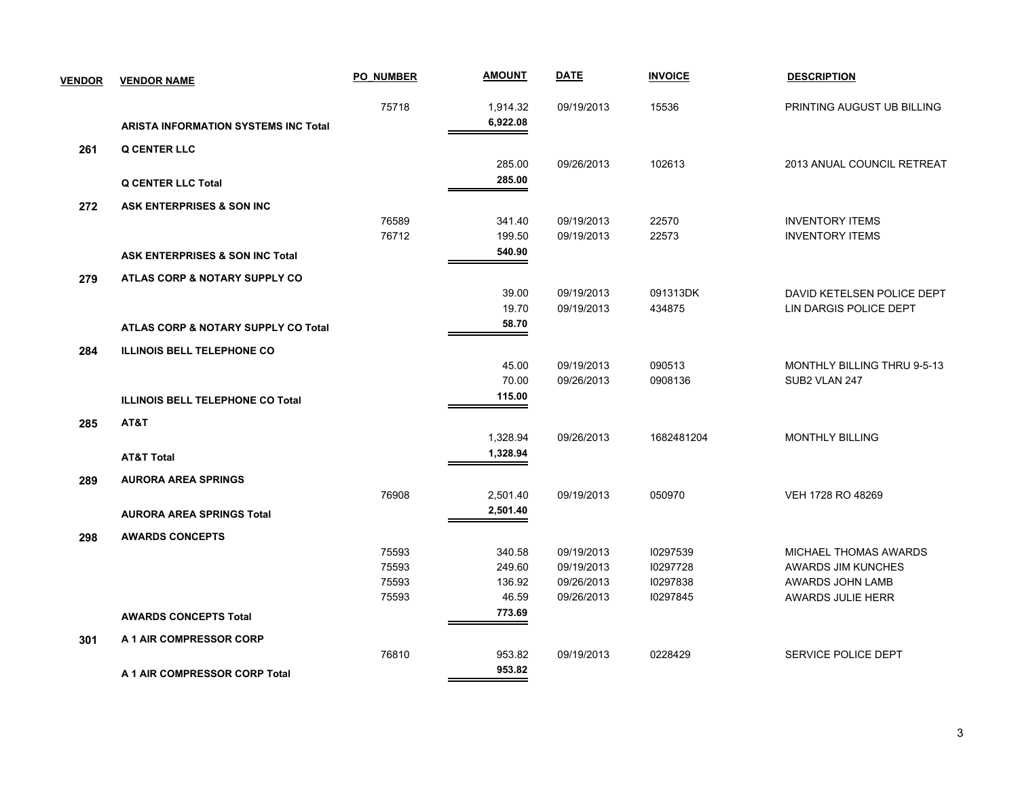| <b>VENDOR</b> | <b>VENDOR NAME</b>                          | <b>PO NUMBER</b> | <u>AMOUNT</u> | <b>DATE</b> | <b>INVOICE</b> | <b>DESCRIPTION</b>          |
|---------------|---------------------------------------------|------------------|---------------|-------------|----------------|-----------------------------|
|               |                                             | 75718            | 1,914.32      | 09/19/2013  | 15536          | PRINTING AUGUST UB BILLING  |
|               | <b>ARISTA INFORMATION SYSTEMS INC Total</b> |                  | 6,922.08      |             |                |                             |
| 261           | <b>Q CENTER LLC</b>                         |                  |               |             |                |                             |
|               |                                             |                  | 285.00        | 09/26/2013  | 102613         | 2013 ANUAL COUNCIL RETREAT  |
|               | <b>Q CENTER LLC Total</b>                   |                  | 285.00        |             |                |                             |
| 272           | <b>ASK ENTERPRISES &amp; SON INC</b>        |                  |               |             |                |                             |
|               |                                             | 76589            | 341.40        | 09/19/2013  | 22570          | <b>INVENTORY ITEMS</b>      |
|               |                                             | 76712            | 199.50        | 09/19/2013  | 22573          | <b>INVENTORY ITEMS</b>      |
|               | <b>ASK ENTERPRISES &amp; SON INC Total</b>  |                  | 540.90        |             |                |                             |
| 279           | ATLAS CORP & NOTARY SUPPLY CO               |                  |               |             |                |                             |
|               |                                             |                  | 39.00         | 09/19/2013  | 091313DK       | DAVID KETELSEN POLICE DEPT  |
|               |                                             |                  | 19.70         | 09/19/2013  | 434875         | LIN DARGIS POLICE DEPT      |
|               | ATLAS CORP & NOTARY SUPPLY CO Total         |                  | 58.70         |             |                |                             |
| 284           | <b>ILLINOIS BELL TELEPHONE CO</b>           |                  |               |             |                |                             |
|               |                                             |                  | 45.00         | 09/19/2013  | 090513         | MONTHLY BILLING THRU 9-5-13 |
|               |                                             |                  | 70.00         | 09/26/2013  | 0908136        | SUB2 VLAN 247               |
|               | <b>ILLINOIS BELL TELEPHONE CO Total</b>     |                  | 115.00        |             |                |                             |
| 285           | AT&T                                        |                  |               |             |                |                             |
|               |                                             |                  | 1,328.94      | 09/26/2013  | 1682481204     | <b>MONTHLY BILLING</b>      |
|               | <b>AT&amp;T Total</b>                       |                  | 1,328.94      |             |                |                             |
| 289           | <b>AURORA AREA SPRINGS</b>                  |                  |               |             |                |                             |
|               |                                             | 76908            | 2,501.40      | 09/19/2013  | 050970         | VEH 1728 RO 48269           |
|               | <b>AURORA AREA SPRINGS Total</b>            |                  | 2,501.40      |             |                |                             |
| 298           | <b>AWARDS CONCEPTS</b>                      |                  |               |             |                |                             |
|               |                                             | 75593            | 340.58        | 09/19/2013  | 10297539       | MICHAEL THOMAS AWARDS       |
|               |                                             | 75593            | 249.60        | 09/19/2013  | 10297728       | <b>AWARDS JIM KUNCHES</b>   |
|               |                                             | 75593            | 136.92        | 09/26/2013  | 10297838       | <b>AWARDS JOHN LAMB</b>     |
|               |                                             | 75593            | 46.59         | 09/26/2013  | 10297845       | AWARDS JULIE HERR           |
|               | <b>AWARDS CONCEPTS Total</b>                |                  | 773.69        |             |                |                             |
| 301           | A 1 AIR COMPRESSOR CORP                     |                  |               |             |                |                             |
|               |                                             | 76810            | 953.82        | 09/19/2013  | 0228429        | SERVICE POLICE DEPT         |
|               | A 1 AIR COMPRESSOR CORP Total               |                  | 953.82        |             |                |                             |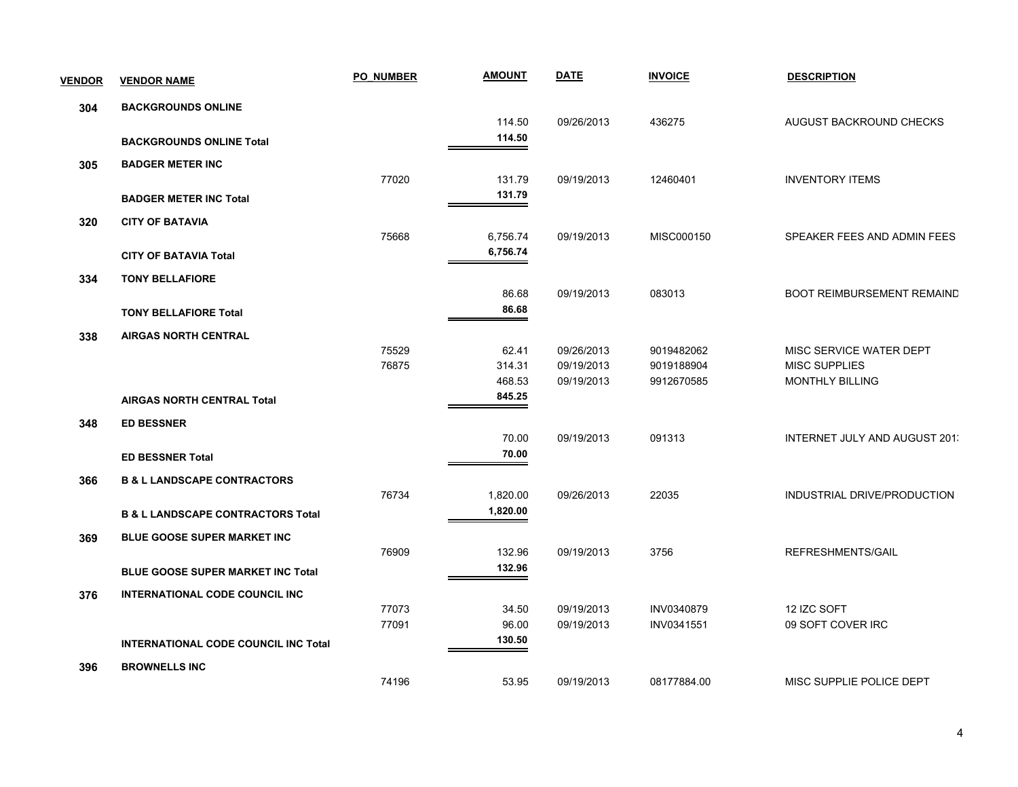| <b>VENDOR</b> | <b>VENDOR NAME</b>                           | <b>PO NUMBER</b> | <b>AMOUNT</b> | <b>DATE</b> | <b>INVOICE</b> | <b>DESCRIPTION</b>                |
|---------------|----------------------------------------------|------------------|---------------|-------------|----------------|-----------------------------------|
| 304           | <b>BACKGROUNDS ONLINE</b>                    |                  |               |             |                |                                   |
|               |                                              |                  | 114.50        | 09/26/2013  | 436275         | AUGUST BACKROUND CHECKS           |
|               | <b>BACKGROUNDS ONLINE Total</b>              |                  | 114.50        |             |                |                                   |
| 305           | <b>BADGER METER INC</b>                      |                  |               |             |                |                                   |
|               |                                              | 77020            | 131.79        | 09/19/2013  | 12460401       | <b>INVENTORY ITEMS</b>            |
|               | <b>BADGER METER INC Total</b>                |                  | 131.79        |             |                |                                   |
| 320           | <b>CITY OF BATAVIA</b>                       |                  |               |             |                |                                   |
|               |                                              | 75668            | 6,756.74      | 09/19/2013  | MISC000150     | SPEAKER FEES AND ADMIN FEES       |
|               | <b>CITY OF BATAVIA Total</b>                 |                  | 6,756.74      |             |                |                                   |
| 334           | <b>TONY BELLAFIORE</b>                       |                  |               |             |                |                                   |
|               |                                              |                  | 86.68         | 09/19/2013  | 083013         | <b>BOOT REIMBURSEMENT REMAIND</b> |
|               | <b>TONY BELLAFIORE Total</b>                 |                  | 86.68         |             |                |                                   |
| 338           | <b>AIRGAS NORTH CENTRAL</b>                  |                  |               |             |                |                                   |
|               |                                              | 75529            | 62.41         | 09/26/2013  | 9019482062     | MISC SERVICE WATER DEPT           |
|               |                                              | 76875            | 314.31        | 09/19/2013  | 9019188904     | <b>MISC SUPPLIES</b>              |
|               |                                              |                  | 468.53        | 09/19/2013  | 9912670585     | <b>MONTHLY BILLING</b>            |
|               | <b>AIRGAS NORTH CENTRAL Total</b>            |                  | 845.25        |             |                |                                   |
| 348           | <b>ED BESSNER</b>                            |                  |               |             |                |                                   |
|               |                                              |                  | 70.00         | 09/19/2013  | 091313         | INTERNET JULY AND AUGUST 201.     |
|               | <b>ED BESSNER Total</b>                      |                  | 70.00         |             |                |                                   |
| 366           | <b>B &amp; L LANDSCAPE CONTRACTORS</b>       |                  |               |             |                |                                   |
|               |                                              | 76734            | 1,820.00      | 09/26/2013  | 22035          | INDUSTRIAL DRIVE/PRODUCTION       |
|               | <b>B &amp; L LANDSCAPE CONTRACTORS Total</b> |                  | 1,820.00      |             |                |                                   |
| 369           | <b>BLUE GOOSE SUPER MARKET INC</b>           |                  |               |             |                |                                   |
|               |                                              | 76909            | 132.96        | 09/19/2013  | 3756           | REFRESHMENTS/GAIL                 |
|               | <b>BLUE GOOSE SUPER MARKET INC Total</b>     |                  | 132.96        |             |                |                                   |
| 376           | <b>INTERNATIONAL CODE COUNCIL INC</b>        |                  |               |             |                |                                   |
|               |                                              | 77073            | 34.50         | 09/19/2013  | INV0340879     | 12 IZC SOFT                       |
|               |                                              | 77091            | 96.00         | 09/19/2013  | INV0341551     | 09 SOFT COVER IRC                 |
|               | <b>INTERNATIONAL CODE COUNCIL INC Total</b>  |                  | 130.50        |             |                |                                   |
| 396           | <b>BROWNELLS INC</b>                         |                  |               |             |                |                                   |
|               |                                              | 74196            | 53.95         | 09/19/2013  | 08177884.00    | MISC SUPPLIE POLICE DEPT          |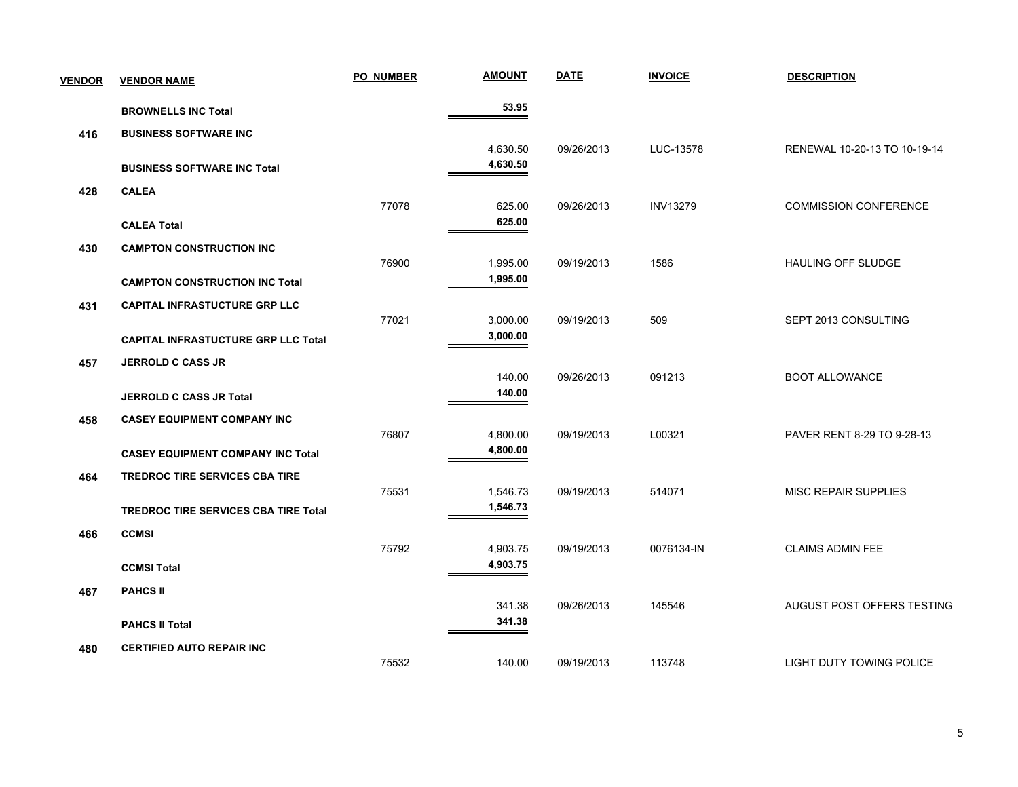| <b>VENDOR</b> | <b>VENDOR NAME</b>                          | <b>PO NUMBER</b> | <b>AMOUNT</b>        | <b>DATE</b> | <b>INVOICE</b>  | <b>DESCRIPTION</b>           |
|---------------|---------------------------------------------|------------------|----------------------|-------------|-----------------|------------------------------|
|               | <b>BROWNELLS INC Total</b>                  |                  | 53.95                |             |                 |                              |
| 416           | <b>BUSINESS SOFTWARE INC</b>                |                  |                      |             |                 |                              |
|               |                                             |                  | 4,630.50             | 09/26/2013  | LUC-13578       | RENEWAL 10-20-13 TO 10-19-14 |
|               | <b>BUSINESS SOFTWARE INC Total</b>          |                  | 4,630.50             |             |                 |                              |
| 428           | <b>CALEA</b>                                |                  |                      |             |                 |                              |
|               |                                             | 77078            | 625.00<br>625.00     | 09/26/2013  | <b>INV13279</b> | <b>COMMISSION CONFERENCE</b> |
|               | <b>CALEA Total</b>                          |                  |                      |             |                 |                              |
| 430           | <b>CAMPTON CONSTRUCTION INC</b>             | 76900            | 1,995.00             | 09/19/2013  | 1586            | HAULING OFF SLUDGE           |
|               | <b>CAMPTON CONSTRUCTION INC Total</b>       |                  | 1,995.00             |             |                 |                              |
|               |                                             |                  |                      |             |                 |                              |
| 431           | <b>CAPITAL INFRASTUCTURE GRP LLC</b>        | 77021            | 3,000.00             | 09/19/2013  | 509             | SEPT 2013 CONSULTING         |
|               | <b>CAPITAL INFRASTUCTURE GRP LLC Total</b>  |                  | 3,000.00             |             |                 |                              |
| 457           | <b>JERROLD C CASS JR</b>                    |                  |                      |             |                 |                              |
|               |                                             |                  | 140.00               | 09/26/2013  | 091213          | <b>BOOT ALLOWANCE</b>        |
|               | <b>JERROLD C CASS JR Total</b>              |                  | 140.00               |             |                 |                              |
| 458           | <b>CASEY EQUIPMENT COMPANY INC</b>          |                  |                      |             |                 |                              |
|               |                                             | 76807            | 4,800.00             | 09/19/2013  | L00321          | PAVER RENT 8-29 TO 9-28-13   |
|               | <b>CASEY EQUIPMENT COMPANY INC Total</b>    |                  | 4,800.00             |             |                 |                              |
| 464           | <b>TREDROC TIRE SERVICES CBA TIRE</b>       |                  |                      |             |                 |                              |
|               |                                             | 75531            | 1,546.73<br>1,546.73 | 09/19/2013  | 514071          | <b>MISC REPAIR SUPPLIES</b>  |
|               | <b>TREDROC TIRE SERVICES CBA TIRE Total</b> |                  |                      |             |                 |                              |
| 466           | <b>CCMSI</b>                                | 75792            | 4,903.75             | 09/19/2013  | 0076134-IN      | <b>CLAIMS ADMIN FEE</b>      |
|               | <b>CCMSI Total</b>                          |                  | 4,903.75             |             |                 |                              |
|               |                                             |                  |                      |             |                 |                              |
| 467           | <b>PAHCS II</b>                             |                  | 341.38               | 09/26/2013  | 145546          | AUGUST POST OFFERS TESTING   |
|               | <b>PAHCS II Total</b>                       |                  | 341.38               |             |                 |                              |
| 480           | <b>CERTIFIED AUTO REPAIR INC</b>            |                  |                      |             |                 |                              |
|               |                                             | 75532            | 140.00               | 09/19/2013  | 113748          | LIGHT DUTY TOWING POLICE     |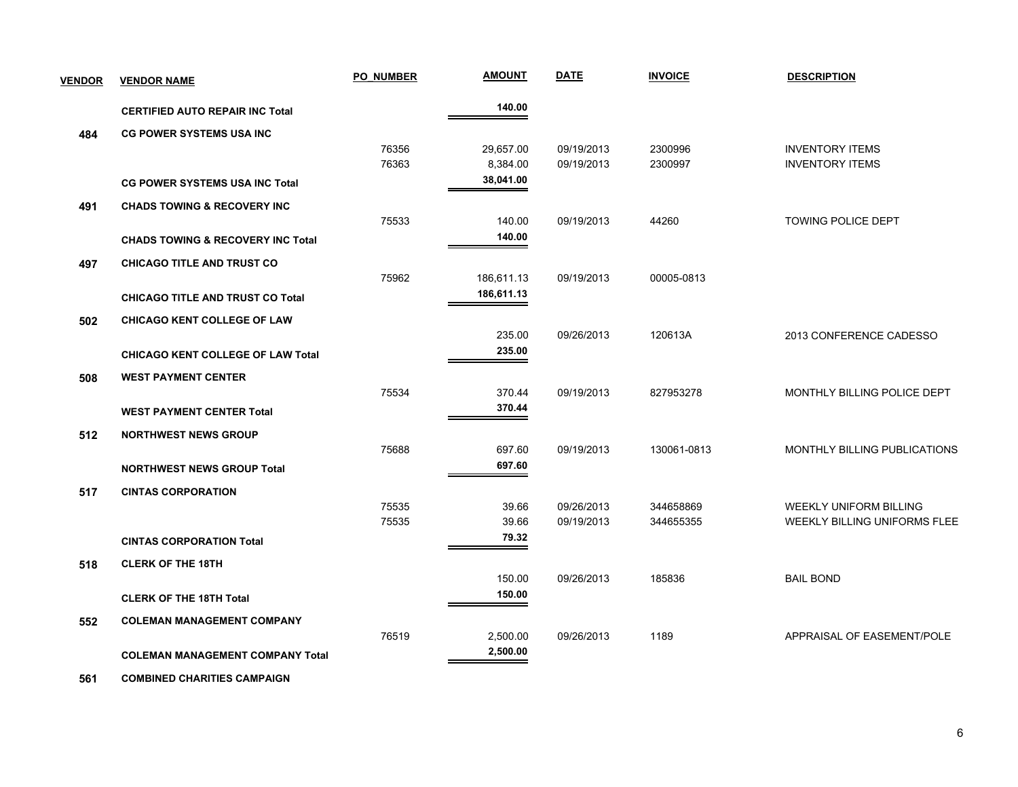| <b>VENDOR</b> | <b>VENDOR NAME</b>                           | <b>PO NUMBER</b> | <b>AMOUNT</b> | <b>DATE</b> | <b>INVOICE</b> | <b>DESCRIPTION</b>                  |
|---------------|----------------------------------------------|------------------|---------------|-------------|----------------|-------------------------------------|
|               | <b>CERTIFIED AUTO REPAIR INC Total</b>       |                  | 140.00        |             |                |                                     |
| 484           | <b>CG POWER SYSTEMS USA INC</b>              |                  |               |             |                |                                     |
|               |                                              | 76356            | 29,657.00     | 09/19/2013  | 2300996        | <b>INVENTORY ITEMS</b>              |
|               |                                              | 76363            | 8,384.00      | 09/19/2013  | 2300997        | <b>INVENTORY ITEMS</b>              |
|               | <b>CG POWER SYSTEMS USA INC Total</b>        |                  | 38,041.00     |             |                |                                     |
| 491           | <b>CHADS TOWING &amp; RECOVERY INC</b>       |                  |               |             |                |                                     |
|               |                                              | 75533            | 140.00        | 09/19/2013  | 44260          | <b>TOWING POLICE DEPT</b>           |
|               | <b>CHADS TOWING &amp; RECOVERY INC Total</b> |                  | 140.00        |             |                |                                     |
| 497           | <b>CHICAGO TITLE AND TRUST CO</b>            |                  |               |             |                |                                     |
|               |                                              | 75962            | 186,611.13    | 09/19/2013  | 00005-0813     |                                     |
|               | <b>CHICAGO TITLE AND TRUST CO Total</b>      |                  | 186,611.13    |             |                |                                     |
| 502           | <b>CHICAGO KENT COLLEGE OF LAW</b>           |                  |               |             |                |                                     |
|               |                                              |                  | 235.00        | 09/26/2013  | 120613A        | 2013 CONFERENCE CADESSO             |
|               | <b>CHICAGO KENT COLLEGE OF LAW Total</b>     |                  | 235.00        |             |                |                                     |
| 508           | <b>WEST PAYMENT CENTER</b>                   |                  |               |             |                |                                     |
|               |                                              | 75534            | 370.44        | 09/19/2013  | 827953278      | MONTHLY BILLING POLICE DEPT         |
|               | <b>WEST PAYMENT CENTER Total</b>             |                  | 370.44        |             |                |                                     |
| 512           | <b>NORTHWEST NEWS GROUP</b>                  |                  |               |             |                |                                     |
|               |                                              | 75688            | 697.60        | 09/19/2013  | 130061-0813    | <b>MONTHLY BILLING PUBLICATIONS</b> |
|               | <b>NORTHWEST NEWS GROUP Total</b>            |                  | 697.60        |             |                |                                     |
| 517           | <b>CINTAS CORPORATION</b>                    |                  |               |             |                |                                     |
|               |                                              | 75535            | 39.66         | 09/26/2013  | 344658869      | WEEKLY UNIFORM BILLING              |
|               |                                              | 75535            | 39.66         | 09/19/2013  | 344655355      | WEEKLY BILLING UNIFORMS FLEE        |
|               | <b>CINTAS CORPORATION Total</b>              |                  | 79.32         |             |                |                                     |
| 518           | <b>CLERK OF THE 18TH</b>                     |                  |               |             |                |                                     |
|               |                                              |                  | 150.00        | 09/26/2013  | 185836         | <b>BAIL BOND</b>                    |
|               | <b>CLERK OF THE 18TH Total</b>               |                  | 150.00        |             |                |                                     |
| 552           | <b>COLEMAN MANAGEMENT COMPANY</b>            |                  |               |             |                |                                     |
|               |                                              | 76519            | 2,500.00      | 09/26/2013  | 1189           | APPRAISAL OF EASEMENT/POLE          |
|               | <b>COLEMAN MANAGEMENT COMPANY Total</b>      |                  | 2,500.00      |             |                |                                     |
|               |                                              |                  |               |             |                |                                     |

 **561 COMBINED CHARITIES CAMPAIGN**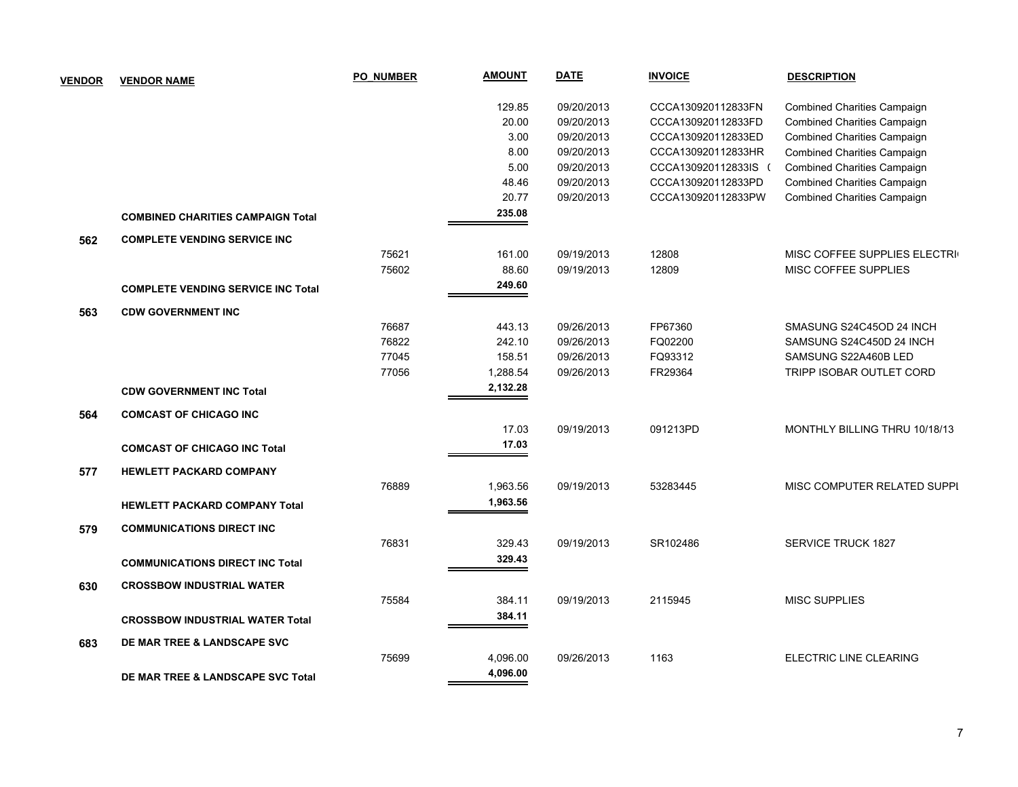| <b>VENDOR</b> | <b>VENDOR NAME</b>                        | <b>PO NUMBER</b> | <b>AMOUNT</b> | <b>DATE</b> | <b>INVOICE</b>       | <b>DESCRIPTION</b>                 |
|---------------|-------------------------------------------|------------------|---------------|-------------|----------------------|------------------------------------|
|               |                                           |                  | 129.85        | 09/20/2013  | CCCA130920112833FN   | <b>Combined Charities Campaign</b> |
|               |                                           |                  | 20.00         | 09/20/2013  | CCCA130920112833FD   | <b>Combined Charities Campaign</b> |
|               |                                           |                  | 3.00          | 09/20/2013  | CCCA130920112833ED   | <b>Combined Charities Campaign</b> |
|               |                                           |                  | 8.00          | 09/20/2013  | CCCA130920112833HR   | <b>Combined Charities Campaign</b> |
|               |                                           |                  | 5.00          | 09/20/2013  | CCCA130920112833IS ( | <b>Combined Charities Campaign</b> |
|               |                                           |                  | 48.46         | 09/20/2013  | CCCA130920112833PD   | <b>Combined Charities Campaign</b> |
|               |                                           |                  | 20.77         | 09/20/2013  | CCCA130920112833PW   | <b>Combined Charities Campaign</b> |
|               | <b>COMBINED CHARITIES CAMPAIGN Total</b>  |                  | 235.08        |             |                      |                                    |
| 562           | <b>COMPLETE VENDING SERVICE INC</b>       |                  |               |             |                      |                                    |
|               |                                           | 75621            | 161.00        | 09/19/2013  | 12808                | MISC COFFEE SUPPLIES ELECTRI       |
|               |                                           | 75602            | 88.60         | 09/19/2013  | 12809                | MISC COFFEE SUPPLIES               |
|               | <b>COMPLETE VENDING SERVICE INC Total</b> |                  | 249.60        |             |                      |                                    |
| 563           | <b>CDW GOVERNMENT INC</b>                 |                  |               |             |                      |                                    |
|               |                                           | 76687            | 443.13        | 09/26/2013  | FP67360              | SMASUNG S24C45OD 24 INCH           |
|               |                                           | 76822            | 242.10        | 09/26/2013  | FQ02200              | SAMSUNG S24C450D 24 INCH           |
|               |                                           | 77045            | 158.51        | 09/26/2013  | FQ93312              | SAMSUNG S22A460B LED               |
|               |                                           | 77056            | 1,288.54      | 09/26/2013  | FR29364              | TRIPP ISOBAR OUTLET CORD           |
|               | <b>CDW GOVERNMENT INC Total</b>           |                  | 2,132.28      |             |                      |                                    |
| 564           | <b>COMCAST OF CHICAGO INC</b>             |                  |               |             |                      |                                    |
|               |                                           |                  | 17.03         | 09/19/2013  | 091213PD             | MONTHLY BILLING THRU 10/18/13      |
|               | <b>COMCAST OF CHICAGO INC Total</b>       |                  | 17.03         |             |                      |                                    |
| 577           | <b>HEWLETT PACKARD COMPANY</b>            |                  |               |             |                      |                                    |
|               |                                           | 76889            | 1,963.56      | 09/19/2013  | 53283445             | MISC COMPUTER RELATED SUPPI        |
|               | <b>HEWLETT PACKARD COMPANY Total</b>      |                  | 1,963.56      |             |                      |                                    |
| 579           | <b>COMMUNICATIONS DIRECT INC</b>          |                  |               |             |                      |                                    |
|               |                                           | 76831            | 329.43        | 09/19/2013  | SR102486             | <b>SERVICE TRUCK 1827</b>          |
|               | <b>COMMUNICATIONS DIRECT INC Total</b>    |                  | 329.43        |             |                      |                                    |
| 630           | <b>CROSSBOW INDUSTRIAL WATER</b>          |                  |               |             |                      |                                    |
|               |                                           | 75584            | 384.11        | 09/19/2013  | 2115945              | <b>MISC SUPPLIES</b>               |
|               | <b>CROSSBOW INDUSTRIAL WATER Total</b>    |                  | 384.11        |             |                      |                                    |
|               |                                           |                  |               |             |                      |                                    |
| 683           | DE MAR TREE & LANDSCAPE SVC               |                  |               |             |                      |                                    |
|               |                                           | 75699            | 4,096.00      | 09/26/2013  | 1163                 | ELECTRIC LINE CLEARING             |
|               | DE MAR TREE & LANDSCAPE SVC Total         |                  | 4,096.00      |             |                      |                                    |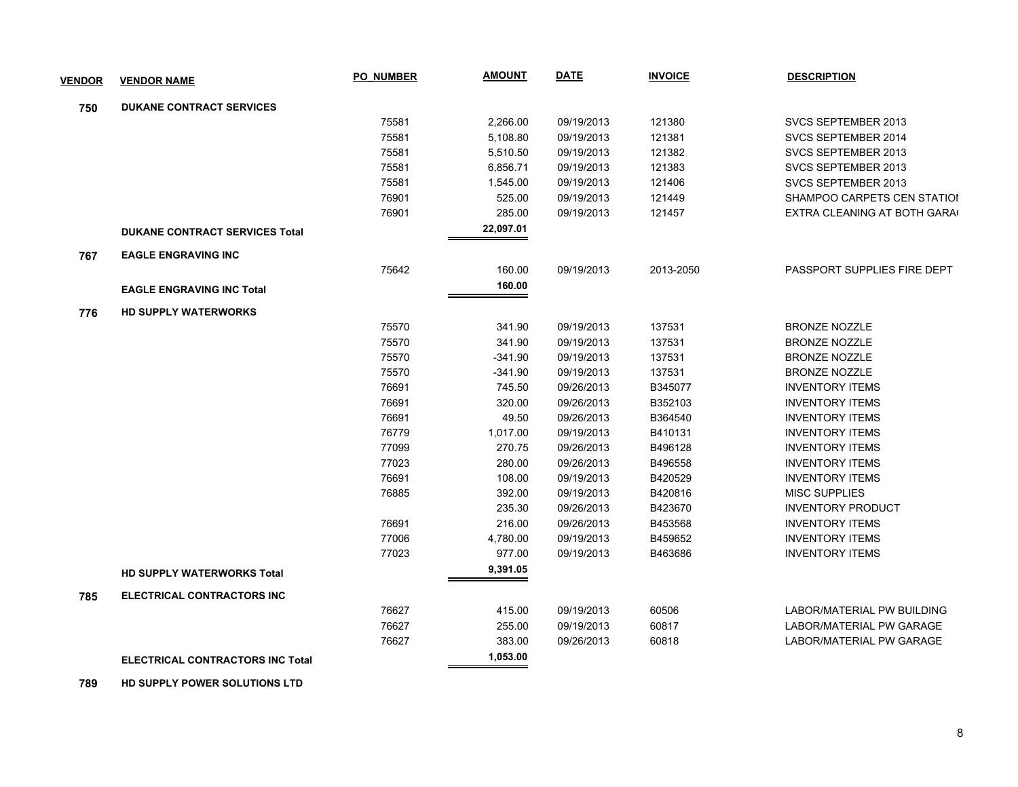| <b>VENDOR</b> | <b>VENDOR NAME</b>                      | <b>PO NUMBER</b> | <b>AMOUNT</b> | <b>DATE</b> | <b>INVOICE</b> | <b>DESCRIPTION</b>          |
|---------------|-----------------------------------------|------------------|---------------|-------------|----------------|-----------------------------|
| 750           | <b>DUKANE CONTRACT SERVICES</b>         |                  |               |             |                |                             |
|               |                                         | 75581            | 2,266.00      | 09/19/2013  | 121380         | SVCS SEPTEMBER 2013         |
|               |                                         | 75581            | 5,108.80      | 09/19/2013  | 121381         | SVCS SEPTEMBER 2014         |
|               |                                         | 75581            | 5,510.50      | 09/19/2013  | 121382         | SVCS SEPTEMBER 2013         |
|               |                                         | 75581            | 6,856.71      | 09/19/2013  | 121383         | SVCS SEPTEMBER 2013         |
|               |                                         | 75581            | 1,545.00      | 09/19/2013  | 121406         | SVCS SEPTEMBER 2013         |
|               |                                         | 76901            | 525.00        | 09/19/2013  | 121449         | SHAMPOO CARPETS CEN STATIOI |
|               |                                         | 76901            | 285.00        | 09/19/2013  | 121457         | EXTRA CLEANING AT BOTH GARA |
|               | <b>DUKANE CONTRACT SERVICES Total</b>   |                  | 22,097.01     |             |                |                             |
| 767           | <b>EAGLE ENGRAVING INC</b>              |                  |               |             |                |                             |
|               |                                         | 75642            | 160.00        | 09/19/2013  | 2013-2050      | PASSPORT SUPPLIES FIRE DEPT |
|               | <b>EAGLE ENGRAVING INC Total</b>        |                  | 160.00        |             |                |                             |
| 776           | <b>HD SUPPLY WATERWORKS</b>             |                  |               |             |                |                             |
|               |                                         | 75570            | 341.90        | 09/19/2013  | 137531         | <b>BRONZE NOZZLE</b>        |
|               |                                         | 75570            | 341.90        | 09/19/2013  | 137531         | <b>BRONZE NOZZLE</b>        |
|               |                                         | 75570            | $-341.90$     | 09/19/2013  | 137531         | <b>BRONZE NOZZLE</b>        |
|               |                                         | 75570            | -341.90       | 09/19/2013  | 137531         | <b>BRONZE NOZZLE</b>        |
|               |                                         | 76691            | 745.50        | 09/26/2013  | B345077        | <b>INVENTORY ITEMS</b>      |
|               |                                         | 76691            | 320.00        | 09/26/2013  | B352103        | <b>INVENTORY ITEMS</b>      |
|               |                                         | 76691            | 49.50         | 09/26/2013  | B364540        | <b>INVENTORY ITEMS</b>      |
|               |                                         | 76779            | 1,017.00      | 09/19/2013  | B410131        | <b>INVENTORY ITEMS</b>      |
|               |                                         | 77099            | 270.75        | 09/26/2013  | B496128        | <b>INVENTORY ITEMS</b>      |
|               |                                         | 77023            | 280.00        | 09/26/2013  | B496558        | <b>INVENTORY ITEMS</b>      |
|               |                                         | 76691            | 108.00        | 09/19/2013  | B420529        | <b>INVENTORY ITEMS</b>      |
|               |                                         | 76885            | 392.00        | 09/19/2013  | B420816        | <b>MISC SUPPLIES</b>        |
|               |                                         |                  | 235.30        | 09/26/2013  | B423670        | <b>INVENTORY PRODUCT</b>    |
|               |                                         | 76691            | 216.00        | 09/26/2013  | B453568        | <b>INVENTORY ITEMS</b>      |
|               |                                         | 77006            | 4,780.00      | 09/19/2013  | B459652        | <b>INVENTORY ITEMS</b>      |
|               |                                         | 77023            | 977.00        | 09/19/2013  | B463686        | <b>INVENTORY ITEMS</b>      |
|               | <b>HD SUPPLY WATERWORKS Total</b>       |                  | 9,391.05      |             |                |                             |
| 785           | ELECTRICAL CONTRACTORS INC              |                  |               |             |                |                             |
|               |                                         | 76627            | 415.00        | 09/19/2013  | 60506          | LABOR/MATERIAL PW BUILDING  |
|               |                                         | 76627            | 255.00        | 09/19/2013  | 60817          | LABOR/MATERIAL PW GARAGE    |
|               |                                         | 76627            | 383.00        | 09/26/2013  | 60818          | LABOR/MATERIAL PW GARAGE    |
|               | <b>ELECTRICAL CONTRACTORS INC Total</b> |                  | 1,053.00      |             |                |                             |

 **789 HD SUPPLY POWER SOLUTIONS LTD**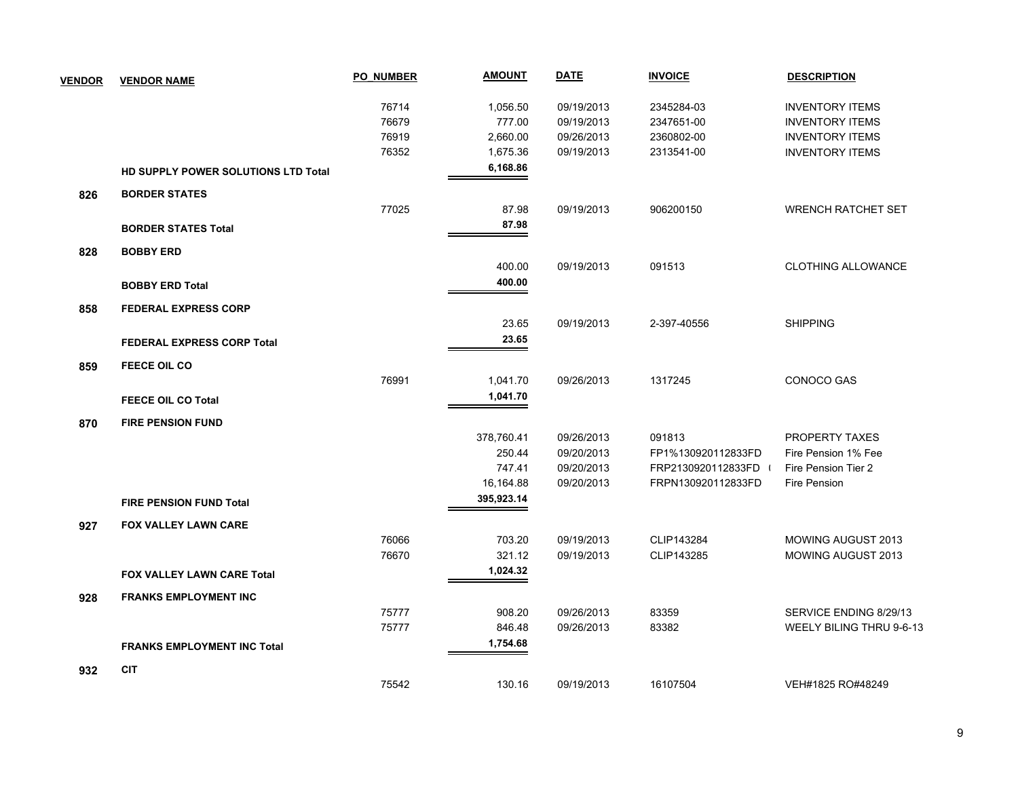| <b>VENDOR</b> | <b>VENDOR NAME</b>                  | <b>PO NUMBER</b> | <b>AMOUNT</b> | <b>DATE</b> | <b>INVOICE</b>     | <b>DESCRIPTION</b>        |
|---------------|-------------------------------------|------------------|---------------|-------------|--------------------|---------------------------|
|               |                                     | 76714            | 1,056.50      | 09/19/2013  | 2345284-03         | <b>INVENTORY ITEMS</b>    |
|               |                                     | 76679            | 777.00        | 09/19/2013  | 2347651-00         | <b>INVENTORY ITEMS</b>    |
|               |                                     | 76919            | 2,660.00      | 09/26/2013  | 2360802-00         | <b>INVENTORY ITEMS</b>    |
|               |                                     | 76352            | 1,675.36      | 09/19/2013  | 2313541-00         | <b>INVENTORY ITEMS</b>    |
|               | HD SUPPLY POWER SOLUTIONS LTD Total |                  | 6,168.86      |             |                    |                           |
| 826           | <b>BORDER STATES</b>                |                  |               |             |                    |                           |
|               |                                     | 77025            | 87.98         | 09/19/2013  | 906200150          | <b>WRENCH RATCHET SET</b> |
|               | <b>BORDER STATES Total</b>          |                  | 87.98         |             |                    |                           |
| 828           | <b>BOBBY ERD</b>                    |                  |               |             |                    |                           |
|               |                                     |                  | 400.00        | 09/19/2013  | 091513             | <b>CLOTHING ALLOWANCE</b> |
|               | <b>BOBBY ERD Total</b>              |                  | 400.00        |             |                    |                           |
| 858           | <b>FEDERAL EXPRESS CORP</b>         |                  |               |             |                    |                           |
|               |                                     |                  | 23.65         | 09/19/2013  | 2-397-40556        | <b>SHIPPING</b>           |
|               | <b>FEDERAL EXPRESS CORP Total</b>   |                  | 23.65         |             |                    |                           |
| 859           | <b>FEECE OIL CO</b>                 |                  |               |             |                    |                           |
|               |                                     | 76991            | 1,041.70      | 09/26/2013  | 1317245            | CONOCO GAS                |
|               | <b>FEECE OIL CO Total</b>           |                  | 1,041.70      |             |                    |                           |
| 870           | <b>FIRE PENSION FUND</b>            |                  |               |             |                    |                           |
|               |                                     |                  | 378,760.41    | 09/26/2013  | 091813             | PROPERTY TAXES            |
|               |                                     |                  | 250.44        | 09/20/2013  | FP1%130920112833FD | Fire Pension 1% Fee       |
|               |                                     |                  | 747.41        | 09/20/2013  | FRP2130920112833FD | Fire Pension Tier 2       |
|               |                                     |                  | 16,164.88     | 09/20/2013  | FRPN130920112833FD | <b>Fire Pension</b>       |
|               | <b>FIRE PENSION FUND Total</b>      |                  | 395,923.14    |             |                    |                           |
| 927           | <b>FOX VALLEY LAWN CARE</b>         |                  |               |             |                    |                           |
|               |                                     | 76066            | 703.20        | 09/19/2013  | CLIP143284         | MOWING AUGUST 2013        |
|               |                                     | 76670            | 321.12        | 09/19/2013  | CLIP143285         | <b>MOWING AUGUST 2013</b> |
|               | <b>FOX VALLEY LAWN CARE Total</b>   |                  | 1,024.32      |             |                    |                           |
| 928           | <b>FRANKS EMPLOYMENT INC</b>        |                  |               |             |                    |                           |
|               |                                     | 75777            | 908.20        | 09/26/2013  | 83359              | SERVICE ENDING 8/29/13    |
|               |                                     | 75777            | 846.48        | 09/26/2013  | 83382              | WEELY BILING THRU 9-6-13  |
|               | <b>FRANKS EMPLOYMENT INC Total</b>  |                  | 1,754.68      |             |                    |                           |
| 932           | <b>CIT</b>                          |                  |               |             |                    |                           |
|               |                                     | 75542            | 130.16        | 09/19/2013  | 16107504           | VEH#1825 RO#48249         |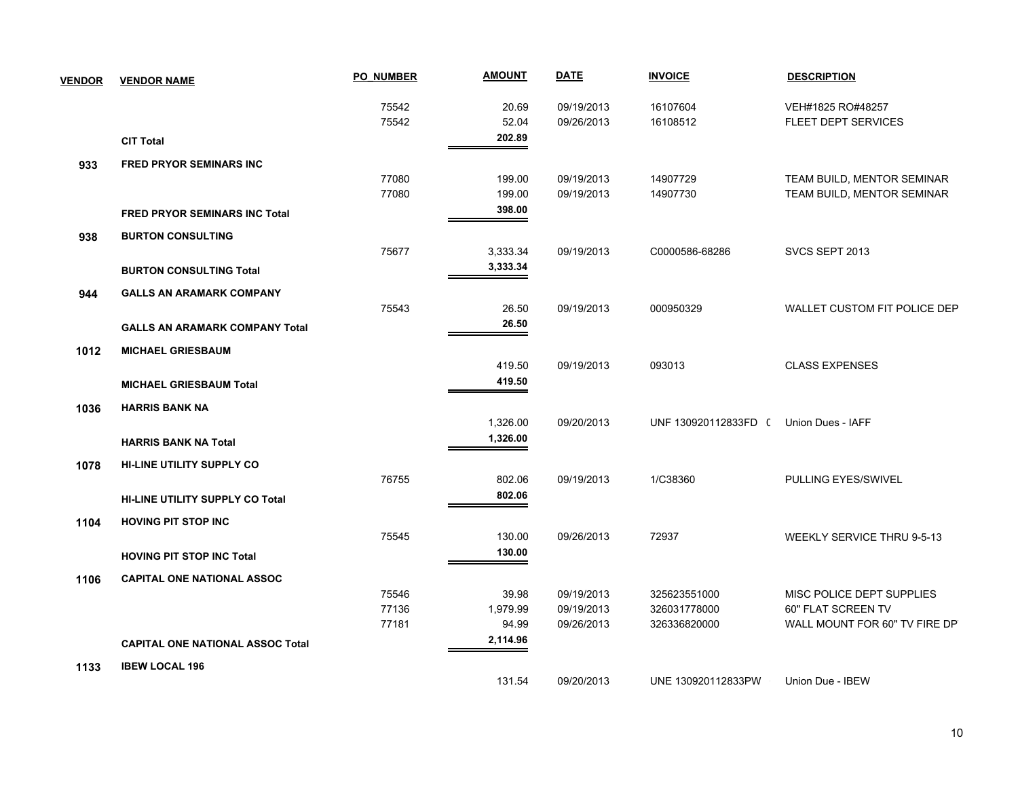| <b>VENDOR</b> | <b>VENDOR NAME</b>                      | <b>PO NUMBER</b> | <b>AMOUNT</b> | <b>DATE</b> | <b>INVOICE</b>       | <b>DESCRIPTION</b>            |
|---------------|-----------------------------------------|------------------|---------------|-------------|----------------------|-------------------------------|
|               |                                         | 75542            | 20.69         | 09/19/2013  | 16107604             | VEH#1825 RO#48257             |
|               |                                         | 75542            | 52.04         | 09/26/2013  | 16108512             | <b>FLEET DEPT SERVICES</b>    |
|               | <b>CIT Total</b>                        |                  | 202.89        |             |                      |                               |
| 933           | <b>FRED PRYOR SEMINARS INC</b>          |                  |               |             |                      |                               |
|               |                                         | 77080            | 199.00        | 09/19/2013  | 14907729             | TEAM BUILD, MENTOR SEMINAR    |
|               |                                         | 77080            | 199.00        | 09/19/2013  | 14907730             | TEAM BUILD, MENTOR SEMINAR    |
|               | <b>FRED PRYOR SEMINARS INC Total</b>    |                  | 398.00        |             |                      |                               |
| 938           | <b>BURTON CONSULTING</b>                |                  |               |             |                      |                               |
|               |                                         | 75677            | 3,333.34      | 09/19/2013  | C0000586-68286       | SVCS SEPT 2013                |
|               | <b>BURTON CONSULTING Total</b>          |                  | 3,333.34      |             |                      |                               |
| 944           | <b>GALLS AN ARAMARK COMPANY</b>         |                  |               |             |                      |                               |
|               |                                         | 75543            | 26.50         | 09/19/2013  | 000950329            | WALLET CUSTOM FIT POLICE DEP  |
|               | <b>GALLS AN ARAMARK COMPANY Total</b>   |                  | 26.50         |             |                      |                               |
| 1012          | <b>MICHAEL GRIESBAUM</b>                |                  |               |             |                      |                               |
|               |                                         |                  | 419.50        | 09/19/2013  | 093013               | <b>CLASS EXPENSES</b>         |
|               | <b>MICHAEL GRIESBAUM Total</b>          |                  | 419.50        |             |                      |                               |
| 1036          | <b>HARRIS BANK NA</b>                   |                  |               |             |                      |                               |
|               |                                         |                  | 1,326.00      | 09/20/2013  | UNF 130920112833FD ( | Union Dues - IAFF             |
|               | <b>HARRIS BANK NA Total</b>             |                  | 1,326.00      |             |                      |                               |
| 1078          | <b>HI-LINE UTILITY SUPPLY CO</b>        |                  |               |             |                      |                               |
|               |                                         | 76755            | 802.06        | 09/19/2013  | 1/C38360             | PULLING EYES/SWIVEL           |
|               | <b>HI-LINE UTILITY SUPPLY CO Total</b>  |                  | 802.06        |             |                      |                               |
| 1104          | <b>HOVING PIT STOP INC</b>              |                  |               |             |                      |                               |
|               |                                         | 75545            | 130.00        | 09/26/2013  | 72937                | WEEKLY SERVICE THRU 9-5-13    |
|               | <b>HOVING PIT STOP INC Total</b>        |                  | 130.00        |             |                      |                               |
| 1106          | <b>CAPITAL ONE NATIONAL ASSOC</b>       |                  |               |             |                      |                               |
|               |                                         | 75546            | 39.98         | 09/19/2013  | 325623551000         | MISC POLICE DEPT SUPPLIES     |
|               |                                         | 77136            | 1,979.99      | 09/19/2013  | 326031778000         | 60" FLAT SCREEN TV            |
|               |                                         | 77181            | 94.99         | 09/26/2013  | 326336820000         | WALL MOUNT FOR 60" TV FIRE DP |
|               | <b>CAPITAL ONE NATIONAL ASSOC Total</b> |                  | 2,114.96      |             |                      |                               |
| 1133          | <b>IBEW LOCAL 196</b>                   |                  |               |             |                      |                               |
|               |                                         |                  | 131.54        | 09/20/2013  | UNE 130920112833PW   | Union Due - IBEW              |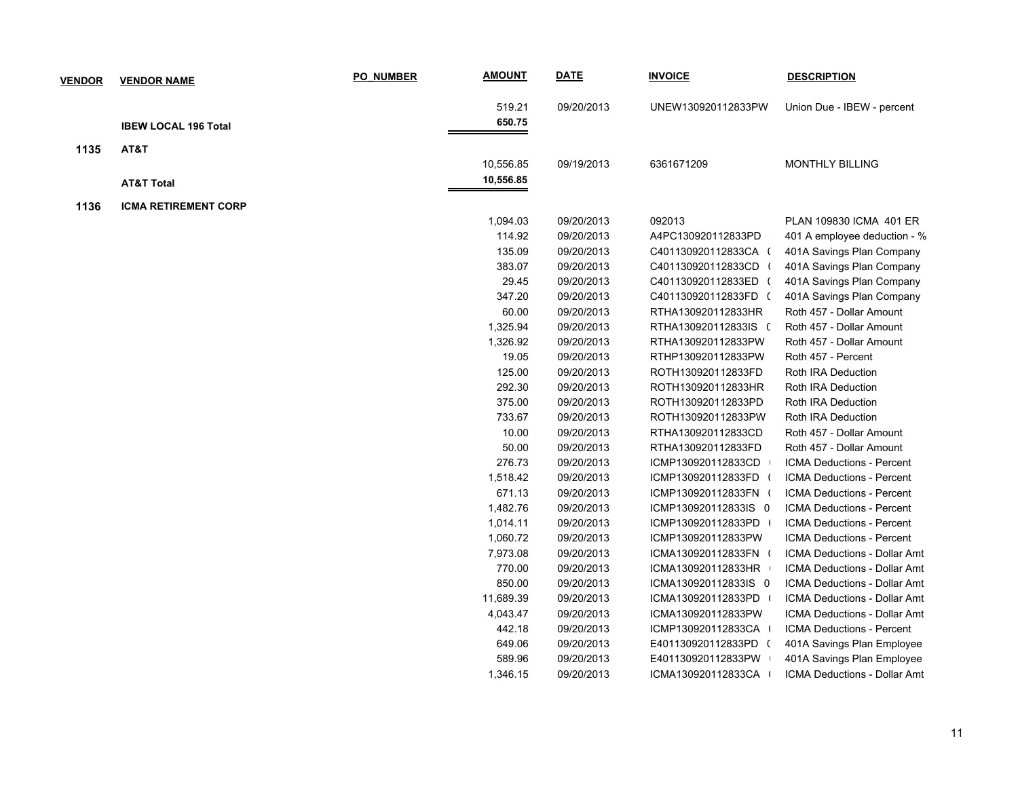| <b>VENDOR</b> | <b>VENDOR NAME</b>          | PO NUMBER | <b>AMOUNT</b> | <b>DATE</b> | <b>INVOICE</b>       | <b>DESCRIPTION</b>           |
|---------------|-----------------------------|-----------|---------------|-------------|----------------------|------------------------------|
|               |                             |           | 519.21        | 09/20/2013  | UNEW130920112833PW   | Union Due - IBEW - percent   |
|               | <b>IBEW LOCAL 196 Total</b> |           | 650.75        |             |                      |                              |
|               |                             |           |               |             |                      |                              |
| 1135          | AT&T                        |           |               |             |                      |                              |
|               |                             |           | 10,556.85     | 09/19/2013  | 6361671209           | <b>MONTHLY BILLING</b>       |
|               | <b>AT&amp;T Total</b>       |           | 10,556.85     |             |                      |                              |
| 1136          | <b>ICMA RETIREMENT CORP</b> |           |               |             |                      |                              |
|               |                             |           | 1,094.03      | 09/20/2013  | 092013               | PLAN 109830 ICMA 401 ER      |
|               |                             |           | 114.92        | 09/20/2013  | A4PC130920112833PD   | 401 A employee deduction - % |
|               |                             |           | 135.09        | 09/20/2013  | C401130920112833CA ( | 401A Savings Plan Company    |
|               |                             |           | 383.07        | 09/20/2013  | C401130920112833CD ( | 401A Savings Plan Company    |
|               |                             |           | 29.45         | 09/20/2013  | C401130920112833ED ( | 401A Savings Plan Company    |
|               |                             |           | 347.20        | 09/20/2013  | C401130920112833FD ( | 401A Savings Plan Company    |
|               |                             |           | 60.00         | 09/20/2013  | RTHA130920112833HR   | Roth 457 - Dollar Amount     |
|               |                             |           | 1,325.94      | 09/20/2013  | RTHA130920112833IS ( | Roth 457 - Dollar Amount     |
|               |                             |           | 1,326.92      | 09/20/2013  | RTHA130920112833PW   | Roth 457 - Dollar Amount     |
|               |                             |           | 19.05         | 09/20/2013  | RTHP130920112833PW   | Roth 457 - Percent           |
|               |                             |           | 125.00        | 09/20/2013  | ROTH130920112833FD   | Roth IRA Deduction           |
|               |                             |           | 292.30        | 09/20/2013  | ROTH130920112833HR   | Roth IRA Deduction           |
|               |                             |           | 375.00        | 09/20/2013  | ROTH130920112833PD   | Roth IRA Deduction           |
|               |                             |           | 733.67        | 09/20/2013  | ROTH130920112833PW   | Roth IRA Deduction           |
|               |                             |           | 10.00         | 09/20/2013  | RTHA130920112833CD   | Roth 457 - Dollar Amount     |
|               |                             |           | 50.00         | 09/20/2013  | RTHA130920112833FD   | Roth 457 - Dollar Amount     |
|               |                             |           | 276.73        | 09/20/2013  | ICMP130920112833CD   | ICMA Deductions - Percent    |
|               |                             |           | 1,518.42      | 09/20/2013  | ICMP130920112833FD ( | ICMA Deductions - Percent    |
|               |                             |           | 671.13        | 09/20/2013  | ICMP130920112833FN ( | ICMA Deductions - Percent    |
|               |                             |           | 1,482.76      | 09/20/2013  | ICMP130920112833IS 0 | ICMA Deductions - Percent    |
|               |                             |           | 1,014.11      | 09/20/2013  | ICMP130920112833PD   | ICMA Deductions - Percent    |
|               |                             |           | 1,060.72      | 09/20/2013  | ICMP130920112833PW   | ICMA Deductions - Percent    |
|               |                             |           | 7,973.08      | 09/20/2013  | ICMA130920112833FN ( | ICMA Deductions - Dollar Amt |
|               |                             |           | 770.00        | 09/20/2013  | ICMA130920112833HR   | ICMA Deductions - Dollar Amt |
|               |                             |           | 850.00        | 09/20/2013  | ICMA130920112833IS 0 | ICMA Deductions - Dollar Amt |
|               |                             |           | 11,689.39     | 09/20/2013  | ICMA130920112833PD   | ICMA Deductions - Dollar Amt |
|               |                             |           | 4,043.47      | 09/20/2013  | ICMA130920112833PW   | ICMA Deductions - Dollar Amt |
|               |                             |           | 442.18        | 09/20/2013  | ICMP130920112833CA   | ICMA Deductions - Percent    |
|               |                             |           | 649.06        | 09/20/2013  | E401130920112833PD ( | 401A Savings Plan Employee   |
|               |                             |           | 589.96        | 09/20/2013  | E401130920112833PW   | 401A Savings Plan Employee   |
|               |                             |           | 1,346.15      | 09/20/2013  | ICMA130920112833CA   | ICMA Deductions - Dollar Amt |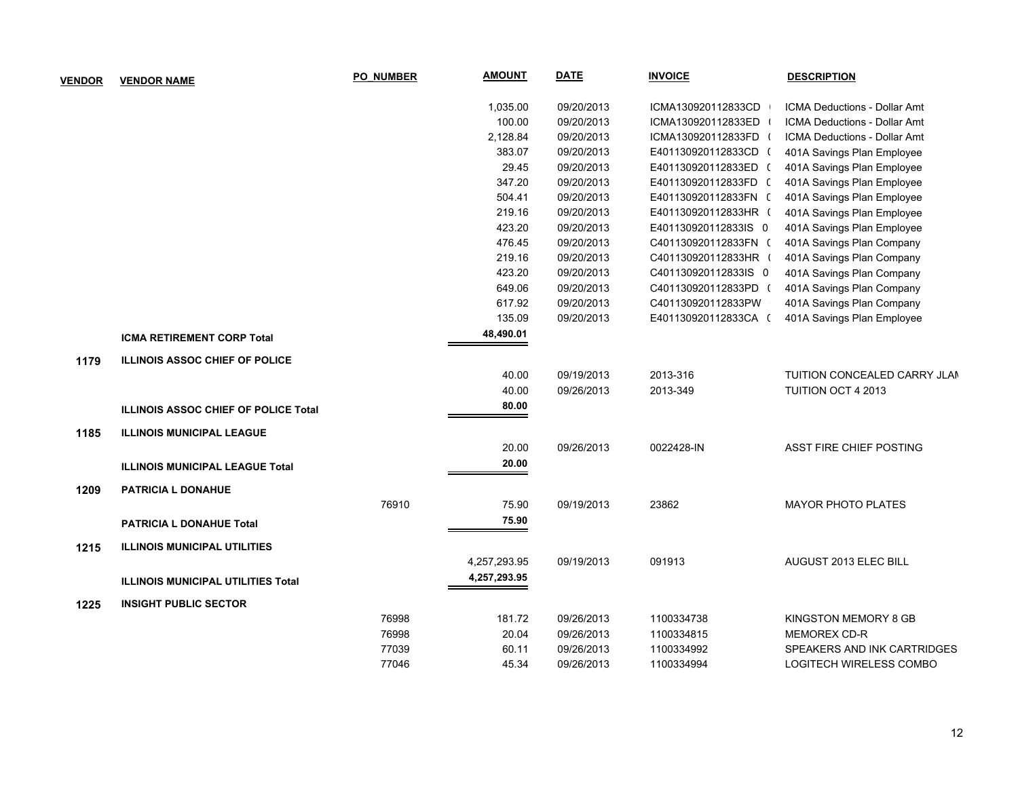| <b>VENDOR</b> | <b>VENDOR NAME</b>                        | <b>PO NUMBER</b> | <b>AMOUNT</b> | <b>DATE</b> | <b>INVOICE</b>       | <b>DESCRIPTION</b>                  |
|---------------|-------------------------------------------|------------------|---------------|-------------|----------------------|-------------------------------------|
|               |                                           |                  | 1,035.00      | 09/20/2013  | ICMA130920112833CD   | ICMA Deductions - Dollar Amt        |
|               |                                           |                  | 100.00        | 09/20/2013  | ICMA130920112833ED   | <b>ICMA Deductions - Dollar Amt</b> |
|               |                                           |                  | 2,128.84      | 09/20/2013  | ICMA130920112833FD ( | <b>ICMA Deductions - Dollar Amt</b> |
|               |                                           |                  | 383.07        | 09/20/2013  | E401130920112833CD ( | 401A Savings Plan Employee          |
|               |                                           |                  | 29.45         | 09/20/2013  | E401130920112833ED ( | 401A Savings Plan Employee          |
|               |                                           |                  | 347.20        | 09/20/2013  | E401130920112833FD ( | 401A Savings Plan Employee          |
|               |                                           |                  | 504.41        | 09/20/2013  | E401130920112833FN ( | 401A Savings Plan Employee          |
|               |                                           |                  | 219.16        | 09/20/2013  | E401130920112833HR ( | 401A Savings Plan Employee          |
|               |                                           |                  | 423.20        | 09/20/2013  | E401130920112833IS 0 | 401A Savings Plan Employee          |
|               |                                           |                  | 476.45        | 09/20/2013  | C401130920112833FN ( | 401A Savings Plan Company           |
|               |                                           |                  | 219.16        | 09/20/2013  | C401130920112833HR ( | 401A Savings Plan Company           |
|               |                                           |                  | 423.20        | 09/20/2013  | C401130920112833IS 0 | 401A Savings Plan Company           |
|               |                                           |                  | 649.06        | 09/20/2013  | C401130920112833PD ( | 401A Savings Plan Company           |
|               |                                           |                  | 617.92        | 09/20/2013  | C401130920112833PW   | 401A Savings Plan Company           |
|               |                                           |                  | 135.09        | 09/20/2013  | E401130920112833CA ( | 401A Savings Plan Employee          |
|               | <b>ICMA RETIREMENT CORP Total</b>         |                  | 48,490.01     |             |                      |                                     |
| 1179          | <b>ILLINOIS ASSOC CHIEF OF POLICE</b>     |                  |               |             |                      |                                     |
|               |                                           |                  | 40.00         | 09/19/2013  | 2013-316             | TUITION CONCEALED CARRY JLAN        |
|               |                                           |                  | 40.00         | 09/26/2013  | 2013-349             | <b>TUITION OCT 4 2013</b>           |
|               | ILLINOIS ASSOC CHIEF OF POLICE Total      |                  | 80.00         |             |                      |                                     |
| 1185          | <b>ILLINOIS MUNICIPAL LEAGUE</b>          |                  |               |             |                      |                                     |
|               |                                           |                  | 20.00         | 09/26/2013  | 0022428-IN           | ASST FIRE CHIEF POSTING             |
|               | <b>ILLINOIS MUNICIPAL LEAGUE Total</b>    |                  | 20.00         |             |                      |                                     |
| 1209          | <b>PATRICIA L DONAHUE</b>                 |                  |               |             |                      |                                     |
|               |                                           | 76910            | 75.90         | 09/19/2013  | 23862                | <b>MAYOR PHOTO PLATES</b>           |
|               | <b>PATRICIA L DONAHUE Total</b>           |                  | 75.90         |             |                      |                                     |
| 1215          | <b>ILLINOIS MUNICIPAL UTILITIES</b>       |                  |               |             |                      |                                     |
|               |                                           |                  | 4,257,293.95  | 09/19/2013  | 091913               | AUGUST 2013 ELEC BILL               |
|               | <b>ILLINOIS MUNICIPAL UTILITIES Total</b> |                  | 4,257,293.95  |             |                      |                                     |
|               |                                           |                  |               |             |                      |                                     |
| 1225          | <b>INSIGHT PUBLIC SECTOR</b>              |                  |               |             |                      |                                     |
|               |                                           | 76998            | 181.72        | 09/26/2013  | 1100334738           | KINGSTON MEMORY 8 GB                |
|               |                                           | 76998            | 20.04         | 09/26/2013  | 1100334815           | MEMOREX CD-R                        |
|               |                                           | 77039            | 60.11         | 09/26/2013  | 1100334992           | SPEAKERS AND INK CARTRIDGES         |
|               |                                           | 77046            | 45.34         | 09/26/2013  | 1100334994           | LOGITECH WIRELESS COMBO             |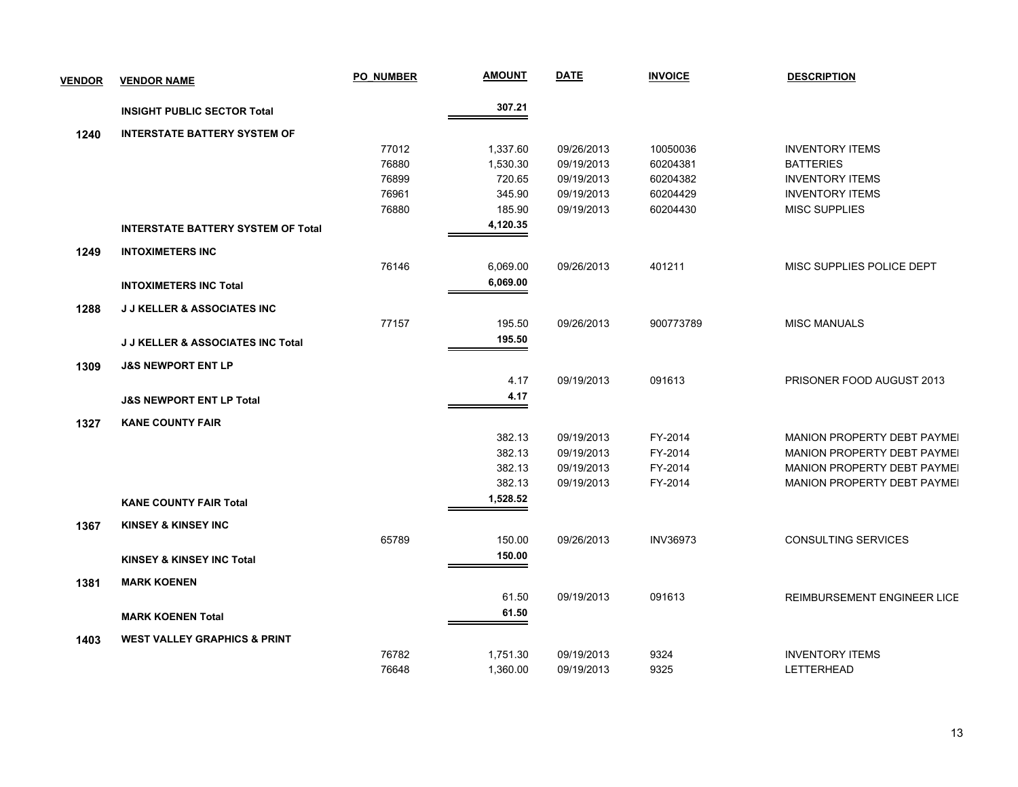| <b>VENDOR</b> | <b>VENDOR NAME</b>                           | <b>PO NUMBER</b> | <u>AMOUNT</u> | <b>DATE</b> | <b>INVOICE</b>  | <b>DESCRIPTION</b>                 |
|---------------|----------------------------------------------|------------------|---------------|-------------|-----------------|------------------------------------|
|               | <b>INSIGHT PUBLIC SECTOR Total</b>           |                  | 307.21        |             |                 |                                    |
| 1240          | <b>INTERSTATE BATTERY SYSTEM OF</b>          |                  |               |             |                 |                                    |
|               |                                              | 77012            | 1,337.60      | 09/26/2013  | 10050036        | <b>INVENTORY ITEMS</b>             |
|               |                                              | 76880            | 1,530.30      | 09/19/2013  | 60204381        | <b>BATTERIES</b>                   |
|               |                                              | 76899            | 720.65        | 09/19/2013  | 60204382        | <b>INVENTORY ITEMS</b>             |
|               |                                              | 76961            | 345.90        | 09/19/2013  | 60204429        | <b>INVENTORY ITEMS</b>             |
|               |                                              | 76880            | 185.90        | 09/19/2013  | 60204430        | <b>MISC SUPPLIES</b>               |
|               | <b>INTERSTATE BATTERY SYSTEM OF Total</b>    |                  | 4,120.35      |             |                 |                                    |
| 1249          | <b>INTOXIMETERS INC</b>                      |                  |               |             |                 |                                    |
|               |                                              | 76146            | 6,069.00      | 09/26/2013  | 401211          | MISC SUPPLIES POLICE DEPT          |
|               | <b>INTOXIMETERS INC Total</b>                |                  | 6,069.00      |             |                 |                                    |
| 1288          | <b>J J KELLER &amp; ASSOCIATES INC</b>       |                  |               |             |                 |                                    |
|               |                                              | 77157            | 195.50        | 09/26/2013  | 900773789       | <b>MISC MANUALS</b>                |
|               | <b>J J KELLER &amp; ASSOCIATES INC Total</b> |                  | 195.50        |             |                 |                                    |
| 1309          | <b>J&amp;S NEWPORT ENT LP</b>                |                  |               |             |                 |                                    |
|               |                                              |                  | 4.17          | 09/19/2013  | 091613          | PRISONER FOOD AUGUST 2013          |
|               | <b>J&amp;S NEWPORT ENT LP Total</b>          |                  | 4.17          |             |                 |                                    |
| 1327          | <b>KANE COUNTY FAIR</b>                      |                  |               |             |                 |                                    |
|               |                                              |                  | 382.13        | 09/19/2013  | FY-2014         | MANION PROPERTY DEBT PAYMEI        |
|               |                                              |                  | 382.13        | 09/19/2013  | FY-2014         | <b>MANION PROPERTY DEBT PAYMEL</b> |
|               |                                              |                  | 382.13        | 09/19/2013  | FY-2014         | MANION PROPERTY DEBT PAYMEI        |
|               |                                              |                  | 382.13        | 09/19/2013  | FY-2014         | MANION PROPERTY DEBT PAYMEI        |
|               | <b>KANE COUNTY FAIR Total</b>                |                  | 1,528.52      |             |                 |                                    |
| 1367          | <b>KINSEY &amp; KINSEY INC</b>               |                  |               |             |                 |                                    |
|               |                                              | 65789            | 150.00        | 09/26/2013  | <b>INV36973</b> | <b>CONSULTING SERVICES</b>         |
|               | <b>KINSEY &amp; KINSEY INC Total</b>         |                  | 150.00        |             |                 |                                    |
|               |                                              |                  |               |             |                 |                                    |
| 1381          | <b>MARK KOENEN</b>                           |                  |               |             |                 |                                    |
|               |                                              |                  | 61.50         | 09/19/2013  | 091613          | REIMBURSEMENT ENGINEER LICE        |
|               | <b>MARK KOENEN Total</b>                     |                  | 61.50         |             |                 |                                    |
| 1403          | <b>WEST VALLEY GRAPHICS &amp; PRINT</b>      |                  |               |             |                 |                                    |
|               |                                              | 76782            | 1,751.30      | 09/19/2013  | 9324            | <b>INVENTORY ITEMS</b>             |
|               |                                              | 76648            | 1,360.00      | 09/19/2013  | 9325            | <b>LETTERHEAD</b>                  |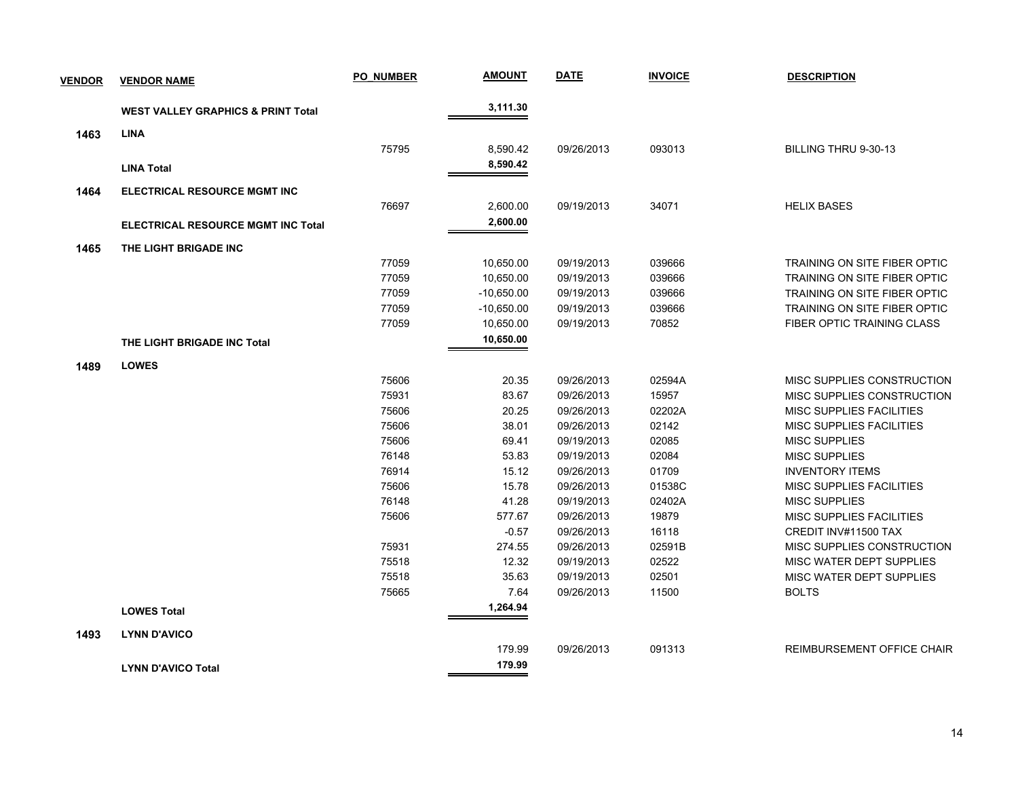| <b>VENDOR</b> | <b>VENDOR NAME</b>                            | <b>PO NUMBER</b> | <b>AMOUNT</b> | <b>DATE</b> | <b>INVOICE</b> | <b>DESCRIPTION</b>                |
|---------------|-----------------------------------------------|------------------|---------------|-------------|----------------|-----------------------------------|
|               | <b>WEST VALLEY GRAPHICS &amp; PRINT Total</b> |                  | 3,111.30      |             |                |                                   |
| 1463          | <b>LINA</b>                                   |                  |               |             |                |                                   |
|               |                                               | 75795            | 8,590.42      | 09/26/2013  | 093013         | BILLING THRU 9-30-13              |
|               | <b>LINA Total</b>                             |                  | 8,590.42      |             |                |                                   |
|               |                                               |                  |               |             |                |                                   |
| 1464          | ELECTRICAL RESOURCE MGMT INC                  |                  |               |             |                |                                   |
|               |                                               | 76697            | 2,600.00      | 09/19/2013  | 34071          | <b>HELIX BASES</b>                |
|               | <b>ELECTRICAL RESOURCE MGMT INC Total</b>     |                  | 2,600.00      |             |                |                                   |
| 1465          | THE LIGHT BRIGADE INC                         |                  |               |             |                |                                   |
|               |                                               | 77059            | 10,650.00     | 09/19/2013  | 039666         | TRAINING ON SITE FIBER OPTIC      |
|               |                                               | 77059            | 10,650.00     | 09/19/2013  | 039666         | TRAINING ON SITE FIBER OPTIC      |
|               |                                               | 77059            | $-10,650.00$  | 09/19/2013  | 039666         | TRAINING ON SITE FIBER OPTIC      |
|               |                                               | 77059            | $-10,650.00$  | 09/19/2013  | 039666         | TRAINING ON SITE FIBER OPTIC      |
|               |                                               | 77059            | 10,650.00     | 09/19/2013  | 70852          | FIBER OPTIC TRAINING CLASS        |
|               | THE LIGHT BRIGADE INC Total                   |                  | 10,650.00     |             |                |                                   |
| 1489          | <b>LOWES</b>                                  |                  |               |             |                |                                   |
|               |                                               | 75606            | 20.35         | 09/26/2013  | 02594A         | MISC SUPPLIES CONSTRUCTION        |
|               |                                               | 75931            | 83.67         | 09/26/2013  | 15957          | MISC SUPPLIES CONSTRUCTION        |
|               |                                               | 75606            | 20.25         | 09/26/2013  | 02202A         | <b>MISC SUPPLIES FACILITIES</b>   |
|               |                                               | 75606            | 38.01         | 09/26/2013  | 02142          | MISC SUPPLIES FACILITIES          |
|               |                                               | 75606            | 69.41         | 09/19/2013  | 02085          | <b>MISC SUPPLIES</b>              |
|               |                                               | 76148            | 53.83         | 09/19/2013  | 02084          | <b>MISC SUPPLIES</b>              |
|               |                                               | 76914            | 15.12         | 09/26/2013  | 01709          | <b>INVENTORY ITEMS</b>            |
|               |                                               | 75606            | 15.78         | 09/26/2013  | 01538C         | <b>MISC SUPPLIES FACILITIES</b>   |
|               |                                               | 76148            | 41.28         | 09/19/2013  | 02402A         | <b>MISC SUPPLIES</b>              |
|               |                                               | 75606            | 577.67        | 09/26/2013  | 19879          | <b>MISC SUPPLIES FACILITIES</b>   |
|               |                                               |                  | $-0.57$       | 09/26/2013  | 16118          | CREDIT INV#11500 TAX              |
|               |                                               | 75931            | 274.55        | 09/26/2013  | 02591B         | MISC SUPPLIES CONSTRUCTION        |
|               |                                               | 75518            | 12.32         | 09/19/2013  | 02522          | MISC WATER DEPT SUPPLIES          |
|               |                                               | 75518            | 35.63         | 09/19/2013  | 02501          | MISC WATER DEPT SUPPLIES          |
|               |                                               | 75665            | 7.64          | 09/26/2013  | 11500          | <b>BOLTS</b>                      |
|               | <b>LOWES Total</b>                            |                  | 1,264.94      |             |                |                                   |
| 1493          | <b>LYNN D'AVICO</b>                           |                  |               |             |                |                                   |
|               |                                               |                  | 179.99        | 09/26/2013  | 091313         | <b>REIMBURSEMENT OFFICE CHAIR</b> |
|               |                                               |                  | 179.99        |             |                |                                   |
|               | <b>LYNN D'AVICO Total</b>                     |                  |               |             |                |                                   |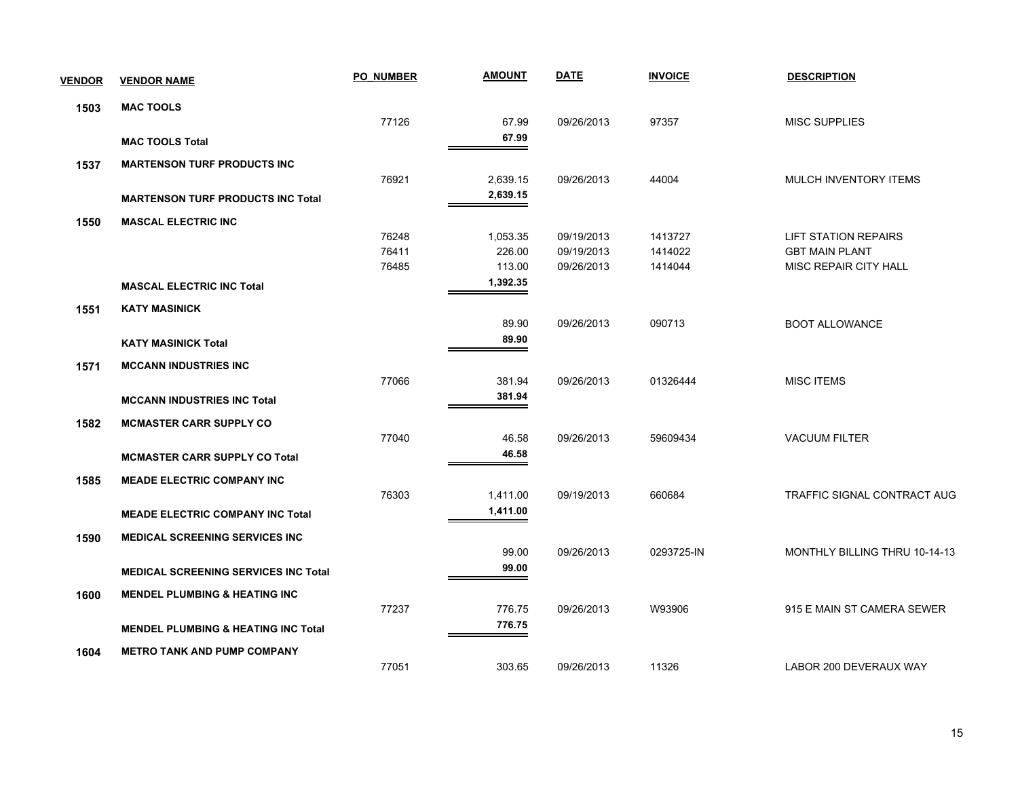| <b>VENDOR</b> | <b>VENDOR NAME</b>                             | PO NUMBER | <b>AMOUNT</b> | <b>DATE</b> | <b>INVOICE</b> | <b>DESCRIPTION</b>            |
|---------------|------------------------------------------------|-----------|---------------|-------------|----------------|-------------------------------|
| 1503          | <b>MAC TOOLS</b>                               |           |               |             |                |                               |
|               |                                                | 77126     | 67.99         | 09/26/2013  | 97357          | <b>MISC SUPPLIES</b>          |
|               | <b>MAC TOOLS Total</b>                         |           | 67.99         |             |                |                               |
| 1537          | <b>MARTENSON TURF PRODUCTS INC</b>             |           |               |             |                |                               |
|               |                                                | 76921     | 2,639.15      | 09/26/2013  | 44004          | MULCH INVENTORY ITEMS         |
|               | <b>MARTENSON TURF PRODUCTS INC Total</b>       |           | 2,639.15      |             |                |                               |
| 1550          | <b>MASCAL ELECTRIC INC</b>                     |           |               |             |                |                               |
|               |                                                | 76248     | 1,053.35      | 09/19/2013  | 1413727        | <b>LIFT STATION REPAIRS</b>   |
|               |                                                | 76411     | 226.00        | 09/19/2013  | 1414022        | <b>GBT MAIN PLANT</b>         |
|               |                                                | 76485     | 113.00        | 09/26/2013  | 1414044        | MISC REPAIR CITY HALL         |
|               | <b>MASCAL ELECTRIC INC Total</b>               |           | 1,392.35      |             |                |                               |
| 1551          | <b>KATY MASINICK</b>                           |           |               |             |                |                               |
|               |                                                |           | 89.90         | 09/26/2013  | 090713         | <b>BOOT ALLOWANCE</b>         |
|               | <b>KATY MASINICK Total</b>                     |           | 89.90         |             |                |                               |
| 1571          | <b>MCCANN INDUSTRIES INC</b>                   |           |               |             |                |                               |
|               |                                                | 77066     | 381.94        | 09/26/2013  | 01326444       | <b>MISC ITEMS</b>             |
|               | <b>MCCANN INDUSTRIES INC Total</b>             |           | 381.94        |             |                |                               |
| 1582          | <b>MCMASTER CARR SUPPLY CO</b>                 |           |               |             |                |                               |
|               |                                                | 77040     | 46.58         | 09/26/2013  | 59609434       | <b>VACUUM FILTER</b>          |
|               | <b>MCMASTER CARR SUPPLY CO Total</b>           |           | 46.58         |             |                |                               |
| 1585          | <b>MEADE ELECTRIC COMPANY INC</b>              |           |               |             |                |                               |
|               |                                                | 76303     | 1,411.00      | 09/19/2013  | 660684         | TRAFFIC SIGNAL CONTRACT AUG   |
|               | <b>MEADE ELECTRIC COMPANY INC Total</b>        |           | 1,411.00      |             |                |                               |
| 1590          | MEDICAL SCREENING SERVICES INC                 |           |               |             |                |                               |
|               |                                                |           | 99.00         | 09/26/2013  | 0293725-IN     | MONTHLY BILLING THRU 10-14-13 |
|               | <b>MEDICAL SCREENING SERVICES INC Total</b>    |           | 99.00         |             |                |                               |
|               |                                                |           |               |             |                |                               |
| 1600          | <b>MENDEL PLUMBING &amp; HEATING INC</b>       |           |               |             |                |                               |
|               |                                                | 77237     | 776.75        | 09/26/2013  | W93906         | 915 E MAIN ST CAMERA SEWER    |
|               | <b>MENDEL PLUMBING &amp; HEATING INC Total</b> |           | 776.75        |             |                |                               |
| 1604          | <b>METRO TANK AND PUMP COMPANY</b>             |           |               |             |                |                               |
|               |                                                | 77051     | 303.65        | 09/26/2013  | 11326          | LABOR 200 DEVERAUX WAY        |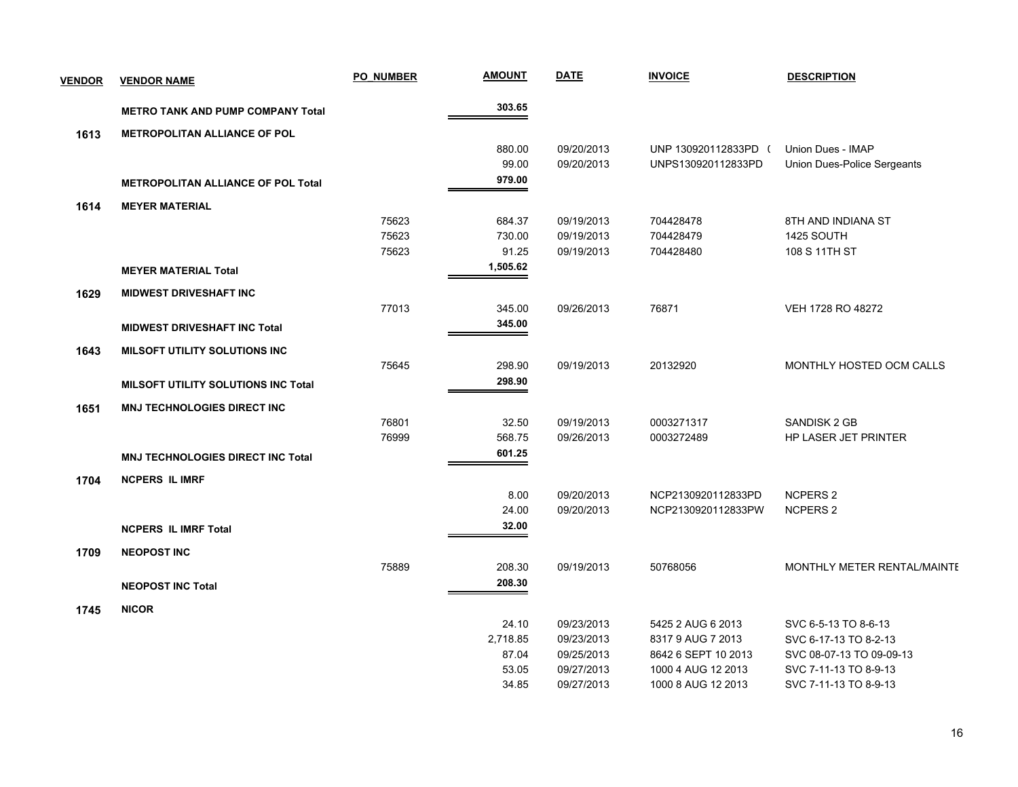| <b>VENDOR</b> | <b>VENDOR NAME</b>                        | <b>PO NUMBER</b> | <b>AMOUNT</b> | <b>DATE</b> | <b>INVOICE</b>       | <b>DESCRIPTION</b>          |
|---------------|-------------------------------------------|------------------|---------------|-------------|----------------------|-----------------------------|
|               | <b>METRO TANK AND PUMP COMPANY Total</b>  |                  | 303.65        |             |                      |                             |
| 1613          | <b>METROPOLITAN ALLIANCE OF POL</b>       |                  |               |             |                      |                             |
|               |                                           |                  | 880.00        | 09/20/2013  | UNP 130920112833PD ( | Union Dues - IMAP           |
|               |                                           |                  | 99.00         | 09/20/2013  | UNPS130920112833PD   | Union Dues-Police Sergeants |
|               | <b>METROPOLITAN ALLIANCE OF POL Total</b> |                  | 979.00        |             |                      |                             |
| 1614          | <b>MEYER MATERIAL</b>                     |                  |               |             |                      |                             |
|               |                                           | 75623            | 684.37        | 09/19/2013  | 704428478            | 8TH AND INDIANA ST          |
|               |                                           | 75623            | 730.00        | 09/19/2013  | 704428479            | 1425 SOUTH                  |
|               |                                           | 75623            | 91.25         | 09/19/2013  | 704428480            | 108 S 11TH ST               |
|               | <b>MEYER MATERIAL Total</b>               |                  | 1,505.62      |             |                      |                             |
| 1629          | <b>MIDWEST DRIVESHAFT INC</b>             |                  |               |             |                      |                             |
|               |                                           | 77013            | 345.00        | 09/26/2013  | 76871                | VEH 1728 RO 48272           |
|               | <b>MIDWEST DRIVESHAFT INC Total</b>       |                  | 345.00        |             |                      |                             |
| 1643          | <b>MILSOFT UTILITY SOLUTIONS INC</b>      |                  |               |             |                      |                             |
|               |                                           | 75645            | 298.90        | 09/19/2013  | 20132920             | MONTHLY HOSTED OCM CALLS    |
|               | MILSOFT UTILITY SOLUTIONS INC Total       |                  | 298.90        |             |                      |                             |
| 1651          | <b>MNJ TECHNOLOGIES DIRECT INC</b>        |                  |               |             |                      |                             |
|               |                                           | 76801            | 32.50         | 09/19/2013  | 0003271317           | <b>SANDISK 2 GB</b>         |
|               |                                           | 76999            | 568.75        | 09/26/2013  | 0003272489           | HP LASER JET PRINTER        |
|               | <b>MNJ TECHNOLOGIES DIRECT INC Total</b>  |                  | 601.25        |             |                      |                             |
| 1704          | <b>NCPERS IL IMRF</b>                     |                  |               |             |                      |                             |
|               |                                           |                  | 8.00          | 09/20/2013  | NCP2130920112833PD   | <b>NCPERS 2</b>             |
|               |                                           |                  | 24.00         | 09/20/2013  | NCP2130920112833PW   | <b>NCPERS 2</b>             |
|               | <b>NCPERS IL IMRF Total</b>               |                  | 32.00         |             |                      |                             |
| 1709          | <b>NEOPOST INC</b>                        |                  |               |             |                      |                             |
|               |                                           | 75889            | 208.30        | 09/19/2013  | 50768056             | MONTHLY METER RENTAL/MAINTE |
|               | <b>NEOPOST INC Total</b>                  |                  | 208.30        |             |                      |                             |
| 1745          | <b>NICOR</b>                              |                  |               |             |                      |                             |
|               |                                           |                  | 24.10         | 09/23/2013  | 5425 2 AUG 6 2013    | SVC 6-5-13 TO 8-6-13        |
|               |                                           |                  | 2,718.85      | 09/23/2013  | 8317 9 AUG 7 2013    | SVC 6-17-13 TO 8-2-13       |
|               |                                           |                  | 87.04         | 09/25/2013  | 8642 6 SEPT 10 2013  | SVC 08-07-13 TO 09-09-13    |
|               |                                           |                  | 53.05         | 09/27/2013  | 1000 4 AUG 12 2013   | SVC 7-11-13 TO 8-9-13       |
|               |                                           |                  | 34.85         | 09/27/2013  | 1000 8 AUG 12 2013   | SVC 7-11-13 TO 8-9-13       |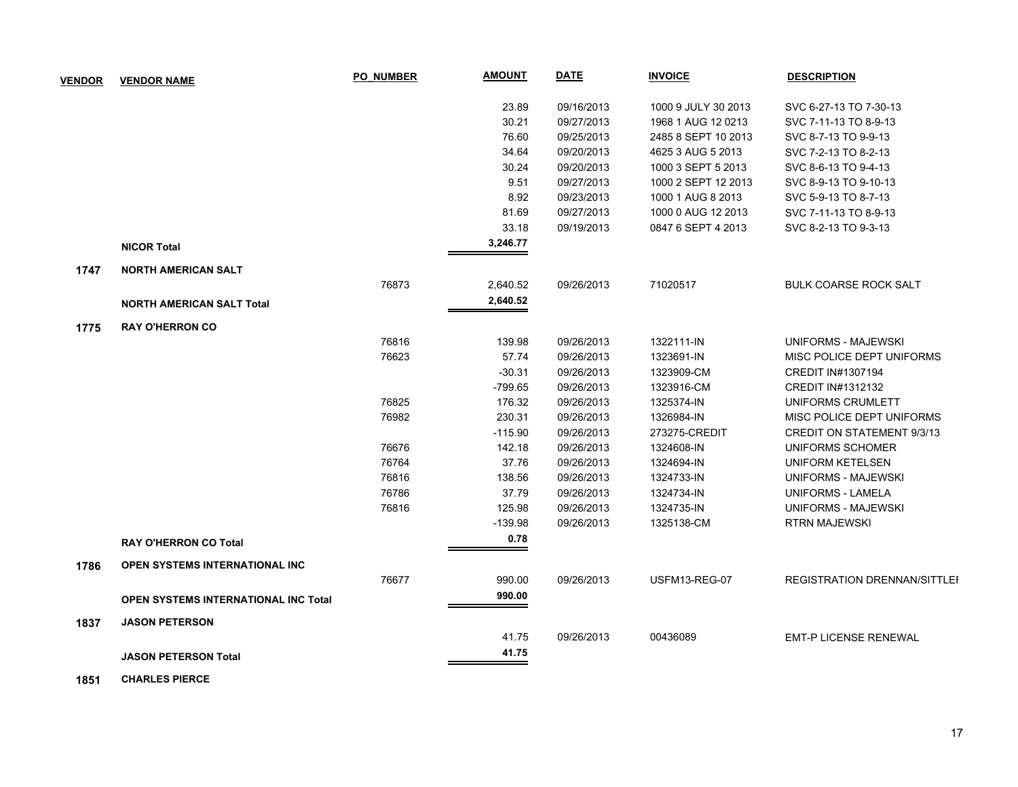| <b>VENDOR</b> | <b>VENDOR NAME</b>                          | <b>PO NUMBER</b> | <b>AMOUNT</b> | <b>DATE</b> | <b>INVOICE</b>      | <b>DESCRIPTION</b>                  |
|---------------|---------------------------------------------|------------------|---------------|-------------|---------------------|-------------------------------------|
|               |                                             |                  | 23.89         | 09/16/2013  | 1000 9 JULY 30 2013 | SVC 6-27-13 TO 7-30-13              |
|               |                                             |                  | 30.21         | 09/27/2013  | 1968 1 AUG 12 0213  | SVC 7-11-13 TO 8-9-13               |
|               |                                             |                  | 76.60         | 09/25/2013  | 2485 8 SEPT 10 2013 | SVC 8-7-13 TO 9-9-13                |
|               |                                             |                  | 34.64         | 09/20/2013  | 4625 3 AUG 5 2013   | SVC 7-2-13 TO 8-2-13                |
|               |                                             |                  | 30.24         | 09/20/2013  | 1000 3 SEPT 5 2013  | SVC 8-6-13 TO 9-4-13                |
|               |                                             |                  | 9.51          | 09/27/2013  | 1000 2 SEPT 12 2013 | SVC 8-9-13 TO 9-10-13               |
|               |                                             |                  | 8.92          | 09/23/2013  | 1000 1 AUG 8 2013   | SVC 5-9-13 TO 8-7-13                |
|               |                                             |                  | 81.69         | 09/27/2013  | 1000 0 AUG 12 2013  | SVC 7-11-13 TO 8-9-13               |
|               |                                             |                  | 33.18         | 09/19/2013  | 0847 6 SEPT 4 2013  | SVC 8-2-13 TO 9-3-13                |
|               | <b>NICOR Total</b>                          |                  | 3,246.77      |             |                     |                                     |
| 1747          | <b>NORTH AMERICAN SALT</b>                  |                  |               |             |                     |                                     |
|               |                                             | 76873            | 2,640.52      | 09/26/2013  | 71020517            | <b>BULK COARSE ROCK SALT</b>        |
|               | <b>NORTH AMERICAN SALT Total</b>            |                  | 2,640.52      |             |                     |                                     |
| 1775          | <b>RAY O'HERRON CO</b>                      |                  |               |             |                     |                                     |
|               |                                             | 76816            | 139.98        | 09/26/2013  | 1322111-IN          | UNIFORMS - MAJEWSKI                 |
|               |                                             | 76623            | 57.74         | 09/26/2013  | 1323691-IN          | MISC POLICE DEPT UNIFORMS           |
|               |                                             |                  | $-30.31$      | 09/26/2013  | 1323909-CM          | CREDIT IN#1307194                   |
|               |                                             |                  | $-799.65$     | 09/26/2013  | 1323916-CM          | CREDIT IN#1312132                   |
|               |                                             | 76825            | 176.32        | 09/26/2013  | 1325374-IN          | UNIFORMS CRUMLETT                   |
|               |                                             | 76982            | 230.31        | 09/26/2013  | 1326984-IN          | MISC POLICE DEPT UNIFORMS           |
|               |                                             |                  | $-115.90$     | 09/26/2013  | 273275-CREDIT       | CREDIT ON STATEMENT 9/3/13          |
|               |                                             | 76676            | 142.18        | 09/26/2013  | 1324608-IN          | UNIFORMS SCHOMER                    |
|               |                                             | 76764            | 37.76         | 09/26/2013  | 1324694-IN          | <b>UNIFORM KETELSEN</b>             |
|               |                                             | 76816            | 138.56        | 09/26/2013  | 1324733-IN          | <b>UNIFORMS - MAJEWSKI</b>          |
|               |                                             | 76786            | 37.79         | 09/26/2013  | 1324734-IN          | <b>UNIFORMS - LAMELA</b>            |
|               |                                             | 76816            | 125.98        | 09/26/2013  | 1324735-IN          | UNIFORMS - MAJEWSKI                 |
|               |                                             |                  | $-139.98$     | 09/26/2013  | 1325138-CM          | <b>RTRN MAJEWSKI</b>                |
|               | <b>RAY O'HERRON CO Total</b>                |                  | 0.78          |             |                     |                                     |
| 1786          | <b>OPEN SYSTEMS INTERNATIONAL INC.</b>      |                  |               |             |                     |                                     |
|               |                                             | 76677            | 990.00        | 09/26/2013  | USFM13-REG-07       | <b>REGISTRATION DRENNAN/SITTLEI</b> |
|               | <b>OPEN SYSTEMS INTERNATIONAL INC Total</b> |                  | 990.00        |             |                     |                                     |
| 1837          | <b>JASON PETERSON</b>                       |                  |               |             |                     |                                     |
|               |                                             |                  | 41.75         | 09/26/2013  | 00436089            | <b>EMT-P LICENSE RENEWAL</b>        |
|               | <b>JASON PETERSON Total</b>                 |                  | 41.75         |             |                     |                                     |

 **1851 CHARLES PIERCE**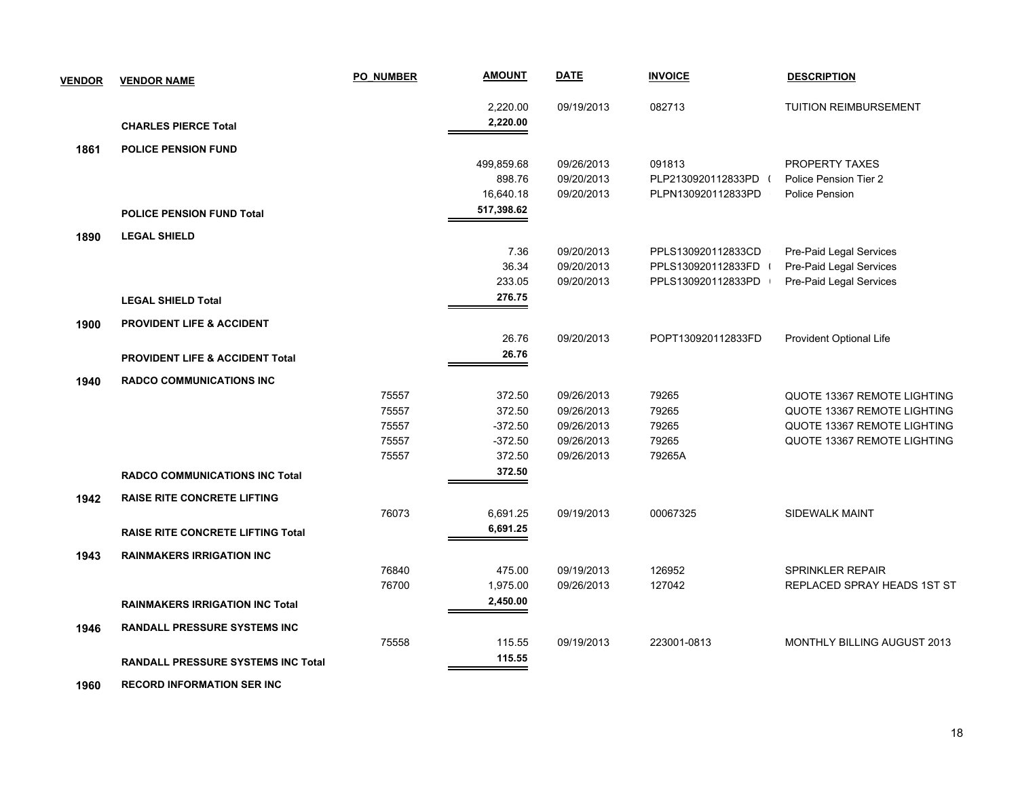| <b>VENDOR</b> | <b>VENDOR NAME</b>                         | <b>PO NUMBER</b> | <b>AMOUNT</b> | <b>DATE</b> | <b>INVOICE</b>     | <b>DESCRIPTION</b>                 |
|---------------|--------------------------------------------|------------------|---------------|-------------|--------------------|------------------------------------|
|               |                                            |                  | 2,220.00      | 09/19/2013  | 082713             | TUITION REIMBURSEMENT              |
|               | <b>CHARLES PIERCE Total</b>                |                  | 2,220.00      |             |                    |                                    |
| 1861          | <b>POLICE PENSION FUND</b>                 |                  |               |             |                    |                                    |
|               |                                            |                  | 499,859.68    | 09/26/2013  | 091813             | PROPERTY TAXES                     |
|               |                                            |                  | 898.76        | 09/20/2013  | PLP2130920112833PD | Police Pension Tier 2              |
|               |                                            |                  | 16,640.18     | 09/20/2013  | PLPN130920112833PD | Police Pension                     |
|               | <b>POLICE PENSION FUND Total</b>           |                  | 517,398.62    |             |                    |                                    |
| 1890          | <b>LEGAL SHIELD</b>                        |                  |               |             |                    |                                    |
|               |                                            |                  | 7.36          | 09/20/2013  | PPLS130920112833CD | Pre-Paid Legal Services            |
|               |                                            |                  | 36.34         | 09/20/2013  | PPLS130920112833FD | Pre-Paid Legal Services            |
|               |                                            |                  | 233.05        | 09/20/2013  | PPLS130920112833PD | Pre-Paid Legal Services            |
|               | <b>LEGAL SHIELD Total</b>                  |                  | 276.75        |             |                    |                                    |
| 1900          | <b>PROVIDENT LIFE &amp; ACCIDENT</b>       |                  |               |             |                    |                                    |
|               |                                            |                  | 26.76         | 09/20/2013  | POPT130920112833FD | Provident Optional Life            |
|               | <b>PROVIDENT LIFE &amp; ACCIDENT Total</b> |                  | 26.76         |             |                    |                                    |
| 1940          | <b>RADCO COMMUNICATIONS INC</b>            |                  |               |             |                    |                                    |
|               |                                            | 75557            | 372.50        | 09/26/2013  | 79265              | QUOTE 13367 REMOTE LIGHTING        |
|               |                                            | 75557            | 372.50        | 09/26/2013  | 79265              | QUOTE 13367 REMOTE LIGHTING        |
|               |                                            | 75557            | $-372.50$     | 09/26/2013  | 79265              | QUOTE 13367 REMOTE LIGHTING        |
|               |                                            | 75557            | $-372.50$     | 09/26/2013  | 79265              | <b>QUOTE 13367 REMOTE LIGHTING</b> |
|               |                                            | 75557            | 372.50        | 09/26/2013  | 79265A             |                                    |
|               | <b>RADCO COMMUNICATIONS INC Total</b>      |                  | 372.50        |             |                    |                                    |
| 1942          | <b>RAISE RITE CONCRETE LIFTING</b>         |                  |               |             |                    |                                    |
|               |                                            | 76073            | 6,691.25      | 09/19/2013  | 00067325           | SIDEWALK MAINT                     |
|               | <b>RAISE RITE CONCRETE LIFTING Total</b>   |                  | 6,691.25      |             |                    |                                    |
| 1943          | <b>RAINMAKERS IRRIGATION INC</b>           |                  |               |             |                    |                                    |
|               |                                            | 76840            | 475.00        | 09/19/2013  | 126952             | <b>SPRINKLER REPAIR</b>            |
|               |                                            | 76700            | 1,975.00      | 09/26/2013  | 127042             | REPLACED SPRAY HEADS 1ST ST        |
|               | <b>RAINMAKERS IRRIGATION INC Total</b>     |                  | 2,450.00      |             |                    |                                    |
| 1946          | <b>RANDALL PRESSURE SYSTEMS INC</b>        |                  |               |             |                    |                                    |
|               |                                            | 75558            | 115.55        | 09/19/2013  | 223001-0813        | <b>MONTHLY BILLING AUGUST 2013</b> |
|               | <b>RANDALL PRESSURE SYSTEMS INC Total</b>  |                  | 115.55        |             |                    |                                    |
|               |                                            |                  |               |             |                    |                                    |

 **1960 RECORD INFORMATION SER INC**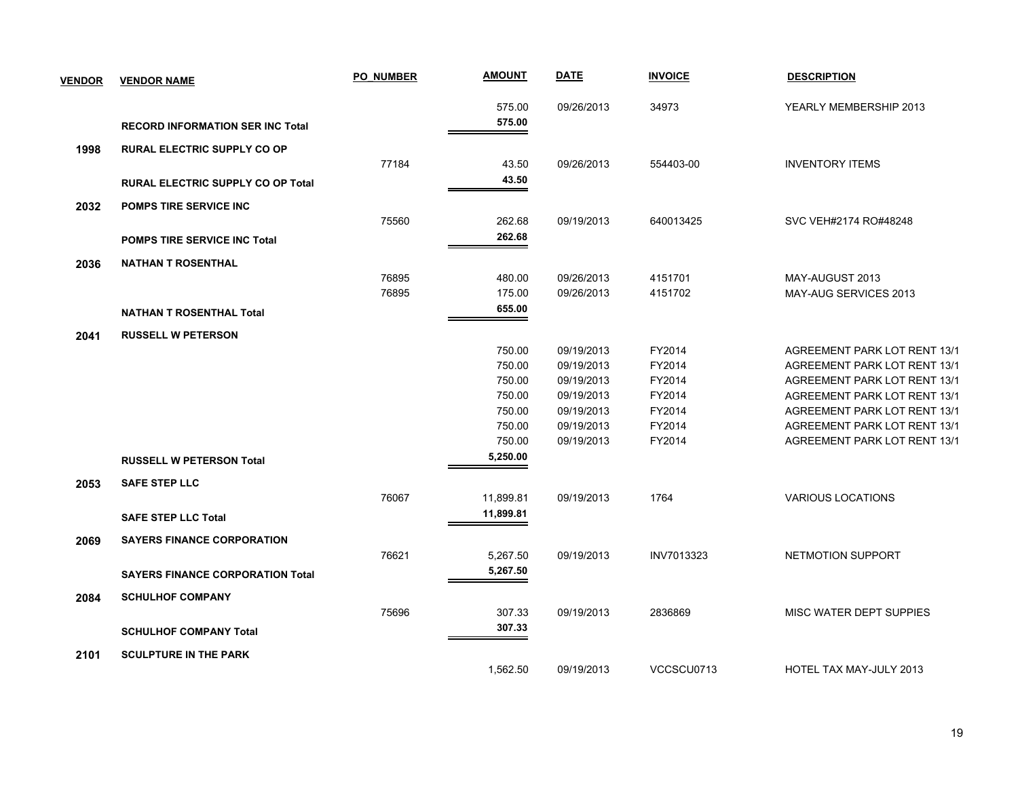| <b>VENDOR</b> | <b>VENDOR NAME</b>                       | <b>PO NUMBER</b> | <b>AMOUNT</b> | <b>DATE</b> | <b>INVOICE</b> | <b>DESCRIPTION</b>                  |
|---------------|------------------------------------------|------------------|---------------|-------------|----------------|-------------------------------------|
|               |                                          |                  | 575.00        | 09/26/2013  | 34973          | YEARLY MEMBERSHIP 2013              |
|               | <b>RECORD INFORMATION SER INC Total</b>  |                  | 575.00        |             |                |                                     |
| 1998          | <b>RURAL ELECTRIC SUPPLY CO OP</b>       |                  |               |             |                |                                     |
|               |                                          | 77184            | 43.50         | 09/26/2013  | 554403-00      | <b>INVENTORY ITEMS</b>              |
|               | <b>RURAL ELECTRIC SUPPLY CO OP Total</b> |                  | 43.50         |             |                |                                     |
| 2032          | <b>POMPS TIRE SERVICE INC</b>            |                  |               |             |                |                                     |
|               |                                          | 75560            | 262.68        | 09/19/2013  | 640013425      | SVC VEH#2174 RO#48248               |
|               | <b>POMPS TIRE SERVICE INC Total</b>      |                  | 262.68        |             |                |                                     |
| 2036          | <b>NATHAN T ROSENTHAL</b>                |                  |               |             |                |                                     |
|               |                                          | 76895            | 480.00        | 09/26/2013  | 4151701        | MAY-AUGUST 2013                     |
|               |                                          | 76895            | 175.00        | 09/26/2013  | 4151702        | MAY-AUG SERVICES 2013               |
|               | <b>NATHAN T ROSENTHAL Total</b>          |                  | 655.00        |             |                |                                     |
| 2041          | <b>RUSSELL W PETERSON</b>                |                  |               |             |                |                                     |
|               |                                          |                  | 750.00        | 09/19/2013  | FY2014         | AGREEMENT PARK LOT RENT 13/1        |
|               |                                          |                  | 750.00        | 09/19/2013  | FY2014         | AGREEMENT PARK LOT RENT 13/1        |
|               |                                          |                  | 750.00        | 09/19/2013  | FY2014         | <b>AGREEMENT PARK LOT RENT 13/1</b> |
|               |                                          |                  | 750.00        | 09/19/2013  | FY2014         | AGREEMENT PARK LOT RENT 13/1        |
|               |                                          |                  | 750.00        | 09/19/2013  | FY2014         | AGREEMENT PARK LOT RENT 13/1        |
|               |                                          |                  | 750.00        | 09/19/2013  | FY2014         | AGREEMENT PARK LOT RENT 13/1        |
|               |                                          |                  | 750.00        | 09/19/2013  | FY2014         | AGREEMENT PARK LOT RENT 13/1        |
|               | <b>RUSSELL W PETERSON Total</b>          |                  | 5,250.00      |             |                |                                     |
| 2053          | <b>SAFE STEP LLC</b>                     |                  |               |             |                |                                     |
|               |                                          | 76067            | 11,899.81     | 09/19/2013  | 1764           | <b>VARIOUS LOCATIONS</b>            |
|               | <b>SAFE STEP LLC Total</b>               |                  | 11,899.81     |             |                |                                     |
| 2069          | <b>SAYERS FINANCE CORPORATION</b>        |                  |               |             |                |                                     |
|               |                                          | 76621            | 5,267.50      | 09/19/2013  | INV7013323     | NETMOTION SUPPORT                   |
|               | <b>SAYERS FINANCE CORPORATION Total</b>  |                  | 5,267.50      |             |                |                                     |
| 2084          | <b>SCHULHOF COMPANY</b>                  |                  |               |             |                |                                     |
|               |                                          | 75696            | 307.33        | 09/19/2013  | 2836869        | MISC WATER DEPT SUPPIES             |
|               | <b>SCHULHOF COMPANY Total</b>            |                  | 307.33        |             |                |                                     |
| 2101          | <b>SCULPTURE IN THE PARK</b>             |                  |               |             |                |                                     |
|               |                                          |                  | 1,562.50      | 09/19/2013  | VCCSCU0713     | HOTEL TAX MAY-JULY 2013             |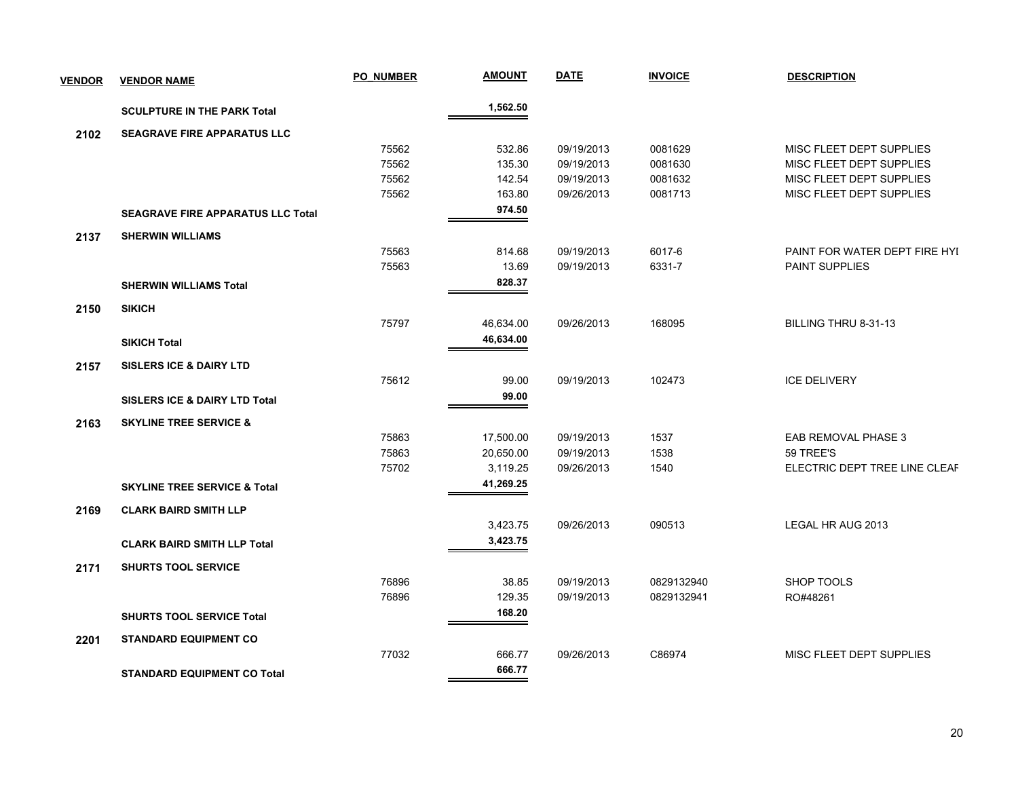| <b>VENDOR</b> | <b>VENDOR NAME</b>                       | <b>PO NUMBER</b> | <b>AMOUNT</b> | <b>DATE</b> | <b>INVOICE</b> | <b>DESCRIPTION</b>            |
|---------------|------------------------------------------|------------------|---------------|-------------|----------------|-------------------------------|
|               | <b>SCULPTURE IN THE PARK Total</b>       |                  | 1,562.50      |             |                |                               |
| 2102          | <b>SEAGRAVE FIRE APPARATUS LLC</b>       |                  |               |             |                |                               |
|               |                                          | 75562            | 532.86        | 09/19/2013  | 0081629        | MISC FLEET DEPT SUPPLIES      |
|               |                                          | 75562            | 135.30        | 09/19/2013  | 0081630        | MISC FLEET DEPT SUPPLIES      |
|               |                                          | 75562            | 142.54        | 09/19/2013  | 0081632        | MISC FLEET DEPT SUPPLIES      |
|               |                                          | 75562            | 163.80        | 09/26/2013  | 0081713        | MISC FLEET DEPT SUPPLIES      |
|               | <b>SEAGRAVE FIRE APPARATUS LLC Total</b> |                  | 974.50        |             |                |                               |
| 2137          | <b>SHERWIN WILLIAMS</b>                  |                  |               |             |                |                               |
|               |                                          | 75563            | 814.68        | 09/19/2013  | 6017-6         | PAINT FOR WATER DEPT FIRE HYL |
|               |                                          | 75563            | 13.69         | 09/19/2013  | 6331-7         | PAINT SUPPLIES                |
|               | <b>SHERWIN WILLIAMS Total</b>            |                  | 828.37        |             |                |                               |
| 2150          | <b>SIKICH</b>                            |                  |               |             |                |                               |
|               |                                          | 75797            | 46,634.00     | 09/26/2013  | 168095         | BILLING THRU 8-31-13          |
|               | <b>SIKICH Total</b>                      |                  | 46,634.00     |             |                |                               |
| 2157          | <b>SISLERS ICE &amp; DAIRY LTD</b>       |                  |               |             |                |                               |
|               |                                          | 75612            | 99.00         | 09/19/2013  | 102473         | <b>ICE DELIVERY</b>           |
|               | <b>SISLERS ICE &amp; DAIRY LTD Total</b> |                  | 99.00         |             |                |                               |
| 2163          | <b>SKYLINE TREE SERVICE &amp;</b>        |                  |               |             |                |                               |
|               |                                          | 75863            | 17,500.00     | 09/19/2013  | 1537           | EAB REMOVAL PHASE 3           |
|               |                                          | 75863            | 20,650.00     | 09/19/2013  | 1538           | 59 TREE'S                     |
|               |                                          | 75702            | 3,119.25      | 09/26/2013  | 1540           | ELECTRIC DEPT TREE LINE CLEAF |
|               | <b>SKYLINE TREE SERVICE &amp; Total</b>  |                  | 41,269.25     |             |                |                               |
| 2169          | <b>CLARK BAIRD SMITH LLP</b>             |                  |               |             |                |                               |
|               |                                          |                  | 3,423.75      | 09/26/2013  | 090513         | LEGAL HR AUG 2013             |
|               | <b>CLARK BAIRD SMITH LLP Total</b>       |                  | 3,423.75      |             |                |                               |
| 2171          | <b>SHURTS TOOL SERVICE</b>               |                  |               |             |                |                               |
|               |                                          | 76896            | 38.85         | 09/19/2013  | 0829132940     | <b>SHOP TOOLS</b>             |
|               |                                          | 76896            | 129.35        | 09/19/2013  | 0829132941     | RO#48261                      |
|               | <b>SHURTS TOOL SERVICE Total</b>         |                  | 168.20        |             |                |                               |
| 2201          | <b>STANDARD EQUIPMENT CO</b>             |                  |               |             |                |                               |
|               |                                          | 77032            | 666.77        | 09/26/2013  | C86974         | MISC FLEET DEPT SUPPLIES      |
|               |                                          |                  | 666.77        |             |                |                               |
|               | <b>STANDARD EQUIPMENT CO Total</b>       |                  |               |             |                |                               |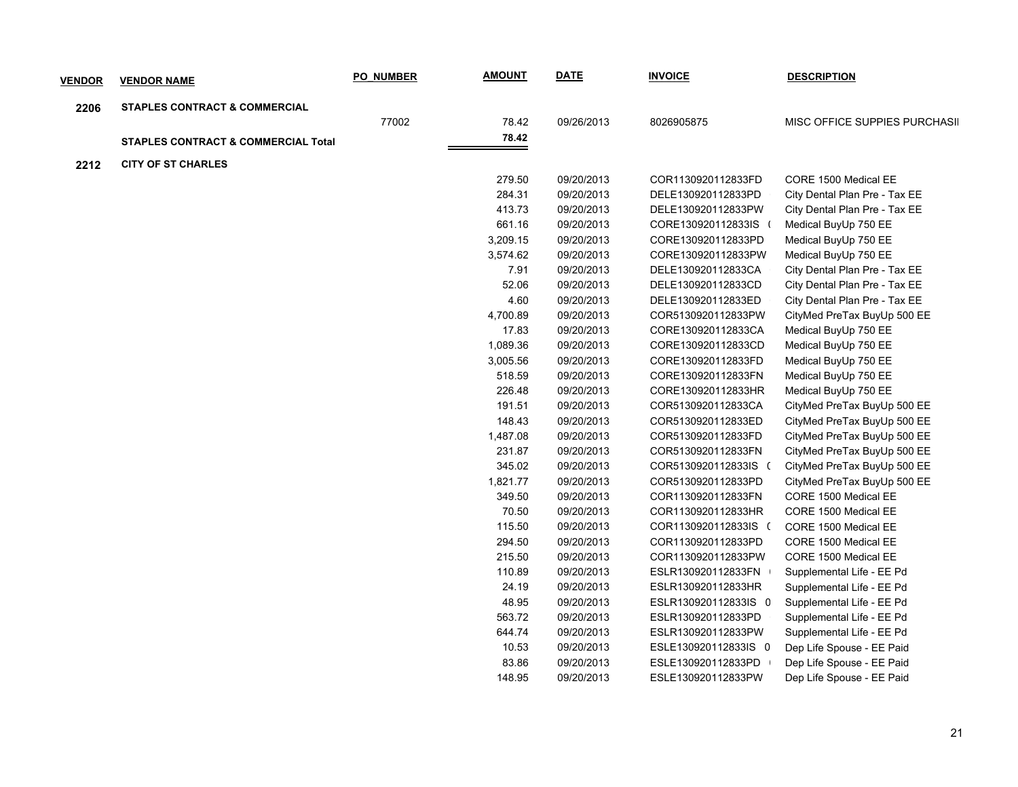| <b>VENDOR</b> | <b>VENDOR NAME</b>                             | <b>PO NUMBER</b> | <b>AMOUNT</b> | <b>DATE</b> | <b>INVOICE</b>       | <b>DESCRIPTION</b>            |
|---------------|------------------------------------------------|------------------|---------------|-------------|----------------------|-------------------------------|
| 2206          | <b>STAPLES CONTRACT &amp; COMMERCIAL</b>       |                  |               |             |                      |                               |
|               |                                                | 77002            | 78.42         | 09/26/2013  | 8026905875           | MISC OFFICE SUPPIES PURCHASII |
|               | <b>STAPLES CONTRACT &amp; COMMERCIAL Total</b> |                  | 78.42         |             |                      |                               |
|               | <b>CITY OF ST CHARLES</b>                      |                  |               |             |                      |                               |
| 2212          |                                                |                  | 279.50        | 09/20/2013  | COR1130920112833FD   | CORE 1500 Medical EE          |
|               |                                                |                  | 284.31        | 09/20/2013  | DELE130920112833PD   | City Dental Plan Pre - Tax EE |
|               |                                                |                  | 413.73        | 09/20/2013  | DELE130920112833PW   | City Dental Plan Pre - Tax EE |
|               |                                                |                  | 661.16        | 09/20/2013  | CORE130920112833IS ( | Medical BuyUp 750 EE          |
|               |                                                |                  | 3,209.15      | 09/20/2013  | CORE130920112833PD   | Medical BuyUp 750 EE          |
|               |                                                |                  | 3,574.62      | 09/20/2013  | CORE130920112833PW   | Medical BuyUp 750 EE          |
|               |                                                |                  | 7.91          | 09/20/2013  | DELE130920112833CA   | City Dental Plan Pre - Tax EE |
|               |                                                |                  | 52.06         | 09/20/2013  | DELE130920112833CD   | City Dental Plan Pre - Tax EE |
|               |                                                |                  | 4.60          | 09/20/2013  | DELE130920112833ED   | City Dental Plan Pre - Tax EE |
|               |                                                |                  | 4,700.89      | 09/20/2013  | COR5130920112833PW   | CityMed PreTax BuyUp 500 EE   |
|               |                                                |                  | 17.83         | 09/20/2013  | CORE130920112833CA   | Medical BuyUp 750 EE          |
|               |                                                |                  | 1,089.36      | 09/20/2013  | CORE130920112833CD   | Medical BuyUp 750 EE          |
|               |                                                |                  | 3,005.56      | 09/20/2013  | CORE130920112833FD   | Medical BuyUp 750 EE          |
|               |                                                |                  | 518.59        | 09/20/2013  | CORE130920112833FN   | Medical BuyUp 750 EE          |
|               |                                                |                  | 226.48        | 09/20/2013  | CORE130920112833HR   | Medical BuyUp 750 EE          |
|               |                                                |                  | 191.51        | 09/20/2013  | COR5130920112833CA   | CityMed PreTax BuyUp 500 EE   |
|               |                                                |                  | 148.43        | 09/20/2013  | COR5130920112833ED   | CityMed PreTax BuyUp 500 EE   |
|               |                                                |                  | 1,487.08      | 09/20/2013  | COR5130920112833FD   | CityMed PreTax BuyUp 500 EE   |
|               |                                                |                  | 231.87        | 09/20/2013  | COR5130920112833FN   | CityMed PreTax BuyUp 500 EE   |
|               |                                                |                  | 345.02        | 09/20/2013  | COR5130920112833IS ( | CityMed PreTax BuyUp 500 EE   |
|               |                                                |                  | 1,821.77      | 09/20/2013  | COR5130920112833PD   | CityMed PreTax BuyUp 500 EE   |
|               |                                                |                  | 349.50        | 09/20/2013  | COR1130920112833FN   | CORE 1500 Medical EE          |
|               |                                                |                  | 70.50         | 09/20/2013  | COR1130920112833HR   | CORE 1500 Medical EE          |
|               |                                                |                  | 115.50        | 09/20/2013  | COR1130920112833IS ( | CORE 1500 Medical EE          |
|               |                                                |                  | 294.50        | 09/20/2013  | COR1130920112833PD   | CORE 1500 Medical EE          |
|               |                                                |                  | 215.50        | 09/20/2013  | COR1130920112833PW   | CORE 1500 Medical EE          |
|               |                                                |                  | 110.89        | 09/20/2013  | ESLR130920112833FN   | Supplemental Life - EE Pd     |
|               |                                                |                  | 24.19         | 09/20/2013  | ESLR130920112833HR   | Supplemental Life - EE Pd     |
|               |                                                |                  | 48.95         | 09/20/2013  | ESLR130920112833IS 0 | Supplemental Life - EE Pd     |
|               |                                                |                  | 563.72        | 09/20/2013  | ESLR130920112833PD   | Supplemental Life - EE Pd     |
|               |                                                |                  | 644.74        |             | ESLR130920112833PW   | Supplemental Life - EE Pd     |
|               |                                                |                  |               | 09/20/2013  |                      | Dep Life Spouse - EE Paid     |
|               |                                                |                  | 10.53         | 09/20/2013  | ESLE130920112833IS 0 | Dep Life Spouse - EE Paid     |
|               |                                                |                  | 83.86         | 09/20/2013  | ESLE130920112833PD   |                               |
|               |                                                |                  | 148.95        | 09/20/2013  | ESLE130920112833PW   | Dep Life Spouse - EE Paid     |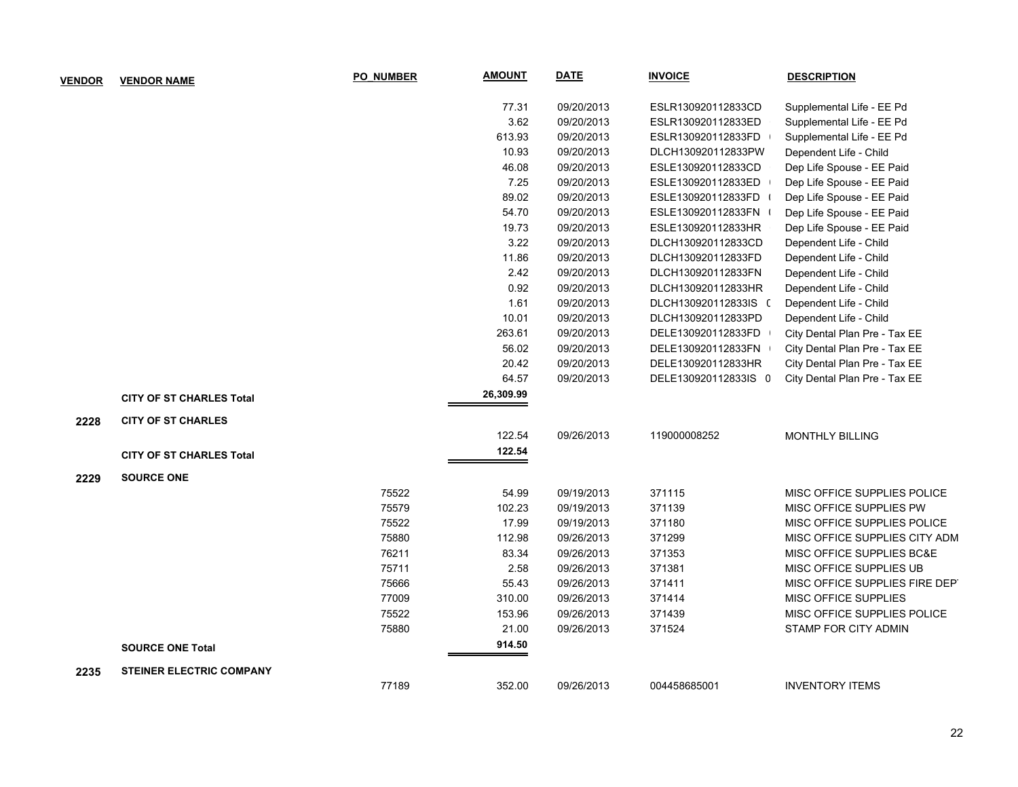| <b>VENDOR</b> | <b>VENDOR NAME</b>              | <b>PO NUMBER</b> | <b>AMOUNT</b> | <b>DATE</b> | <b>INVOICE</b>       | <b>DESCRIPTION</b>             |
|---------------|---------------------------------|------------------|---------------|-------------|----------------------|--------------------------------|
|               |                                 |                  | 77.31         | 09/20/2013  | ESLR130920112833CD   | Supplemental Life - EE Pd      |
|               |                                 |                  | 3.62          | 09/20/2013  | ESLR130920112833ED   | Supplemental Life - EE Pd      |
|               |                                 |                  | 613.93        | 09/20/2013  | ESLR130920112833FD   | Supplemental Life - EE Pd      |
|               |                                 |                  | 10.93         | 09/20/2013  | DLCH130920112833PW   | Dependent Life - Child         |
|               |                                 |                  | 46.08         | 09/20/2013  | ESLE130920112833CD   | Dep Life Spouse - EE Paid      |
|               |                                 |                  | 7.25          | 09/20/2013  | ESLE130920112833ED   | Dep Life Spouse - EE Paid      |
|               |                                 |                  | 89.02         | 09/20/2013  | ESLE130920112833FD   | Dep Life Spouse - EE Paid      |
|               |                                 |                  | 54.70         | 09/20/2013  | ESLE130920112833FN   | Dep Life Spouse - EE Paid      |
|               |                                 |                  | 19.73         | 09/20/2013  | ESLE130920112833HR   | Dep Life Spouse - EE Paid      |
|               |                                 |                  | 3.22          | 09/20/2013  | DLCH130920112833CD   | Dependent Life - Child         |
|               |                                 |                  | 11.86         | 09/20/2013  | DLCH130920112833FD   | Dependent Life - Child         |
|               |                                 |                  | 2.42          | 09/20/2013  | DLCH130920112833FN   | Dependent Life - Child         |
|               |                                 |                  | 0.92          | 09/20/2013  | DLCH130920112833HR   | Dependent Life - Child         |
|               |                                 |                  | 1.61          | 09/20/2013  | DLCH130920112833IS ( | Dependent Life - Child         |
|               |                                 |                  | 10.01         | 09/20/2013  | DLCH130920112833PD   | Dependent Life - Child         |
|               |                                 |                  | 263.61        | 09/20/2013  | DELE130920112833FD   | City Dental Plan Pre - Tax EE  |
|               |                                 |                  | 56.02         | 09/20/2013  | DELE130920112833FN   | City Dental Plan Pre - Tax EE  |
|               |                                 |                  | 20.42         | 09/20/2013  | DELE130920112833HR   | City Dental Plan Pre - Tax EE  |
|               |                                 |                  | 64.57         | 09/20/2013  | DELE130920112833IS 0 | City Dental Plan Pre - Tax EE  |
|               | <b>CITY OF ST CHARLES Total</b> |                  | 26,309.99     |             |                      |                                |
| 2228          | <b>CITY OF ST CHARLES</b>       |                  |               |             |                      |                                |
|               |                                 |                  | 122.54        | 09/26/2013  | 119000008252         | <b>MONTHLY BILLING</b>         |
|               | <b>CITY OF ST CHARLES Total</b> |                  | 122.54        |             |                      |                                |
| 2229          | <b>SOURCE ONE</b>               |                  |               |             |                      |                                |
|               |                                 | 75522            | 54.99         | 09/19/2013  | 371115               | MISC OFFICE SUPPLIES POLICE    |
|               |                                 | 75579            | 102.23        | 09/19/2013  | 371139               | MISC OFFICE SUPPLIES PW        |
|               |                                 | 75522            | 17.99         | 09/19/2013  | 371180               | MISC OFFICE SUPPLIES POLICE    |
|               |                                 | 75880            | 112.98        | 09/26/2013  | 371299               | MISC OFFICE SUPPLIES CITY ADM  |
|               |                                 | 76211            | 83.34         | 09/26/2013  | 371353               | MISC OFFICE SUPPLIES BC&E      |
|               |                                 | 75711            | 2.58          | 09/26/2013  | 371381               | MISC OFFICE SUPPLIES UB        |
|               |                                 | 75666            | 55.43         | 09/26/2013  | 371411               | MISC OFFICE SUPPLIES FIRE DEPT |
|               |                                 | 77009            | 310.00        | 09/26/2013  | 371414               | <b>MISC OFFICE SUPPLIES</b>    |
|               |                                 | 75522            | 153.96        | 09/26/2013  | 371439               | MISC OFFICE SUPPLIES POLICE    |
|               |                                 | 75880            | 21.00         | 09/26/2013  | 371524               | STAMP FOR CITY ADMIN           |
|               | <b>SOURCE ONE Total</b>         |                  | 914.50        |             |                      |                                |
| 2235          | <b>STEINER ELECTRIC COMPANY</b> |                  |               |             |                      |                                |
|               |                                 | 77189            | 352.00        | 09/26/2013  | 004458685001         | <b>INVENTORY ITEMS</b>         |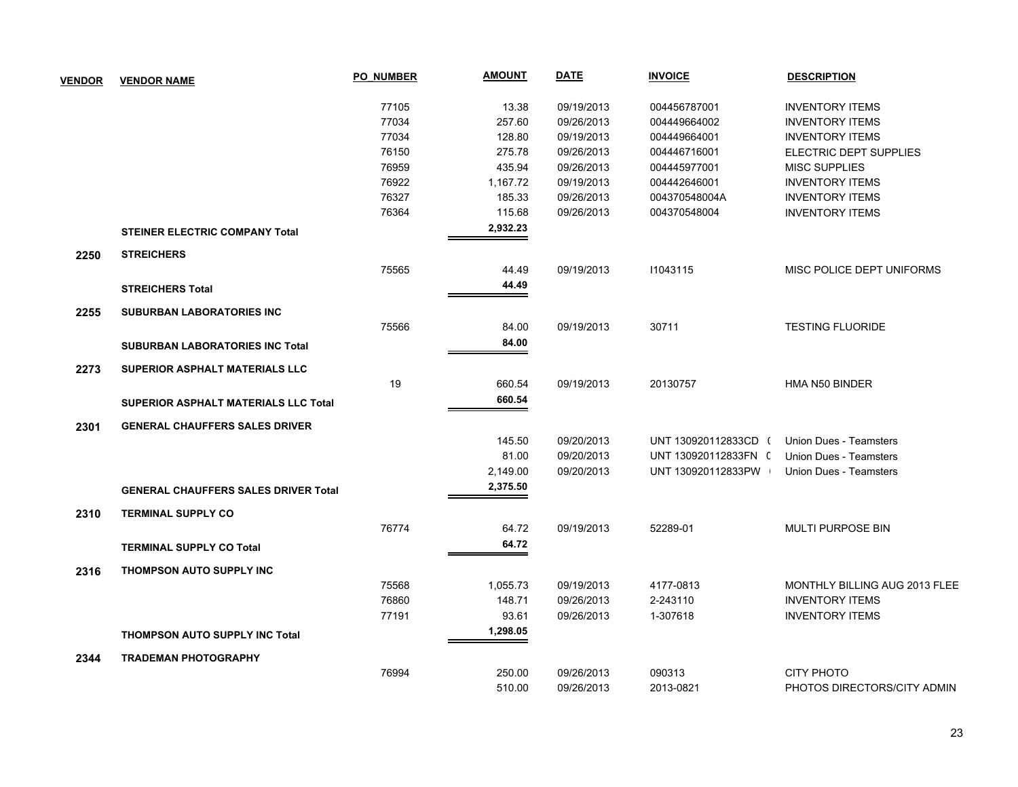| <b>VENDOR</b> | <b>VENDOR NAME</b>                          | <b>PO NUMBER</b> | <b>AMOUNT</b> | <b>DATE</b> | <b>INVOICE</b>       | <b>DESCRIPTION</b>            |
|---------------|---------------------------------------------|------------------|---------------|-------------|----------------------|-------------------------------|
|               |                                             |                  |               |             |                      |                               |
|               |                                             | 77105            | 13.38         | 09/19/2013  | 004456787001         | <b>INVENTORY ITEMS</b>        |
|               |                                             | 77034            | 257.60        | 09/26/2013  | 004449664002         | <b>INVENTORY ITEMS</b>        |
|               |                                             | 77034            | 128.80        | 09/19/2013  | 004449664001         | <b>INVENTORY ITEMS</b>        |
|               |                                             | 76150            | 275.78        | 09/26/2013  | 004446716001         | ELECTRIC DEPT SUPPLIES        |
|               |                                             | 76959            | 435.94        | 09/26/2013  | 004445977001         | <b>MISC SUPPLIES</b>          |
|               |                                             | 76922            | 1,167.72      | 09/19/2013  | 004442646001         | <b>INVENTORY ITEMS</b>        |
|               |                                             | 76327            | 185.33        | 09/26/2013  | 004370548004A        | <b>INVENTORY ITEMS</b>        |
|               |                                             | 76364            | 115.68        | 09/26/2013  | 004370548004         | <b>INVENTORY ITEMS</b>        |
|               | <b>STEINER ELECTRIC COMPANY Total</b>       |                  | 2,932.23      |             |                      |                               |
| 2250          | <b>STREICHERS</b>                           |                  |               |             |                      |                               |
|               |                                             | 75565            | 44.49         | 09/19/2013  | 11043115             | MISC POLICE DEPT UNIFORMS     |
|               | <b>STREICHERS Total</b>                     |                  | 44.49         |             |                      |                               |
| 2255          | <b>SUBURBAN LABORATORIES INC</b>            |                  |               |             |                      |                               |
|               |                                             | 75566            | 84.00         | 09/19/2013  | 30711                | <b>TESTING FLUORIDE</b>       |
|               | <b>SUBURBAN LABORATORIES INC Total</b>      |                  | 84.00         |             |                      |                               |
| 2273          | <b>SUPERIOR ASPHALT MATERIALS LLC</b>       |                  |               |             |                      |                               |
|               |                                             | 19               | 660.54        | 09/19/2013  | 20130757             | HMA N50 BINDER                |
|               | <b>SUPERIOR ASPHALT MATERIALS LLC Total</b> |                  | 660.54        |             |                      |                               |
| 2301          | <b>GENERAL CHAUFFERS SALES DRIVER</b>       |                  |               |             |                      |                               |
|               |                                             |                  | 145.50        | 09/20/2013  | UNT 130920112833CD ( | Union Dues - Teamsters        |
|               |                                             |                  | 81.00         | 09/20/2013  | UNT 130920112833FN ( | <b>Union Dues - Teamsters</b> |
|               |                                             |                  | 2,149.00      | 09/20/2013  | UNT 130920112833PW   | <b>Union Dues - Teamsters</b> |
|               | <b>GENERAL CHAUFFERS SALES DRIVER Total</b> |                  | 2,375.50      |             |                      |                               |
|               | <b>TERMINAL SUPPLY CO</b>                   |                  |               |             |                      |                               |
| 2310          |                                             | 76774            | 64.72         | 09/19/2013  | 52289-01             | <b>MULTI PURPOSE BIN</b>      |
|               | <b>TERMINAL SUPPLY CO Total</b>             |                  | 64.72         |             |                      |                               |
| 2316          | THOMPSON AUTO SUPPLY INC                    |                  |               |             |                      |                               |
|               |                                             | 75568            | 1,055.73      | 09/19/2013  | 4177-0813            | MONTHLY BILLING AUG 2013 FLEE |
|               |                                             | 76860            | 148.71        | 09/26/2013  | 2-243110             | <b>INVENTORY ITEMS</b>        |
|               |                                             | 77191            | 93.61         | 09/26/2013  | 1-307618             | <b>INVENTORY ITEMS</b>        |
|               |                                             |                  | 1,298.05      |             |                      |                               |
|               | <b>THOMPSON AUTO SUPPLY INC Total</b>       |                  |               |             |                      |                               |
| 2344          | <b>TRADEMAN PHOTOGRAPHY</b>                 |                  |               |             |                      |                               |
|               |                                             | 76994            | 250.00        | 09/26/2013  | 090313               | <b>CITY PHOTO</b>             |
|               |                                             |                  | 510.00        | 09/26/2013  | 2013-0821            | PHOTOS DIRECTORS/CITY ADMIN   |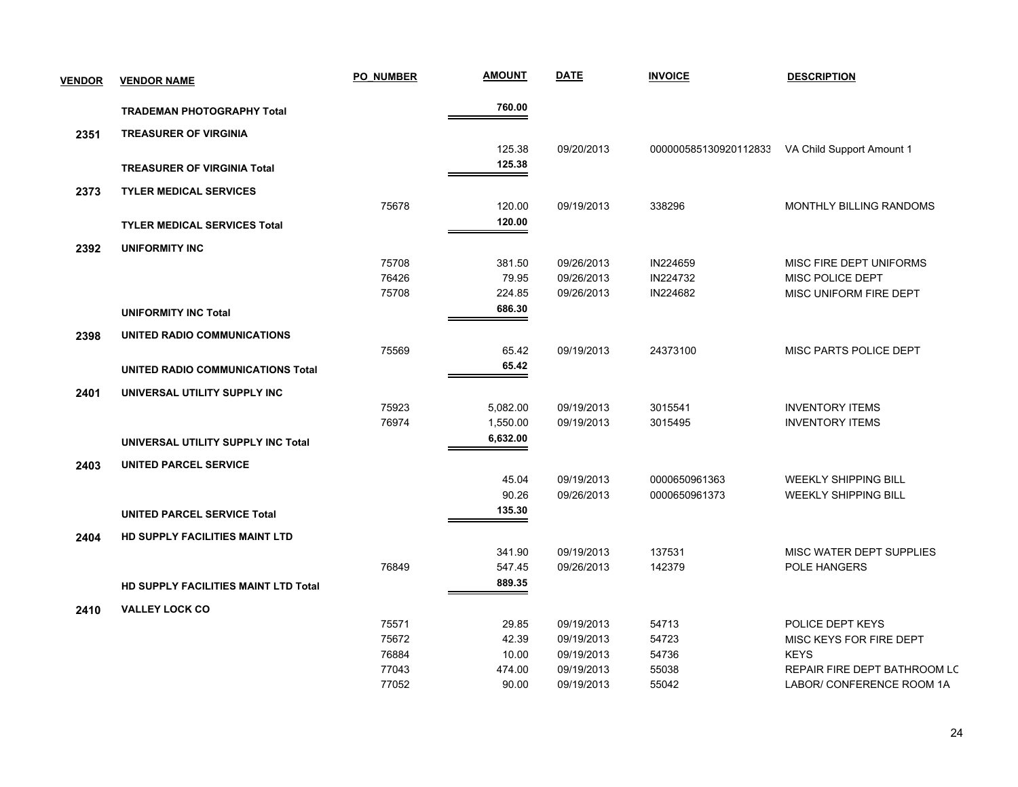| <b>VENDOR</b> | <b>VENDOR NAME</b>                       | <b>PO NUMBER</b> | <u>AMOUNT</u> | <b>DATE</b> | <b>INVOICE</b>        | <b>DESCRIPTION</b>           |
|---------------|------------------------------------------|------------------|---------------|-------------|-----------------------|------------------------------|
|               | <b>TRADEMAN PHOTOGRAPHY Total</b>        |                  | 760.00        |             |                       |                              |
| 2351          | <b>TREASURER OF VIRGINIA</b>             |                  |               |             |                       |                              |
|               |                                          |                  | 125.38        | 09/20/2013  | 000000585130920112833 | VA Child Support Amount 1    |
|               | <b>TREASURER OF VIRGINIA Total</b>       |                  | 125.38        |             |                       |                              |
| 2373          | <b>TYLER MEDICAL SERVICES</b>            |                  |               |             |                       |                              |
|               |                                          | 75678            | 120.00        | 09/19/2013  | 338296                | MONTHLY BILLING RANDOMS      |
|               | <b>TYLER MEDICAL SERVICES Total</b>      |                  | 120.00        |             |                       |                              |
| 2392          | <b>UNIFORMITY INC</b>                    |                  |               |             |                       |                              |
|               |                                          | 75708            | 381.50        | 09/26/2013  | IN224659              | MISC FIRE DEPT UNIFORMS      |
|               |                                          | 76426            | 79.95         | 09/26/2013  | IN224732              | MISC POLICE DEPT             |
|               |                                          | 75708            | 224.85        | 09/26/2013  | IN224682              | MISC UNIFORM FIRE DEPT       |
|               | <b>UNIFORMITY INC Total</b>              |                  | 686.30        |             |                       |                              |
| 2398          | UNITED RADIO COMMUNICATIONS              |                  |               |             |                       |                              |
|               |                                          | 75569            | 65.42         | 09/19/2013  | 24373100              | MISC PARTS POLICE DEPT       |
|               | <b>UNITED RADIO COMMUNICATIONS Total</b> |                  | 65.42         |             |                       |                              |
| 2401          | UNIVERSAL UTILITY SUPPLY INC             |                  |               |             |                       |                              |
|               |                                          | 75923            | 5,082.00      | 09/19/2013  | 3015541               | <b>INVENTORY ITEMS</b>       |
|               |                                          | 76974            | 1,550.00      | 09/19/2013  | 3015495               | <b>INVENTORY ITEMS</b>       |
|               | UNIVERSAL UTILITY SUPPLY INC Total       |                  | 6,632.00      |             |                       |                              |
| 2403          | <b>UNITED PARCEL SERVICE</b>             |                  |               |             |                       |                              |
|               |                                          |                  | 45.04         | 09/19/2013  | 0000650961363         | <b>WEEKLY SHIPPING BILL</b>  |
|               |                                          |                  | 90.26         | 09/26/2013  | 0000650961373         | <b>WEEKLY SHIPPING BILL</b>  |
|               | <b>UNITED PARCEL SERVICE Total</b>       |                  | 135.30        |             |                       |                              |
| 2404          | HD SUPPLY FACILITIES MAINT LTD           |                  |               |             |                       |                              |
|               |                                          |                  | 341.90        | 09/19/2013  | 137531                | MISC WATER DEPT SUPPLIES     |
|               |                                          | 76849            | 547.45        | 09/26/2013  | 142379                | POLE HANGERS                 |
|               | HD SUPPLY FACILITIES MAINT LTD Total     |                  | 889.35        |             |                       |                              |
| 2410          | <b>VALLEY LOCK CO</b>                    |                  |               |             |                       |                              |
|               |                                          | 75571            | 29.85         | 09/19/2013  | 54713                 | POLICE DEPT KEYS             |
|               |                                          | 75672            | 42.39         | 09/19/2013  | 54723                 | MISC KEYS FOR FIRE DEPT      |
|               |                                          | 76884            | 10.00         | 09/19/2013  | 54736                 | <b>KEYS</b>                  |
|               |                                          | 77043            | 474.00        | 09/19/2013  | 55038                 | REPAIR FIRE DEPT BATHROOM LC |
|               |                                          | 77052            | 90.00         | 09/19/2013  | 55042                 | LABOR/ CONFERENCE ROOM 1A    |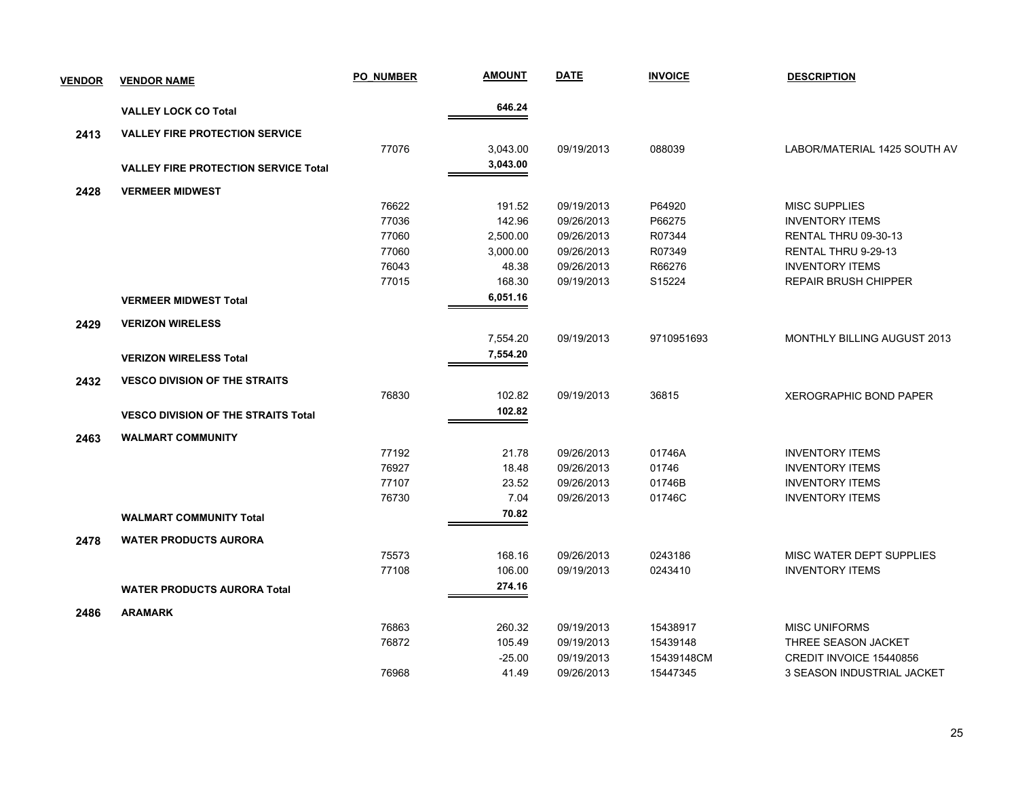| <b>VENDOR</b> | <b>VENDOR NAME</b>                          | <b>PO NUMBER</b> | <b>AMOUNT</b> | <b>DATE</b> | <b>INVOICE</b> | <b>DESCRIPTION</b>                 |
|---------------|---------------------------------------------|------------------|---------------|-------------|----------------|------------------------------------|
|               | <b>VALLEY LOCK CO Total</b>                 |                  | 646.24        |             |                |                                    |
| 2413          | <b>VALLEY FIRE PROTECTION SERVICE</b>       |                  |               |             |                |                                    |
|               |                                             | 77076            | 3,043.00      | 09/19/2013  | 088039         | LABOR/MATERIAL 1425 SOUTH AV       |
|               | <b>VALLEY FIRE PROTECTION SERVICE Total</b> |                  | 3,043.00      |             |                |                                    |
| 2428          | <b>VERMEER MIDWEST</b>                      |                  |               |             |                |                                    |
|               |                                             | 76622            | 191.52        | 09/19/2013  | P64920         | <b>MISC SUPPLIES</b>               |
|               |                                             | 77036            | 142.96        | 09/26/2013  | P66275         | <b>INVENTORY ITEMS</b>             |
|               |                                             | 77060            | 2,500.00      | 09/26/2013  | R07344         | RENTAL THRU 09-30-13               |
|               |                                             | 77060            | 3,000.00      | 09/26/2013  | R07349         | RENTAL THRU 9-29-13                |
|               |                                             | 76043            | 48.38         | 09/26/2013  | R66276         | <b>INVENTORY ITEMS</b>             |
|               |                                             | 77015            | 168.30        | 09/19/2013  | S15224         | <b>REPAIR BRUSH CHIPPER</b>        |
|               | <b>VERMEER MIDWEST Total</b>                |                  | 6,051.16      |             |                |                                    |
| 2429          | <b>VERIZON WIRELESS</b>                     |                  |               |             |                |                                    |
|               |                                             |                  | 7,554.20      | 09/19/2013  | 9710951693     | <b>MONTHLY BILLING AUGUST 2013</b> |
|               | <b>VERIZON WIRELESS Total</b>               |                  | 7,554.20      |             |                |                                    |
| 2432          | <b>VESCO DIVISION OF THE STRAITS</b>        |                  |               |             |                |                                    |
|               |                                             | 76830            | 102.82        | 09/19/2013  | 36815          | <b>XEROGRAPHIC BOND PAPER</b>      |
|               | <b>VESCO DIVISION OF THE STRAITS Total</b>  |                  | 102.82        |             |                |                                    |
|               |                                             |                  |               |             |                |                                    |
| 2463          | <b>WALMART COMMUNITY</b>                    |                  |               |             |                |                                    |
|               |                                             | 77192            | 21.78         | 09/26/2013  | 01746A         | <b>INVENTORY ITEMS</b>             |
|               |                                             | 76927            | 18.48         | 09/26/2013  | 01746          | <b>INVENTORY ITEMS</b>             |
|               |                                             | 77107            | 23.52         | 09/26/2013  | 01746B         | <b>INVENTORY ITEMS</b>             |
|               |                                             | 76730            | 7.04          | 09/26/2013  | 01746C         | <b>INVENTORY ITEMS</b>             |
|               | <b>WALMART COMMUNITY Total</b>              |                  | 70.82         |             |                |                                    |
| 2478          | <b>WATER PRODUCTS AURORA</b>                |                  |               |             |                |                                    |
|               |                                             | 75573            | 168.16        | 09/26/2013  | 0243186        | MISC WATER DEPT SUPPLIES           |
|               |                                             | 77108            | 106.00        | 09/19/2013  | 0243410        | <b>INVENTORY ITEMS</b>             |
|               | <b>WATER PRODUCTS AURORA Total</b>          |                  | 274.16        |             |                |                                    |
| 2486          | <b>ARAMARK</b>                              |                  |               |             |                |                                    |
|               |                                             | 76863            | 260.32        | 09/19/2013  | 15438917       | <b>MISC UNIFORMS</b>               |
|               |                                             | 76872            | 105.49        | 09/19/2013  | 15439148       | THREE SEASON JACKET                |
|               |                                             |                  | $-25.00$      | 09/19/2013  | 15439148CM     | CREDIT INVOICE 15440856            |
|               |                                             | 76968            | 41.49         | 09/26/2013  | 15447345       | 3 SEASON INDUSTRIAL JACKET         |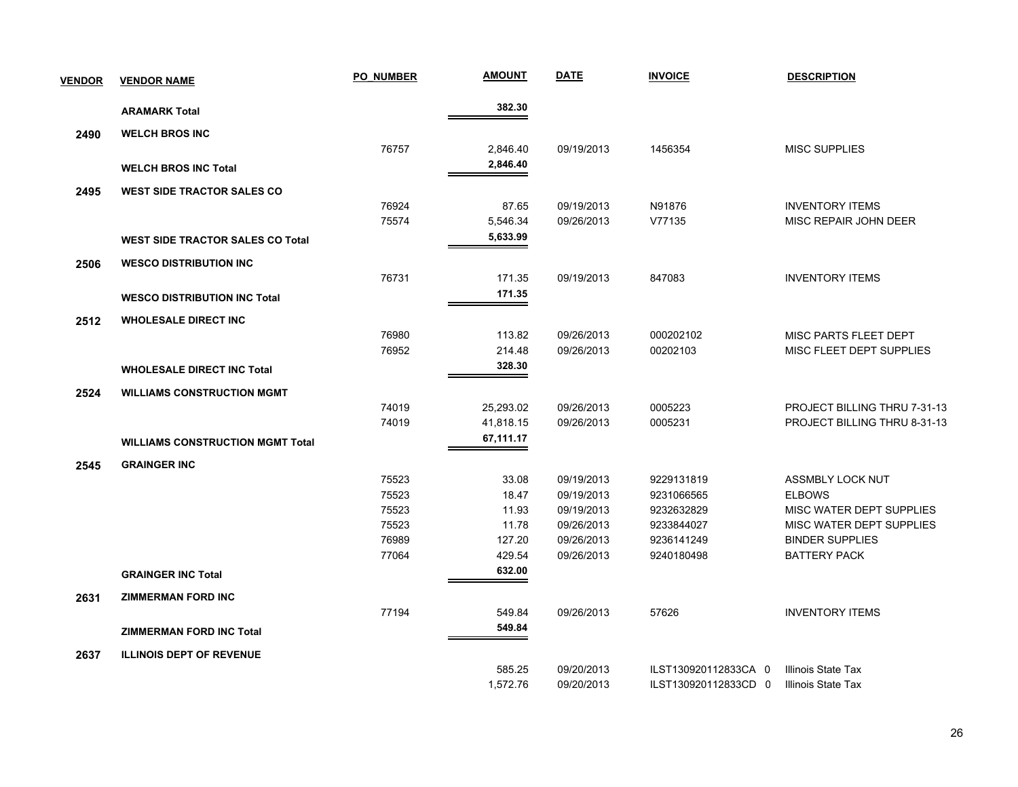| <b>VENDOR</b> | <b>VENDOR NAME</b>                      | <b>PO NUMBER</b> | <b>AMOUNT</b> | <b>DATE</b> | <b>INVOICE</b>       | <b>DESCRIPTION</b>           |
|---------------|-----------------------------------------|------------------|---------------|-------------|----------------------|------------------------------|
|               | <b>ARAMARK Total</b>                    |                  | 382.30        |             |                      |                              |
| 2490          | <b>WELCH BROS INC</b>                   |                  |               |             |                      |                              |
|               |                                         | 76757            | 2,846.40      | 09/19/2013  | 1456354              | <b>MISC SUPPLIES</b>         |
|               | <b>WELCH BROS INC Total</b>             |                  | 2,846.40      |             |                      |                              |
|               |                                         |                  |               |             |                      |                              |
| 2495          | <b>WEST SIDE TRACTOR SALES CO</b>       |                  |               |             |                      |                              |
|               |                                         | 76924            | 87.65         | 09/19/2013  | N91876               | <b>INVENTORY ITEMS</b>       |
|               |                                         | 75574            | 5,546.34      | 09/26/2013  | V77135               | MISC REPAIR JOHN DEER        |
|               | <b>WEST SIDE TRACTOR SALES CO Total</b> |                  | 5,633.99      |             |                      |                              |
| 2506          | <b>WESCO DISTRIBUTION INC</b>           |                  |               |             |                      |                              |
|               |                                         | 76731            | 171.35        | 09/19/2013  | 847083               | <b>INVENTORY ITEMS</b>       |
|               | <b>WESCO DISTRIBUTION INC Total</b>     |                  | 171.35        |             |                      |                              |
| 2512          | <b>WHOLESALE DIRECT INC</b>             |                  |               |             |                      |                              |
|               |                                         | 76980            | 113.82        | 09/26/2013  | 000202102            | MISC PARTS FLEET DEPT        |
|               |                                         | 76952            | 214.48        | 09/26/2013  | 00202103             | MISC FLEET DEPT SUPPLIES     |
|               | <b>WHOLESALE DIRECT INC Total</b>       |                  | 328.30        |             |                      |                              |
| 2524          | <b>WILLIAMS CONSTRUCTION MGMT</b>       |                  |               |             |                      |                              |
|               |                                         | 74019            | 25,293.02     | 09/26/2013  | 0005223              | PROJECT BILLING THRU 7-31-13 |
|               |                                         | 74019            | 41,818.15     | 09/26/2013  | 0005231              | PROJECT BILLING THRU 8-31-13 |
|               | <b>WILLIAMS CONSTRUCTION MGMT Total</b> |                  | 67,111.17     |             |                      |                              |
| 2545          | <b>GRAINGER INC</b>                     |                  |               |             |                      |                              |
|               |                                         | 75523            | 33.08         | 09/19/2013  | 9229131819           | <b>ASSMBLY LOCK NUT</b>      |
|               |                                         | 75523            | 18.47         | 09/19/2013  | 9231066565           | <b>ELBOWS</b>                |
|               |                                         | 75523            | 11.93         | 09/19/2013  | 9232632829           | MISC WATER DEPT SUPPLIES     |
|               |                                         | 75523            | 11.78         | 09/26/2013  | 9233844027           | MISC WATER DEPT SUPPLIES     |
|               |                                         | 76989            | 127.20        | 09/26/2013  | 9236141249           | <b>BINDER SUPPLIES</b>       |
|               |                                         | 77064            | 429.54        | 09/26/2013  | 9240180498           | <b>BATTERY PACK</b>          |
|               | <b>GRAINGER INC Total</b>               |                  | 632.00        |             |                      |                              |
| 2631          | <b>ZIMMERMAN FORD INC</b>               |                  |               |             |                      |                              |
|               |                                         | 77194            | 549.84        | 09/26/2013  | 57626                | <b>INVENTORY ITEMS</b>       |
|               | <b>ZIMMERMAN FORD INC Total</b>         |                  | 549.84        |             |                      |                              |
| 2637          | <b>ILLINOIS DEPT OF REVENUE</b>         |                  |               |             |                      |                              |
|               |                                         |                  | 585.25        | 09/20/2013  | ILST130920112833CA 0 | Illinois State Tax           |
|               |                                         |                  | 1,572.76      | 09/20/2013  | ILST130920112833CD 0 | Illinois State Tax           |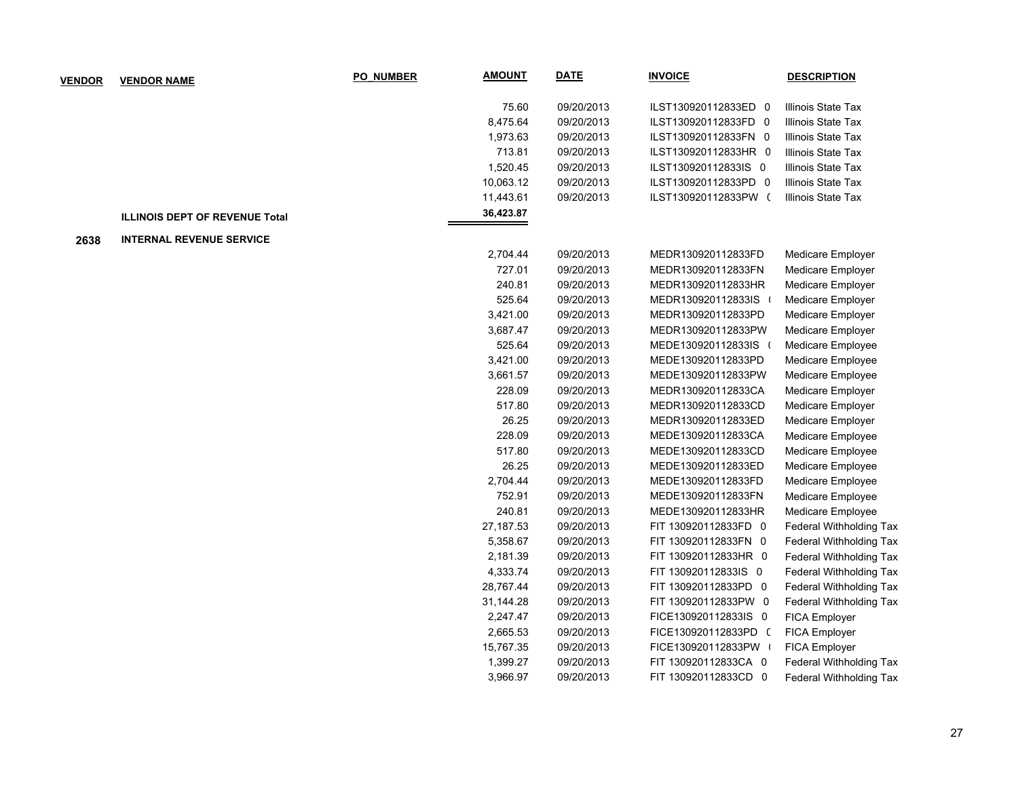| <b>VENDOR</b> | <b>VENDOR NAME</b>                    | <b>PO NUMBER</b> | <b>AMOUNT</b> | <b>DATE</b> | <b>INVOICE</b>       | <b>DESCRIPTION</b>             |
|---------------|---------------------------------------|------------------|---------------|-------------|----------------------|--------------------------------|
|               |                                       |                  | 75.60         | 09/20/2013  | ILST130920112833ED 0 | Illinois State Tax             |
|               |                                       |                  | 8,475.64      | 09/20/2013  | ILST130920112833FD 0 | Illinois State Tax             |
|               |                                       |                  | 1,973.63      | 09/20/2013  | ILST130920112833FN 0 | Illinois State Tax             |
|               |                                       |                  | 713.81        | 09/20/2013  | ILST130920112833HR 0 | Illinois State Tax             |
|               |                                       |                  | 1,520.45      | 09/20/2013  | ILST130920112833IS 0 | Illinois State Tax             |
|               |                                       |                  | 10,063.12     | 09/20/2013  | ILST130920112833PD 0 | Illinois State Tax             |
|               |                                       |                  | 11,443.61     | 09/20/2013  | ILST130920112833PW ( | Illinois State Tax             |
|               | <b>ILLINOIS DEPT OF REVENUE Total</b> |                  | 36,423.87     |             |                      |                                |
| 2638          | <b>INTERNAL REVENUE SERVICE</b>       |                  |               |             |                      |                                |
|               |                                       |                  | 2,704.44      | 09/20/2013  | MEDR130920112833FD   | Medicare Employer              |
|               |                                       |                  | 727.01        | 09/20/2013  | MEDR130920112833FN   | Medicare Employer              |
|               |                                       |                  | 240.81        | 09/20/2013  | MEDR130920112833HR   | Medicare Employer              |
|               |                                       |                  | 525.64        | 09/20/2013  | MEDR130920112833IS   | Medicare Employer              |
|               |                                       |                  | 3,421.00      | 09/20/2013  | MEDR130920112833PD   | Medicare Employer              |
|               |                                       |                  | 3,687.47      | 09/20/2013  | MEDR130920112833PW   | Medicare Employer              |
|               |                                       |                  | 525.64        | 09/20/2013  | MEDE130920112833IS ( | Medicare Employee              |
|               |                                       |                  | 3,421.00      | 09/20/2013  | MEDE130920112833PD   | Medicare Employee              |
|               |                                       |                  | 3,661.57      | 09/20/2013  | MEDE130920112833PW   | Medicare Employee              |
|               |                                       |                  | 228.09        | 09/20/2013  | MEDR130920112833CA   | Medicare Employer              |
|               |                                       |                  | 517.80        | 09/20/2013  | MEDR130920112833CD   | Medicare Employer              |
|               |                                       |                  | 26.25         | 09/20/2013  | MEDR130920112833ED   | Medicare Employer              |
|               |                                       |                  | 228.09        | 09/20/2013  | MEDE130920112833CA   | Medicare Employee              |
|               |                                       |                  | 517.80        | 09/20/2013  | MEDE130920112833CD   | Medicare Employee              |
|               |                                       |                  | 26.25         | 09/20/2013  | MEDE130920112833ED   | Medicare Employee              |
|               |                                       |                  | 2,704.44      | 09/20/2013  | MEDE130920112833FD   | Medicare Employee              |
|               |                                       |                  | 752.91        | 09/20/2013  | MEDE130920112833FN   | Medicare Employee              |
|               |                                       |                  | 240.81        | 09/20/2013  | MEDE130920112833HR   | Medicare Employee              |
|               |                                       |                  | 27, 187.53    | 09/20/2013  | FIT 130920112833FD 0 | Federal Withholding Tax        |
|               |                                       |                  | 5,358.67      | 09/20/2013  | FIT 130920112833FN 0 | Federal Withholding Tax        |
|               |                                       |                  | 2,181.39      | 09/20/2013  | FIT 130920112833HR 0 | Federal Withholding Tax        |
|               |                                       |                  | 4,333.74      | 09/20/2013  | FIT 130920112833IS 0 | Federal Withholding Tax        |
|               |                                       |                  | 28,767.44     | 09/20/2013  | FIT 130920112833PD 0 | Federal Withholding Tax        |
|               |                                       |                  | 31,144.28     | 09/20/2013  | FIT 130920112833PW 0 | Federal Withholding Tax        |
|               |                                       |                  | 2,247.47      | 09/20/2013  | FICE130920112833IS 0 | FICA Employer                  |
|               |                                       |                  | 2,665.53      | 09/20/2013  | FICE130920112833PD ( | FICA Employer                  |
|               |                                       |                  | 15,767.35     | 09/20/2013  | FICE130920112833PW   | FICA Employer                  |
|               |                                       |                  | 1,399.27      | 09/20/2013  | FIT 130920112833CA 0 | Federal Withholding Tax        |
|               |                                       |                  | 3,966.97      | 09/20/2013  | FIT 130920112833CD 0 | <b>Federal Withholding Tax</b> |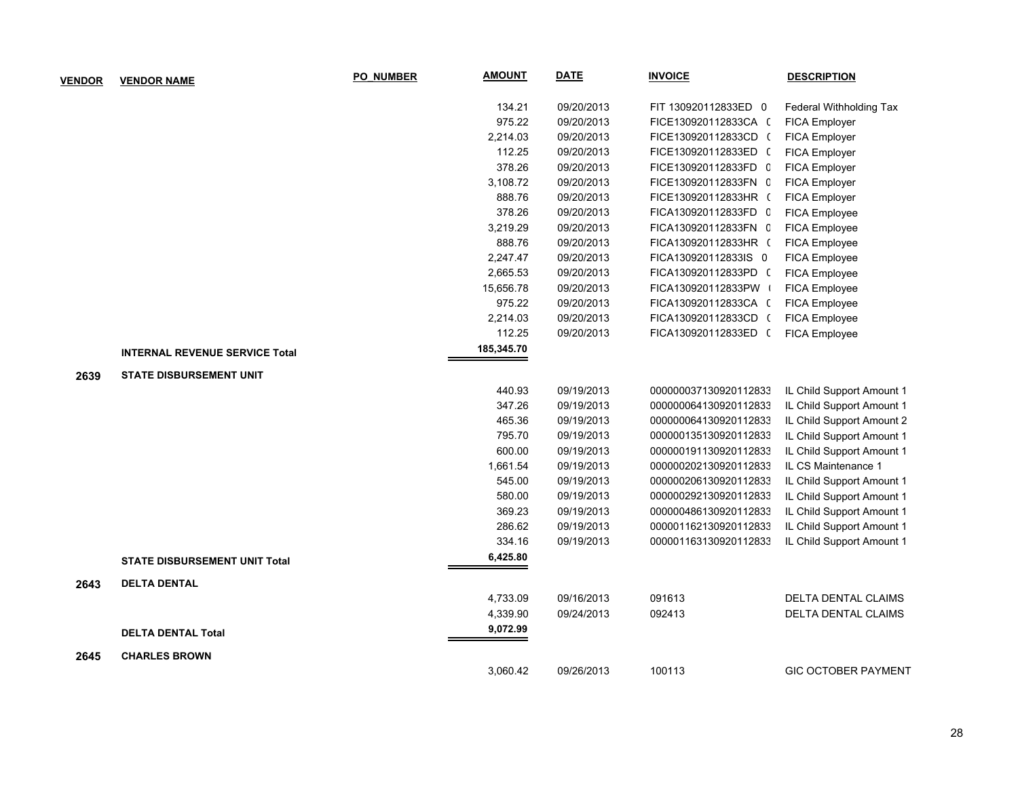| <b>VENDOR</b> | <b>VENDOR NAME</b>                    | <b>PO NUMBER</b> | <b>AMOUNT</b> | <b>DATE</b> | <b>INVOICE</b>        | <b>DESCRIPTION</b>         |
|---------------|---------------------------------------|------------------|---------------|-------------|-----------------------|----------------------------|
|               |                                       |                  | 134.21        | 09/20/2013  | FIT 130920112833ED 0  | Federal Withholding Tax    |
|               |                                       |                  | 975.22        | 09/20/2013  | FICE130920112833CA (  | FICA Employer              |
|               |                                       |                  | 2,214.03      | 09/20/2013  | FICE130920112833CD (  | FICA Employer              |
|               |                                       |                  | 112.25        | 09/20/2013  | FICE130920112833ED (  | FICA Employer              |
|               |                                       |                  | 378.26        | 09/20/2013  | FICE130920112833FD C  | FICA Employer              |
|               |                                       |                  | 3,108.72      | 09/20/2013  | FICE130920112833FN C  | FICA Employer              |
|               |                                       |                  | 888.76        | 09/20/2013  | FICE130920112833HR (  | FICA Employer              |
|               |                                       |                  | 378.26        | 09/20/2013  | FICA130920112833FD 0  | FICA Employee              |
|               |                                       |                  | 3,219.29      | 09/20/2013  | FICA130920112833FN C  | FICA Employee              |
|               |                                       |                  | 888.76        | 09/20/2013  | FICA130920112833HR (  | FICA Employee              |
|               |                                       |                  | 2,247.47      | 09/20/2013  | FICA130920112833IS 0  | FICA Employee              |
|               |                                       |                  | 2,665.53      | 09/20/2013  | FICA130920112833PD (  | FICA Employee              |
|               |                                       |                  | 15,656.78     | 09/20/2013  | FICA130920112833PW    | FICA Employee              |
|               |                                       |                  | 975.22        | 09/20/2013  | FICA130920112833CA (  | FICA Employee              |
|               |                                       |                  | 2,214.03      | 09/20/2013  | FICA130920112833CD (  | FICA Employee              |
|               |                                       |                  | 112.25        | 09/20/2013  | FICA130920112833ED (  | FICA Employee              |
|               | <b>INTERNAL REVENUE SERVICE Total</b> |                  | 185,345.70    |             |                       |                            |
| 2639          | <b>STATE DISBURSEMENT UNIT</b>        |                  |               |             |                       |                            |
|               |                                       |                  | 440.93        | 09/19/2013  | 000000037130920112833 | IL Child Support Amount 1  |
|               |                                       |                  | 347.26        | 09/19/2013  | 000000064130920112833 | IL Child Support Amount 1  |
|               |                                       |                  | 465.36        | 09/19/2013  | 000000064130920112833 | IL Child Support Amount 2  |
|               |                                       |                  | 795.70        | 09/19/2013  | 000000135130920112833 | IL Child Support Amount 1  |
|               |                                       |                  | 600.00        | 09/19/2013  | 000000191130920112833 | IL Child Support Amount 1  |
|               |                                       |                  | 1,661.54      | 09/19/2013  | 000000202130920112833 | IL CS Maintenance 1        |
|               |                                       |                  | 545.00        | 09/19/2013  | 000000206130920112833 | IL Child Support Amount 1  |
|               |                                       |                  | 580.00        | 09/19/2013  | 000000292130920112833 | IL Child Support Amount 1  |
|               |                                       |                  | 369.23        | 09/19/2013  | 000000486130920112833 | IL Child Support Amount 1  |
|               |                                       |                  | 286.62        | 09/19/2013  | 000001162130920112833 | IL Child Support Amount 1  |
|               |                                       |                  | 334.16        | 09/19/2013  | 000001163130920112833 | IL Child Support Amount 1  |
|               | <b>STATE DISBURSEMENT UNIT Total</b>  |                  | 6,425.80      |             |                       |                            |
| 2643          | <b>DELTA DENTAL</b>                   |                  |               |             |                       |                            |
|               |                                       |                  | 4,733.09      | 09/16/2013  | 091613                | <b>DELTA DENTAL CLAIMS</b> |
|               |                                       |                  | 4,339.90      | 09/24/2013  | 092413                | DELTA DENTAL CLAIMS        |
|               | <b>DELTA DENTAL Total</b>             |                  | 9,072.99      |             |                       |                            |
| 2645          | <b>CHARLES BROWN</b>                  |                  |               |             |                       |                            |
|               |                                       |                  | 3,060.42      | 09/26/2013  | 100113                | <b>GIC OCTOBER PAYMENT</b> |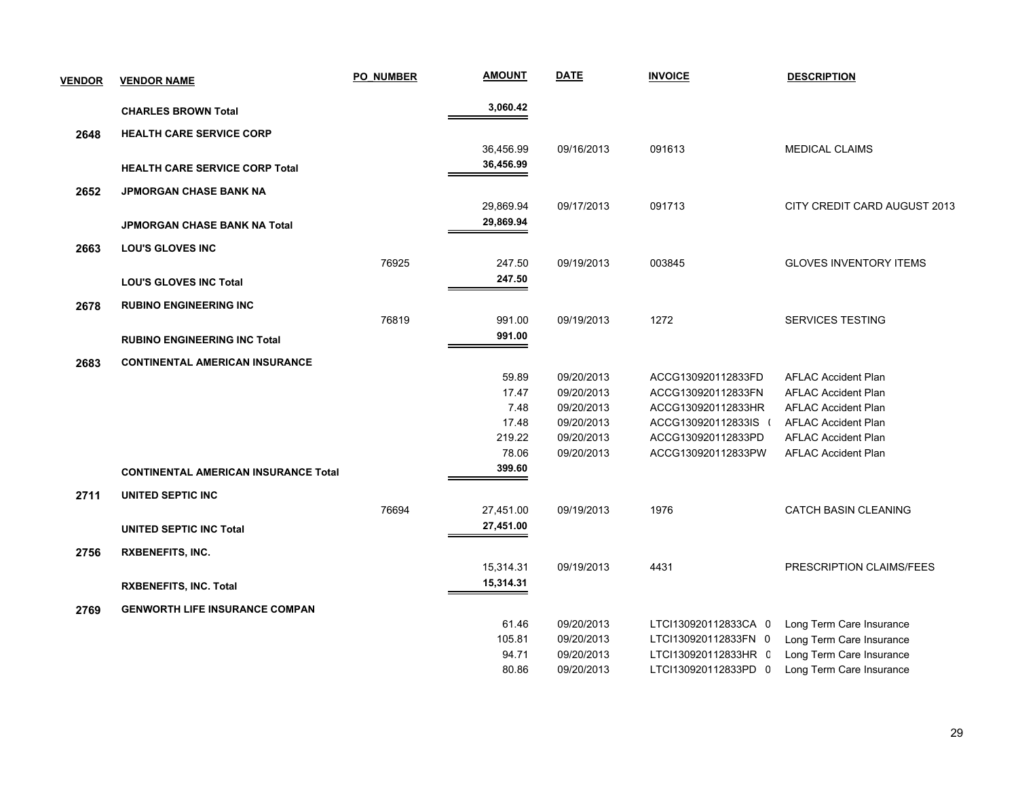| <b>VENDOR</b> | <b>VENDOR NAME</b>                          | <b>PO NUMBER</b> | <b>AMOUNT</b> | <b>DATE</b> | <b>INVOICE</b>       | <b>DESCRIPTION</b>            |
|---------------|---------------------------------------------|------------------|---------------|-------------|----------------------|-------------------------------|
|               | <b>CHARLES BROWN Total</b>                  |                  | 3,060.42      |             |                      |                               |
| 2648          | <b>HEALTH CARE SERVICE CORP</b>             |                  |               |             |                      |                               |
|               |                                             |                  | 36,456.99     | 09/16/2013  | 091613               | <b>MEDICAL CLAIMS</b>         |
|               | <b>HEALTH CARE SERVICE CORP Total</b>       |                  | 36,456.99     |             |                      |                               |
| 2652          | <b>JPMORGAN CHASE BANK NA</b>               |                  |               |             |                      |                               |
|               |                                             |                  | 29,869.94     | 09/17/2013  | 091713               | CITY CREDIT CARD AUGUST 2013  |
|               | JPMORGAN CHASE BANK NA Total                |                  | 29,869.94     |             |                      |                               |
| 2663          | <b>LOU'S GLOVES INC</b>                     |                  |               |             |                      |                               |
|               |                                             | 76925            | 247.50        | 09/19/2013  | 003845               | <b>GLOVES INVENTORY ITEMS</b> |
|               | <b>LOU'S GLOVES INC Total</b>               |                  | 247.50        |             |                      |                               |
| 2678          | <b>RUBINO ENGINEERING INC</b>               |                  |               |             |                      |                               |
|               |                                             | 76819            | 991.00        | 09/19/2013  | 1272                 | SERVICES TESTING              |
|               | <b>RUBINO ENGINEERING INC Total</b>         |                  | 991.00        |             |                      |                               |
| 2683          | <b>CONTINENTAL AMERICAN INSURANCE</b>       |                  |               |             |                      |                               |
|               |                                             |                  | 59.89         | 09/20/2013  | ACCG130920112833FD   | <b>AFLAC Accident Plan</b>    |
|               |                                             |                  | 17.47         | 09/20/2013  | ACCG130920112833FN   | <b>AFLAC Accident Plan</b>    |
|               |                                             |                  | 7.48          | 09/20/2013  | ACCG130920112833HR   | <b>AFLAC Accident Plan</b>    |
|               |                                             |                  | 17.48         | 09/20/2013  | ACCG130920112833IS ( | <b>AFLAC Accident Plan</b>    |
|               |                                             |                  | 219.22        | 09/20/2013  | ACCG130920112833PD   | <b>AFLAC Accident Plan</b>    |
|               |                                             |                  | 78.06         | 09/20/2013  | ACCG130920112833PW   | <b>AFLAC Accident Plan</b>    |
|               | <b>CONTINENTAL AMERICAN INSURANCE Total</b> |                  | 399.60        |             |                      |                               |
| 2711          | UNITED SEPTIC INC                           |                  |               |             |                      |                               |
|               |                                             | 76694            | 27,451.00     | 09/19/2013  | 1976                 | CATCH BASIN CLEANING          |
|               | <b>UNITED SEPTIC INC Total</b>              |                  | 27,451.00     |             |                      |                               |
| 2756          | <b>RXBENEFITS, INC.</b>                     |                  |               |             |                      |                               |
|               |                                             |                  | 15,314.31     | 09/19/2013  | 4431                 | PRESCRIPTION CLAIMS/FEES      |
|               | <b>RXBENEFITS, INC. Total</b>               |                  | 15,314.31     |             |                      |                               |
| 2769          | <b>GENWORTH LIFE INSURANCE COMPAN</b>       |                  |               |             |                      |                               |
|               |                                             |                  | 61.46         | 09/20/2013  | LTCI130920112833CA 0 | Long Term Care Insurance      |
|               |                                             |                  | 105.81        | 09/20/2013  | LTCI130920112833FN 0 | Long Term Care Insurance      |
|               |                                             |                  | 94.71         | 09/20/2013  | LTCI130920112833HR C | Long Term Care Insurance      |
|               |                                             |                  | 80.86         | 09/20/2013  | LTCI130920112833PD 0 | Long Term Care Insurance      |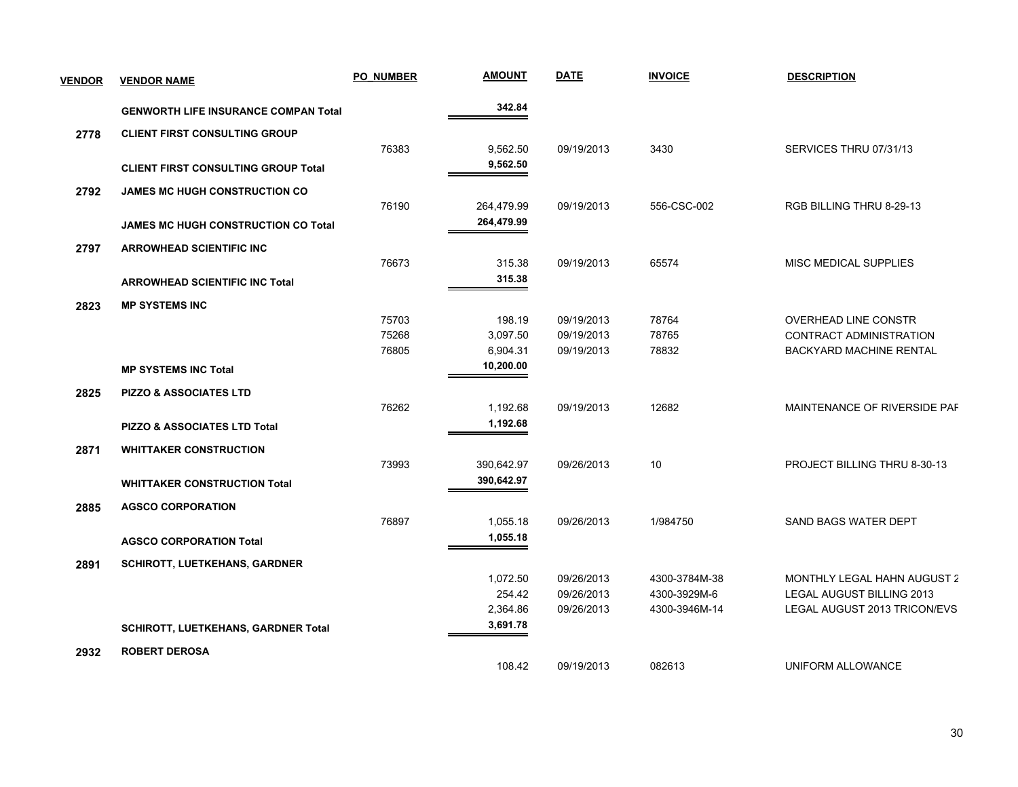| <b>VENDOR</b> | <b>VENDOR NAME</b>                          | <b>PO NUMBER</b> | <b>AMOUNT</b> | <b>DATE</b> | <b>INVOICE</b> | <b>DESCRIPTION</b>             |
|---------------|---------------------------------------------|------------------|---------------|-------------|----------------|--------------------------------|
|               | <b>GENWORTH LIFE INSURANCE COMPAN Total</b> |                  | 342.84        |             |                |                                |
| 2778          | <b>CLIENT FIRST CONSULTING GROUP</b>        |                  |               |             |                |                                |
|               |                                             | 76383            | 9,562.50      | 09/19/2013  | 3430           | SERVICES THRU 07/31/13         |
|               | <b>CLIENT FIRST CONSULTING GROUP Total</b>  |                  | 9,562.50      |             |                |                                |
| 2792          | <b>JAMES MC HUGH CONSTRUCTION CO</b>        |                  |               |             |                |                                |
|               |                                             | 76190            | 264,479.99    | 09/19/2013  | 556-CSC-002    | RGB BILLING THRU 8-29-13       |
|               | <b>JAMES MC HUGH CONSTRUCTION CO Total</b>  |                  | 264,479.99    |             |                |                                |
| 2797          | <b>ARROWHEAD SCIENTIFIC INC</b>             |                  |               |             |                |                                |
|               |                                             | 76673            | 315.38        | 09/19/2013  | 65574          | MISC MEDICAL SUPPLIES          |
|               | <b>ARROWHEAD SCIENTIFIC INC Total</b>       |                  | 315.38        |             |                |                                |
| 2823          | <b>MP SYSTEMS INC</b>                       |                  |               |             |                |                                |
|               |                                             | 75703            | 198.19        | 09/19/2013  | 78764          | <b>OVERHEAD LINE CONSTR</b>    |
|               |                                             | 75268            | 3,097.50      | 09/19/2013  | 78765          | CONTRACT ADMINISTRATION        |
|               |                                             | 76805            | 6,904.31      | 09/19/2013  | 78832          | <b>BACKYARD MACHINE RENTAL</b> |
|               | <b>MP SYSTEMS INC Total</b>                 |                  | 10,200.00     |             |                |                                |
| 2825          | <b>PIZZO &amp; ASSOCIATES LTD</b>           |                  |               |             |                |                                |
|               |                                             | 76262            | 1,192.68      | 09/19/2013  | 12682          | MAINTENANCE OF RIVERSIDE PAF   |
|               | <b>PIZZO &amp; ASSOCIATES LTD Total</b>     |                  | 1,192.68      |             |                |                                |
| 2871          | <b>WHITTAKER CONSTRUCTION</b>               |                  |               |             |                |                                |
|               |                                             | 73993            | 390,642.97    | 09/26/2013  | 10             | PROJECT BILLING THRU 8-30-13   |
|               | <b>WHITTAKER CONSTRUCTION Total</b>         |                  | 390,642.97    |             |                |                                |
| 2885          | <b>AGSCO CORPORATION</b>                    |                  |               |             |                |                                |
|               |                                             | 76897            | 1,055.18      | 09/26/2013  | 1/984750       | SAND BAGS WATER DEPT           |
|               | <b>AGSCO CORPORATION Total</b>              |                  | 1,055.18      |             |                |                                |
| 2891          | <b>SCHIROTT, LUETKEHANS, GARDNER</b>        |                  |               |             |                |                                |
|               |                                             |                  | 1,072.50      | 09/26/2013  | 4300-3784M-38  | MONTHLY LEGAL HAHN AUGUST 2    |
|               |                                             |                  | 254.42        | 09/26/2013  | 4300-3929M-6   | LEGAL AUGUST BILLING 2013      |
|               |                                             |                  | 2,364.86      | 09/26/2013  | 4300-3946M-14  | LEGAL AUGUST 2013 TRICON/EVS   |
|               | SCHIROTT, LUETKEHANS, GARDNER Total         |                  | 3,691.78      |             |                |                                |
| 2932          | <b>ROBERT DEROSA</b>                        |                  |               |             |                |                                |
|               |                                             |                  | 108.42        | 09/19/2013  | 082613         | UNIFORM ALLOWANCE              |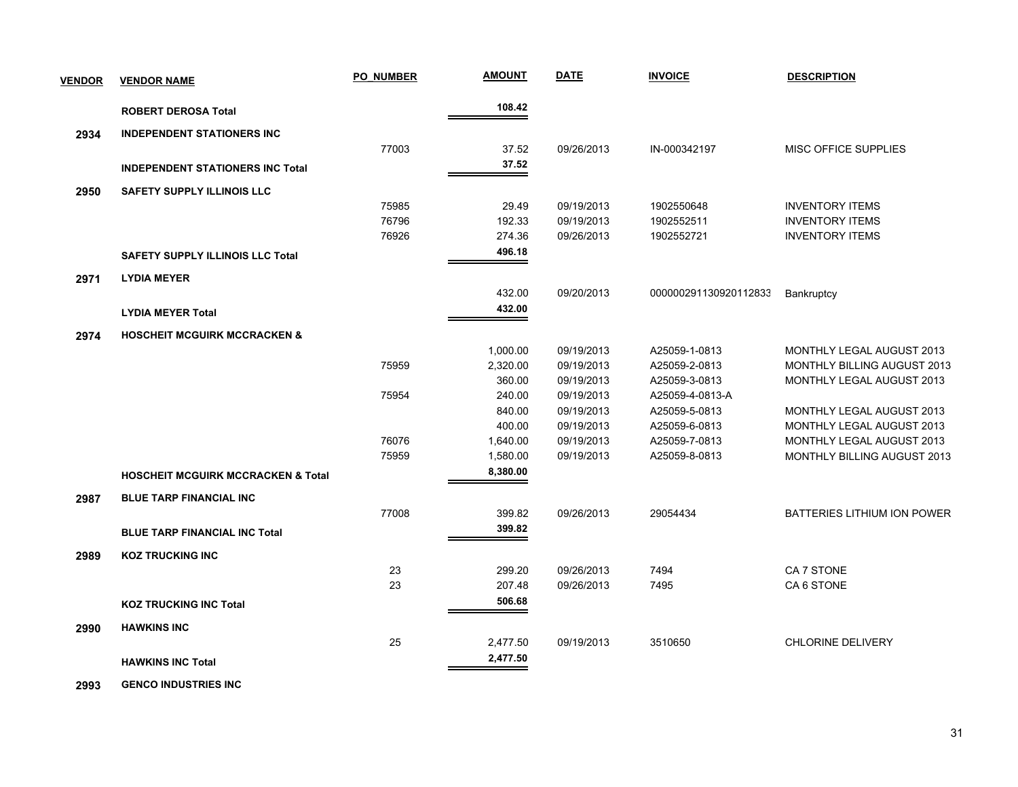| <b>VENDOR</b> | <b>VENDOR NAME</b>                            | <b>PO NUMBER</b> | <b>AMOUNT</b> | <b>DATE</b> | <b>INVOICE</b>        | <b>DESCRIPTION</b>                 |
|---------------|-----------------------------------------------|------------------|---------------|-------------|-----------------------|------------------------------------|
|               | <b>ROBERT DEROSA Total</b>                    |                  | 108.42        |             |                       |                                    |
| 2934          | <b>INDEPENDENT STATIONERS INC</b>             |                  |               |             |                       |                                    |
|               |                                               | 77003            | 37.52         | 09/26/2013  | IN-000342197          | <b>MISC OFFICE SUPPLIES</b>        |
|               | <b>INDEPENDENT STATIONERS INC Total</b>       |                  | 37.52         |             |                       |                                    |
|               |                                               |                  |               |             |                       |                                    |
| 2950          | <b>SAFETY SUPPLY ILLINOIS LLC</b>             | 75985            | 29.49         | 09/19/2013  | 1902550648            | <b>INVENTORY ITEMS</b>             |
|               |                                               | 76796            | 192.33        | 09/19/2013  | 1902552511            | <b>INVENTORY ITEMS</b>             |
|               |                                               | 76926            | 274.36        | 09/26/2013  | 1902552721            | <b>INVENTORY ITEMS</b>             |
|               | <b>SAFETY SUPPLY ILLINOIS LLC Total</b>       |                  | 496.18        |             |                       |                                    |
|               |                                               |                  |               |             |                       |                                    |
| 2971          | <b>LYDIA MEYER</b>                            |                  |               |             |                       |                                    |
|               |                                               |                  | 432.00        | 09/20/2013  | 000000291130920112833 | Bankruptcy                         |
|               | <b>LYDIA MEYER Total</b>                      |                  | 432.00        |             |                       |                                    |
| 2974          | <b>HOSCHEIT MCGUIRK MCCRACKEN &amp;</b>       |                  |               |             |                       |                                    |
|               |                                               |                  | 1,000.00      | 09/19/2013  | A25059-1-0813         | <b>MONTHLY LEGAL AUGUST 2013</b>   |
|               |                                               | 75959            | 2,320.00      | 09/19/2013  | A25059-2-0813         | MONTHLY BILLING AUGUST 2013        |
|               |                                               |                  | 360.00        | 09/19/2013  | A25059-3-0813         | <b>MONTHLY LEGAL AUGUST 2013</b>   |
|               |                                               | 75954            | 240.00        | 09/19/2013  | A25059-4-0813-A       |                                    |
|               |                                               |                  | 840.00        | 09/19/2013  | A25059-5-0813         | MONTHLY LEGAL AUGUST 2013          |
|               |                                               |                  | 400.00        | 09/19/2013  | A25059-6-0813         | MONTHLY LEGAL AUGUST 2013          |
|               |                                               | 76076            | 1,640.00      | 09/19/2013  | A25059-7-0813         | MONTHLY LEGAL AUGUST 2013          |
|               |                                               | 75959            | 1,580.00      | 09/19/2013  | A25059-8-0813         | <b>MONTHLY BILLING AUGUST 2013</b> |
|               | <b>HOSCHEIT MCGUIRK MCCRACKEN &amp; Total</b> |                  | 8,380.00      |             |                       |                                    |
| 2987          | <b>BLUE TARP FINANCIAL INC</b>                |                  |               |             |                       |                                    |
|               |                                               | 77008            | 399.82        | 09/26/2013  | 29054434              | <b>BATTERIES LITHIUM ION POWER</b> |
|               | <b>BLUE TARP FINANCIAL INC Total</b>          |                  | 399.82        |             |                       |                                    |
| 2989          | <b>KOZ TRUCKING INC</b>                       |                  |               |             |                       |                                    |
|               |                                               | 23               | 299.20        | 09/26/2013  | 7494                  | CA 7 STONE                         |
|               |                                               | 23               | 207.48        | 09/26/2013  | 7495                  | CA6 STONE                          |
|               | <b>KOZ TRUCKING INC Total</b>                 |                  | 506.68        |             |                       |                                    |
|               |                                               |                  |               |             |                       |                                    |
| 2990          | <b>HAWKINS INC</b>                            |                  |               |             |                       |                                    |
|               |                                               | 25               | 2,477.50      | 09/19/2013  | 3510650               | <b>CHLORINE DELIVERY</b>           |
|               | <b>HAWKINS INC Total</b>                      |                  | 2,477.50      |             |                       |                                    |
|               |                                               |                  |               |             |                       |                                    |

 **2993 GENCO INDUSTRIES INC**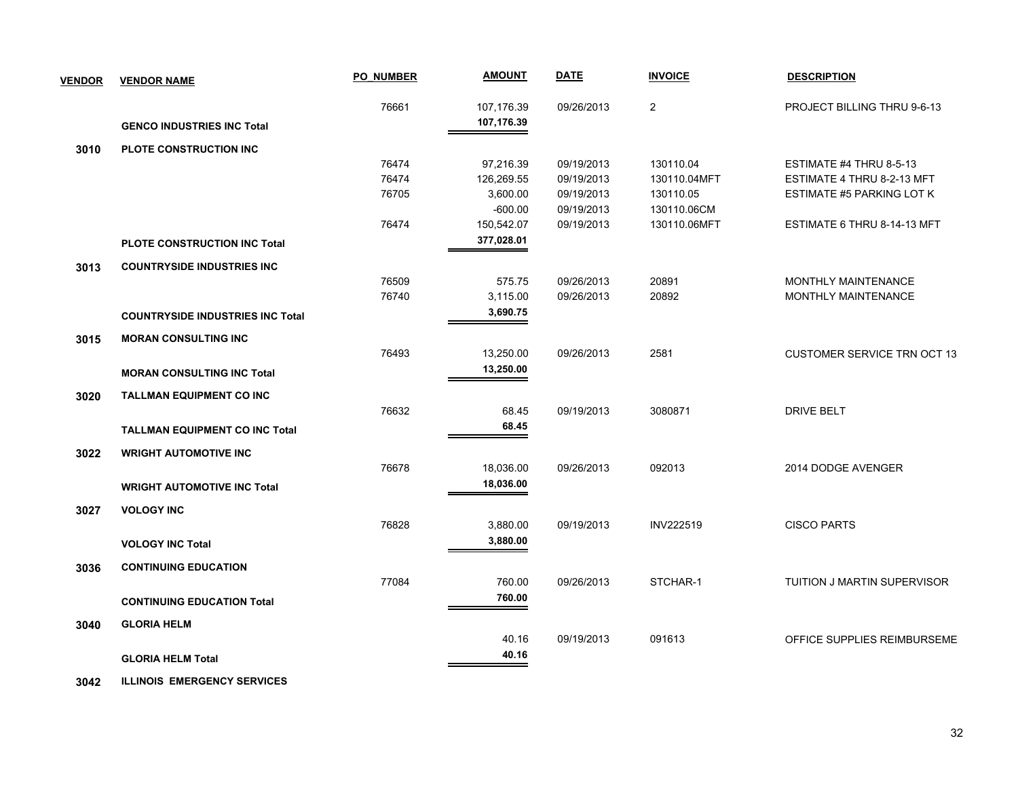| <b>VENDOR</b> | <b>VENDOR NAME</b>                      | <b>PO NUMBER</b> | <b>AMOUNT</b>            | <b>DATE</b>              | <b>INVOICE</b>           | <b>DESCRIPTION</b>                 |
|---------------|-----------------------------------------|------------------|--------------------------|--------------------------|--------------------------|------------------------------------|
|               |                                         | 76661            | 107,176.39<br>107,176.39 | 09/26/2013               | 2                        | PROJECT BILLING THRU 9-6-13        |
|               | <b>GENCO INDUSTRIES INC Total</b>       |                  |                          |                          |                          |                                    |
| 3010          | <b>PLOTE CONSTRUCTION INC</b>           |                  |                          |                          |                          |                                    |
|               |                                         | 76474            | 97,216.39                | 09/19/2013               | 130110.04                | ESTIMATE #4 THRU 8-5-13            |
|               |                                         | 76474            | 126,269.55               | 09/19/2013               | 130110.04MFT             | ESTIMATE 4 THRU 8-2-13 MFT         |
|               |                                         | 76705            | 3,600.00<br>$-600.00$    | 09/19/2013<br>09/19/2013 | 130110.05<br>130110.06CM | <b>ESTIMATE #5 PARKING LOT K</b>   |
|               |                                         | 76474            | 150,542.07               | 09/19/2013               | 130110.06MFT             | ESTIMATE 6 THRU 8-14-13 MFT        |
|               |                                         |                  | 377,028.01               |                          |                          |                                    |
|               | <b>PLOTE CONSTRUCTION INC Total</b>     |                  |                          |                          |                          |                                    |
| 3013          | <b>COUNTRYSIDE INDUSTRIES INC</b>       |                  |                          |                          |                          |                                    |
|               |                                         | 76509            | 575.75                   | 09/26/2013               | 20891                    | <b>MONTHLY MAINTENANCE</b>         |
|               |                                         | 76740            | 3,115.00                 | 09/26/2013               | 20892                    | <b>MONTHLY MAINTENANCE</b>         |
|               | <b>COUNTRYSIDE INDUSTRIES INC Total</b> |                  | 3,690.75                 |                          |                          |                                    |
| 3015          | <b>MORAN CONSULTING INC</b>             |                  |                          |                          |                          |                                    |
|               |                                         | 76493            | 13,250.00                | 09/26/2013               | 2581                     | <b>CUSTOMER SERVICE TRN OCT 13</b> |
|               | <b>MORAN CONSULTING INC Total</b>       |                  | 13,250.00                |                          |                          |                                    |
|               |                                         |                  |                          |                          |                          |                                    |
| 3020          | <b>TALLMAN EQUIPMENT CO INC</b>         |                  |                          |                          |                          |                                    |
|               |                                         | 76632            | 68.45                    | 09/19/2013               | 3080871                  | <b>DRIVE BELT</b>                  |
|               | <b>TALLMAN EQUIPMENT CO INC Total</b>   |                  | 68.45                    |                          |                          |                                    |
| 3022          | <b>WRIGHT AUTOMOTIVE INC</b>            |                  |                          |                          |                          |                                    |
|               |                                         | 76678            | 18,036.00                | 09/26/2013               | 092013                   | 2014 DODGE AVENGER                 |
|               | <b>WRIGHT AUTOMOTIVE INC Total</b>      |                  | 18,036.00                |                          |                          |                                    |
|               |                                         |                  |                          |                          |                          |                                    |
| 3027          | <b>VOLOGY INC</b>                       | 76828            | 3,880.00                 | 09/19/2013               | <b>INV222519</b>         | <b>CISCO PARTS</b>                 |
|               |                                         |                  | 3,880.00                 |                          |                          |                                    |
|               | <b>VOLOGY INC Total</b>                 |                  |                          |                          |                          |                                    |
| 3036          | <b>CONTINUING EDUCATION</b>             |                  |                          |                          |                          |                                    |
|               |                                         | 77084            | 760.00                   | 09/26/2013               | STCHAR-1                 | TUITION J MARTIN SUPERVISOR        |
|               | <b>CONTINUING EDUCATION Total</b>       |                  | 760.00                   |                          |                          |                                    |
| 3040          | <b>GLORIA HELM</b>                      |                  |                          |                          |                          |                                    |
|               |                                         |                  | 40.16                    | 09/19/2013               | 091613                   | OFFICE SUPPLIES REIMBURSEME        |
|               |                                         |                  | 40.16                    |                          |                          |                                    |
|               | <b>GLORIA HELM Total</b>                |                  |                          |                          |                          |                                    |

 **3042 ILLINOIS EMERGENCY SERVICES**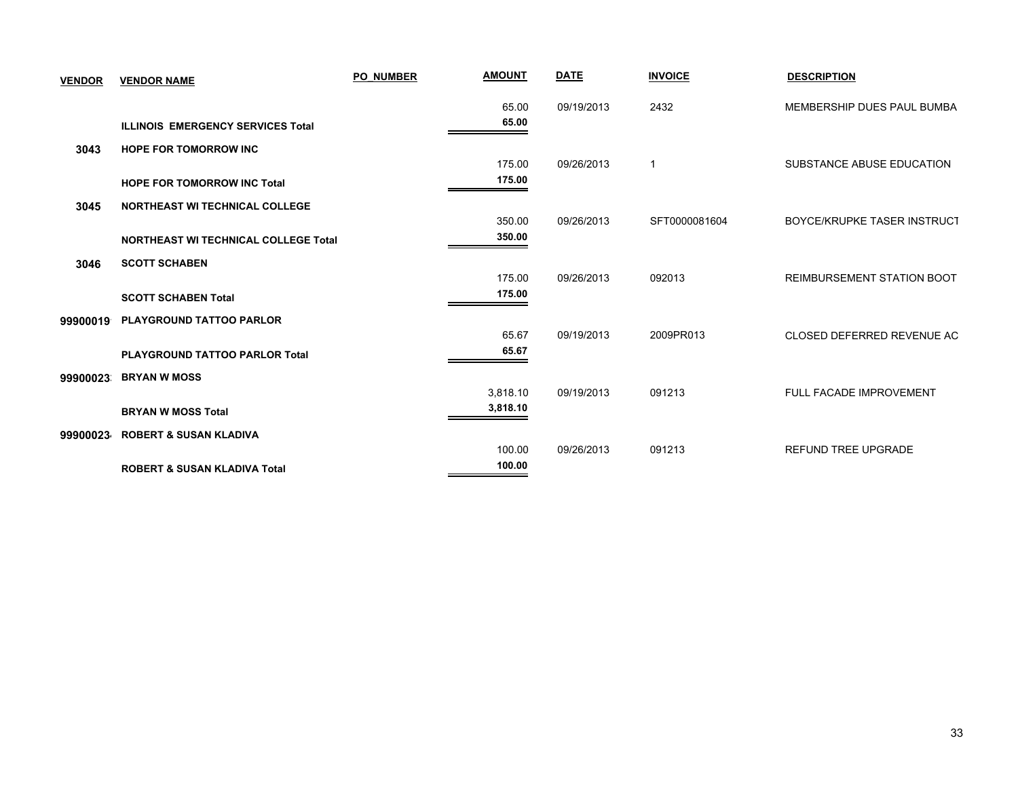| <b>VENDOR</b> | <b>VENDOR NAME</b>                          | <b>PO NUMBER</b> | <b>AMOUNT</b> | <b>DATE</b> | <b>INVOICE</b> | <b>DESCRIPTION</b>                 |
|---------------|---------------------------------------------|------------------|---------------|-------------|----------------|------------------------------------|
|               |                                             |                  | 65.00         | 09/19/2013  | 2432           | MEMBERSHIP DUES PAUL BUMBA         |
|               | <b>ILLINOIS EMERGENCY SERVICES Total</b>    |                  | 65.00         |             |                |                                    |
| 3043          | <b>HOPE FOR TOMORROW INC</b>                |                  |               |             |                |                                    |
|               |                                             |                  | 175.00        | 09/26/2013  | $\mathbf{1}$   | SUBSTANCE ABUSE EDUCATION          |
|               | <b>HOPE FOR TOMORROW INC Total</b>          |                  | 175.00        |             |                |                                    |
| 3045          | <b>NORTHEAST WI TECHNICAL COLLEGE</b>       |                  |               |             |                |                                    |
|               |                                             |                  | 350.00        | 09/26/2013  | SFT0000081604  | <b>BOYCE/KRUPKE TASER INSTRUCT</b> |
|               | <b>NORTHEAST WI TECHNICAL COLLEGE Total</b> |                  | 350.00        |             |                |                                    |
| 3046          | <b>SCOTT SCHABEN</b>                        |                  |               |             |                |                                    |
|               |                                             |                  | 175.00        | 09/26/2013  | 092013         | <b>REIMBURSEMENT STATION BOOT</b>  |
|               | <b>SCOTT SCHABEN Total</b>                  |                  | 175.00        |             |                |                                    |
| 99900019      | <b>PLAYGROUND TATTOO PARLOR</b>             |                  |               |             |                |                                    |
|               |                                             |                  | 65.67         | 09/19/2013  | 2009PR013      | CLOSED DEFERRED REVENUE AC         |
|               | <b>PLAYGROUND TATTOO PARLOR Total</b>       |                  | 65.67         |             |                |                                    |
| 99900023      | <b>BRYAN W MOSS</b>                         |                  |               |             |                |                                    |
|               |                                             |                  | 3,818.10      | 09/19/2013  | 091213         | FULL FACADE IMPROVEMENT            |
|               | <b>BRYAN W MOSS Total</b>                   |                  | 3,818.10      |             |                |                                    |
| 99900023      | <b>ROBERT &amp; SUSAN KLADIVA</b>           |                  |               |             |                |                                    |
|               |                                             |                  | 100.00        | 09/26/2013  | 091213         | <b>REFUND TREE UPGRADE</b>         |
|               | <b>ROBERT &amp; SUSAN KLADIVA Total</b>     |                  | 100.00        |             |                |                                    |